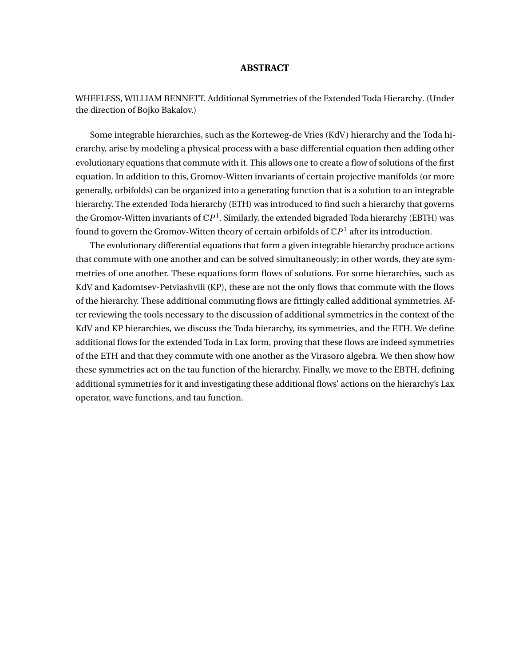### **ABSTRACT**

WHEELESS, WILLIAM BENNETT. Additional Symmetries of the Extended Toda Hierarchy. (Under the direction of Bojko Bakalov.)

Some integrable hierarchies, such as the Korteweg-de Vries (KdV) hierarchy and the Toda hierarchy, arise by modeling a physical process with a base differential equation then adding other evolutionary equations that commute with it. This allows one to create a flow of solutions of the first equation. In addition to this, Gromov-Witten invariants of certain projective manifolds (or more generally, orbifolds) can be organized into a generating function that is a solution to an integrable hierarchy. The extended Toda hierarchy (ETH) was introduced to find such a hierarchy that governs the Gromov-Witten invariants of  $\mathbb{C}P^{1}.$  Similarly, the extended bigraded Toda hierarchy (EBTH) was found to govern the Gromov-Witten theory of certain orbifolds of  $\mathbb{C}P^{1}$  after its introduction.

The evolutionary differential equations that form a given integrable hierarchy produce actions that commute with one another and can be solved simultaneously; in other words, they are symmetries of one another. These equations form flows of solutions. For some hierarchies, such as KdV and Kadomtsev-Petviashvili (KP), these are not the only flows that commute with the flows of the hierarchy. These additional commuting flows are fittingly called additional symmetries. After reviewing the tools necessary to the discussion of additional symmetries in the context of the KdV and KP hierarchies, we discuss the Toda hierarchy, its symmetries, and the ETH. We define additional flows for the extended Toda in Lax form, proving that these flows are indeed symmetries of the ETH and that they commute with one another as the Virasoro algebra. We then show how these symmetries act on the tau function of the hierarchy. Finally, we move to the EBTH, defining additional symmetries for it and investigating these additional flows' actions on the hierarchy's Lax operator, wave functions, and tau function.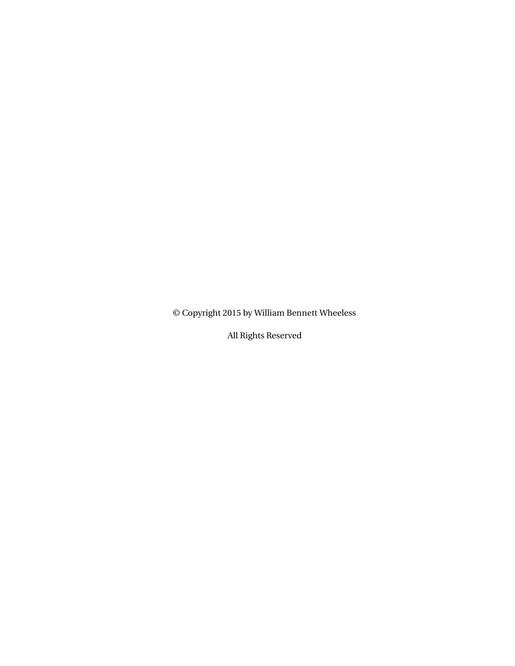© Copyright 2015 by William Bennett Wheeless

All Rights Reserved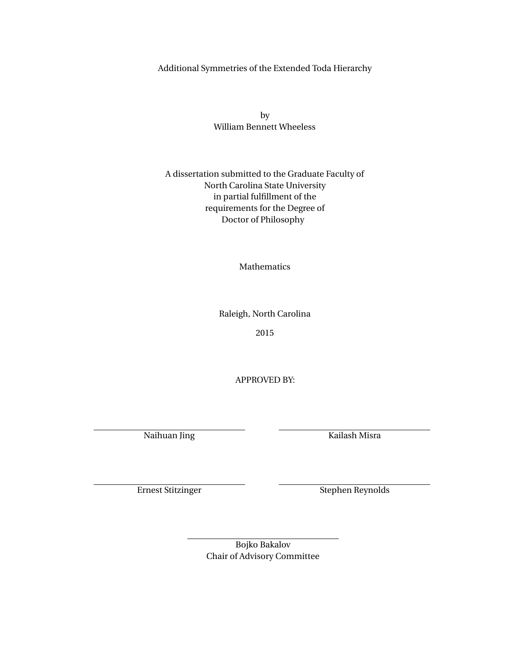Additional Symmetries of the Extended Toda Hierarchy

by William Bennett Wheeless

A dissertation submitted to the Graduate Faculty of North Carolina State University in partial fulfillment of the requirements for the Degree of Doctor of Philosophy

Mathematics

Raleigh, North Carolina

2015

APPROVED BY:

Naihuan Jing Kailash Misra

Ernest Stitzinger Stephen Reynolds

Bojko Bakalov Chair of Advisory Committee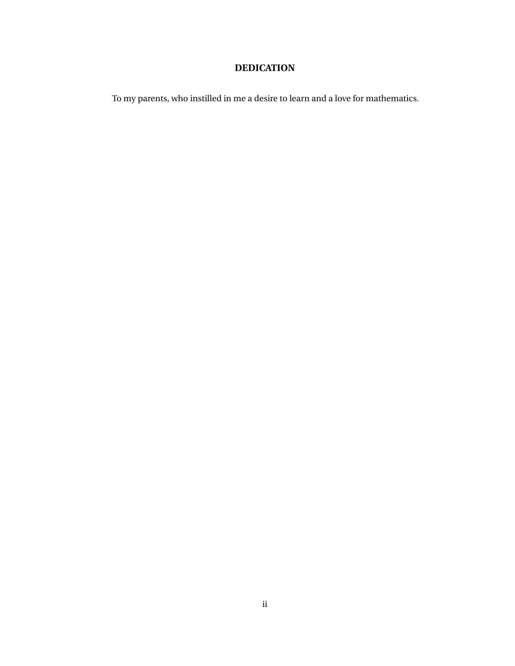# **DEDICATION**

To my parents, who instilled in me a desire to learn and a love for mathematics.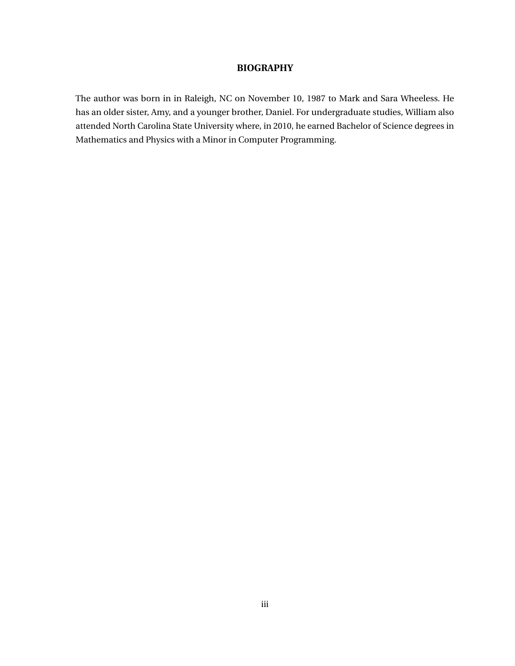### **BIOGRAPHY**

The author was born in in Raleigh, NC on November 10, 1987 to Mark and Sara Wheeless. He has an older sister, Amy, and a younger brother, Daniel. For undergraduate studies, William also attended North Carolina State University where, in 2010, he earned Bachelor of Science degrees in Mathematics and Physics with a Minor in Computer Programming.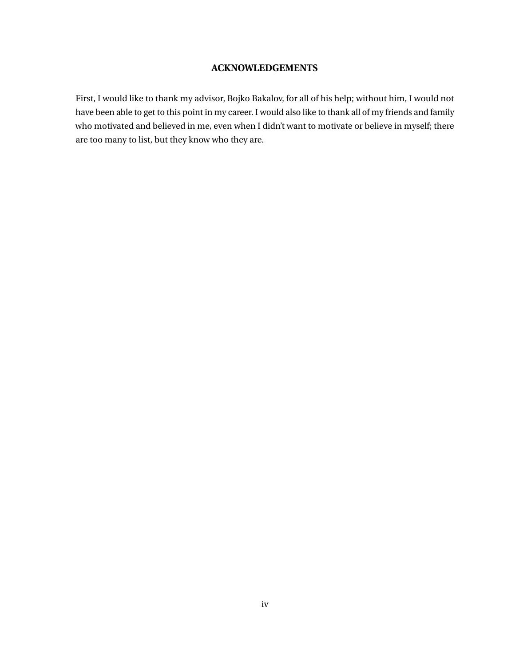### **ACKNOWLEDGEMENTS**

First, I would like to thank my advisor, Bojko Bakalov, for all of his help; without him, I would not have been able to get to this point in my career. I would also like to thank all of my friends and family who motivated and believed in me, even when I didn't want to motivate or believe in myself; there are too many to list, but they know who they are.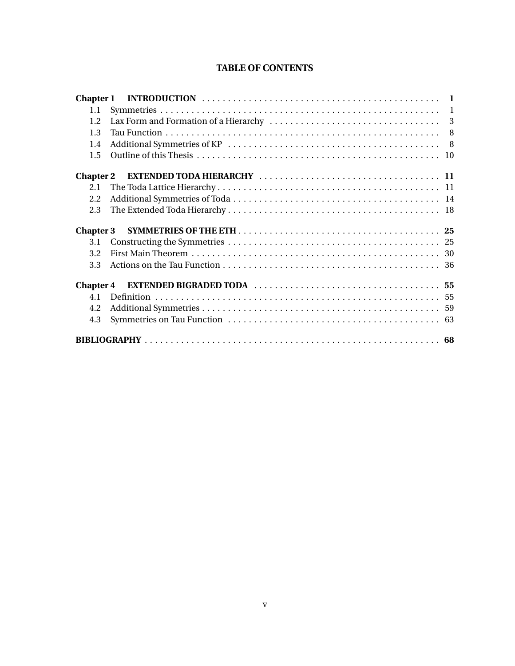## **TABLE OF CONTENTS**

| 1.1              |  |
|------------------|--|
| 1.2              |  |
| 1.3              |  |
| 1.4              |  |
| 1.5              |  |
|                  |  |
| 2.1              |  |
| 2.2              |  |
| 2.3              |  |
|                  |  |
|                  |  |
| 3.1              |  |
| 3.2              |  |
| 3.3              |  |
| <b>Chapter 4</b> |  |
| 4.1              |  |
| 4.2              |  |
| 4.3              |  |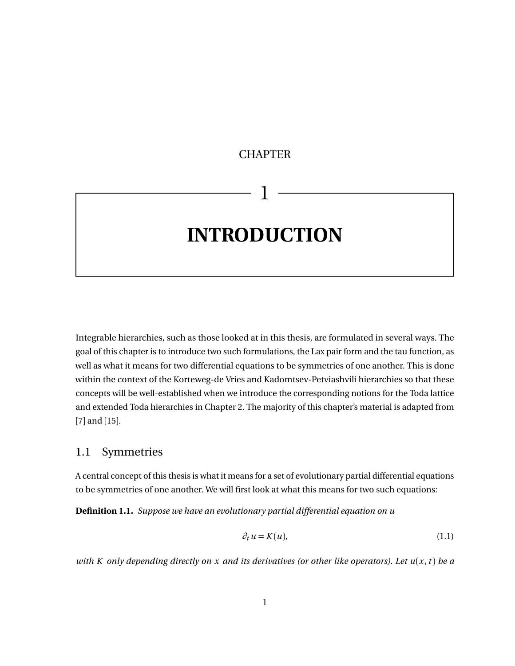# <span id="page-7-0"></span>**CHAPTER**

1

# **INTRODUCTION**

Integrable hierarchies, such as those looked at in this thesis, are formulated in several ways. The goal of this chapter is to introduce two such formulations, the Lax pair form and the tau function, as well as what it means for two differential equations to be symmetries of one another. This is done within the context of the Korteweg-de Vries and Kadomtsev-Petviashvili hierarchies so that these concepts will be well-established when we introduce the corresponding notions for the Toda lattice and extended Toda hierarchies in Chapter [2.](#page-17-0) The majority of this chapter's material is adapted from [[7](#page-74-0)] and [[15](#page-74-1)].

## <span id="page-7-1"></span>1.1 Symmetries

A central concept of this thesis is what it means for a set of evolutionary partial differential equations to be symmetries of one another. We will first look at what this means for two such equations:

<span id="page-7-3"></span>**Definition 1.1.** *Suppose we have an evolutionary partial differential equation on u*

<span id="page-7-2"></span>
$$
\partial_t u = K(u),\tag{1.1}
$$

*with K only depending directly on x and its derivatives (or other like operators). Let*  $u(x, t)$  *be a*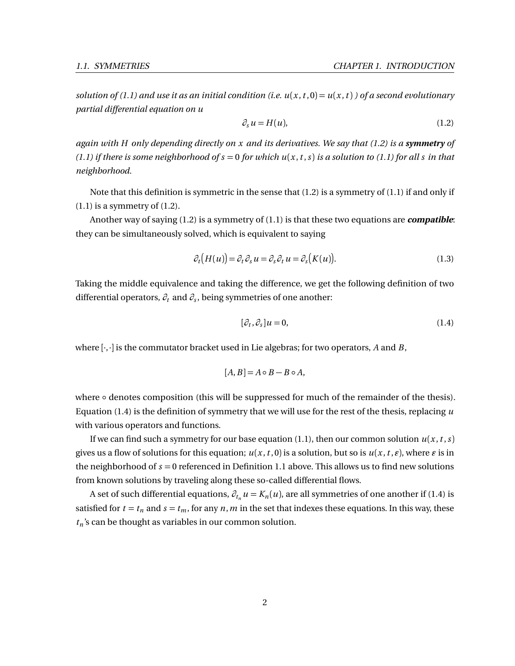*solution of [\(1.1\)](#page-7-2)* and use it as an initial condition (i.e.  $u(x, t, 0) = u(x, t)$ ) of a second evolutionary *partial differential equation on u*

<span id="page-8-0"></span>
$$
\partial_s u = H(u),\tag{1.2}
$$

*again with H only depending directly on x and its derivatives. We say that [\(1.2\)](#page-8-0) is a symmetry of [\(1.1\)](#page-7-2) if there is some neighborhood of s* = 0 *for which u*(*x* ,*t* ,*s*) *is a solution to [\(1.1\)](#page-7-2) for all s in that neighborhood.*

Note that this definition is symmetric in the sense that [\(1.2\)](#page-8-0) is a symmetry of [\(1.1\)](#page-7-2) if and only if  $(1.1)$  is a symmetry of  $(1.2)$ .

Another way of saying [\(1.2\)](#page-8-0) is a symmetry of [\(1.1\)](#page-7-2) is that these two equations are **compatible**: they can be simultaneously solved, which is equivalent to saying

<span id="page-8-2"></span>
$$
\partial_t \big( H(u) \big) = \partial_t \partial_s u = \partial_s \partial_t u = \partial_s \big( K(u) \big). \tag{1.3}
$$

Taking the middle equivalence and taking the difference, we get the following definition of two differential operators, *∂<sup>t</sup>* and *∂<sup>s</sup>* , being symmetries of one another:

<span id="page-8-1"></span>
$$
[\partial_t, \partial_s]u = 0,\t\t(1.4)
$$

where [·,·] is the commutator bracket used in Lie algebras; for two operators, *A* and *B*,

$$
[A, B] = A \circ B - B \circ A,
$$

where ∘ denotes composition (this will be suppressed for much of the remainder of the thesis). Equation [\(1.4\)](#page-8-1) is the definition of symmetry that we will use for the rest of the thesis, replacing *u* with various operators and functions.

If we can find such a symmetry for our base equation [\(1.1\)](#page-7-2), then our common solution  $u(x, t, s)$ gives us a flow of solutions for this equation;  $u(x, t, 0)$  is a solution, but so is  $u(x, t, \varepsilon)$ , where  $\varepsilon$  is in the neighborhood of *s* = 0 referenced in Definition [1.1](#page-7-3) above. This allows us to find new solutions from known solutions by traveling along these so-called differential flows.

A set of such differential equations,  $\partial_{t_n} u = K_n(u)$ , are all symmetries of one another if [\(1.4\)](#page-8-1) is satisfied for  $t = t_n$  and  $s = t_m$ , for any  $n, m$  in the set that indexes these equations. In this way, these *t<sup>n</sup>* 's can be thought as variables in our common solution.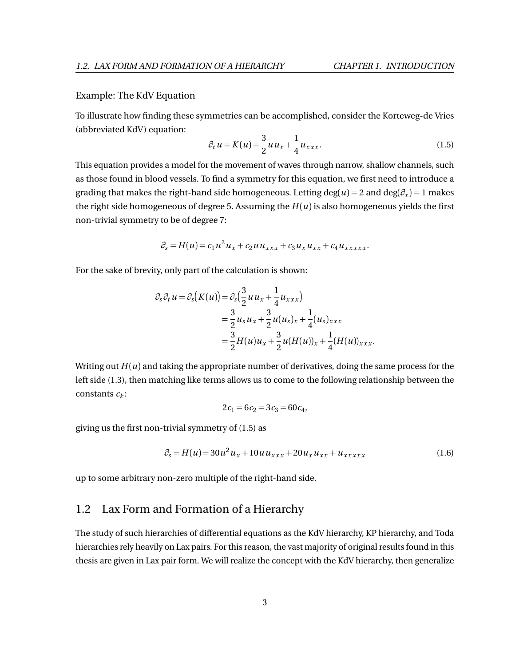### Example: The KdV Equation

To illustrate how finding these symmetries can be accomplished, consider the Korteweg-de Vries (abbreviated KdV) equation:

<span id="page-9-1"></span>
$$
\partial_t u = K(u) = \frac{3}{2} u u_x + \frac{1}{4} u_{xxx}.
$$
\n(1.5)

This equation provides a model for the movement of waves through narrow, shallow channels, such as those found in blood vessels. To find a symmetry for this equation, we first need to introduce a grading that makes the right-hand side homogeneous. Letting  $\deg(u) = 2$  and  $\deg(\partial_x) = 1$  makes the right side homogeneous of degree 5. Assuming the  $H(u)$  is also homogeneous yields the first non-trivial symmetry to be of degree 7:

$$
\partial_s = H(u) = c_1 u^2 u_x + c_2 u u_{xxx} + c_3 u_x u_{xx} + c_4 u_{xxxxx}.
$$

For the sake of brevity, only part of the calculation is shown:

$$
\partial_s \partial_t u = \partial_s (K(u)) = \partial_s \left(\frac{3}{2} u u_x + \frac{1}{4} u_{xxx}\right)
$$
  
=  $\frac{3}{2} u_s u_x + \frac{3}{2} u(u_s)_x + \frac{1}{4} (u_s)_{xxx}$   
=  $\frac{3}{2} H(u) u_x + \frac{3}{2} u (H(u))_x + \frac{1}{4} (H(u))_{xxx}.$ 

Writing out  $H(u)$  and taking the appropriate number of derivatives, doing the same process for the left side [\(1.3\)](#page-8-2), then matching like terms allows us to come to the following relationship between the constants *c<sup>k</sup>* :

$$
2c_1 = 6c_2 = 3c_3 = 60c_4,
$$

giving us the first non-trivial symmetry of [\(1.5\)](#page-9-1) as

$$
\partial_s = H(u) = 30u^2 u_x + 10u u_{xxx} + 20u_x u_{xx} + u_{xxxxx}
$$
\n(1.6)

up to some arbitrary non-zero multiple of the right-hand side.

### <span id="page-9-0"></span>1.2 Lax Form and Formation of a Hierarchy

The study of such hierarchies of differential equations as the KdV hierarchy, KP hierarchy, and Toda hierarchies rely heavily on Lax pairs. For this reason, the vast majority of original results found in this thesis are given in Lax pair form. We will realize the concept with the KdV hierarchy, then generalize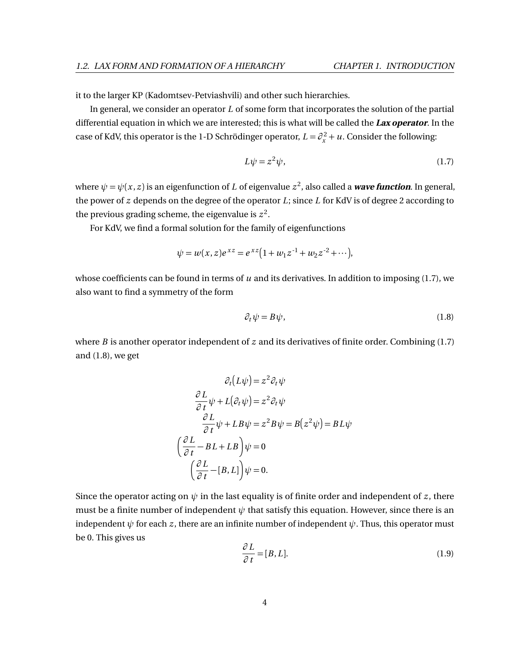it to the larger KP (Kadomtsev-Petviashvili) and other such hierarchies.

In general, we consider an operator *L* of some form that incorporates the solution of the partial differential equation in which we are interested; this is what will be called the **Lax operator**. In the case of KdV, this operator is the 1-D Schrödinger operator,  $L = \partial_x^2 + u$ . Consider the following:

<span id="page-10-0"></span>
$$
L\psi = z^2\psi,\tag{1.7}
$$

where  $\psi = \psi(x, z)$  is an eigenfunction of *L* of eigenvalue  $z^2$ , also called a **wave function**. In general, the power of *z* depends on the degree of the operator *L*; since *L* for KdV is of degree 2 according to the previous grading scheme, the eigenvalue is  $z^2$ .

For KdV, we find a formal solution for the family of eigenfunctions

$$
\psi = w(x, z)e^{xz} = e^{xz} \left( 1 + w_1 z^{-1} + w_2 z^{-2} + \cdots \right),
$$

whose coefficients can be found in terms of *u* and its derivatives. In addition to imposing [\(1.7\)](#page-10-0), we also want to find a symmetry of the form

<span id="page-10-1"></span>
$$
\partial_t \psi = B \psi,\tag{1.8}
$$

where *B* is another operator independent of *z* and its derivatives of finite order. Combining [\(1.7\)](#page-10-0) and [\(1.8\)](#page-10-1), we get

$$
\partial_t (L\psi) = z^2 \partial_t \psi
$$

$$
\frac{\partial L}{\partial t} \psi + L(\partial_t \psi) = z^2 \partial_t \psi
$$

$$
\frac{\partial L}{\partial t} \psi + LB\psi = z^2 B\psi = B(z^2 \psi) = BL\psi
$$

$$
\left(\frac{\partial L}{\partial t} - BL + LB\right) \psi = 0
$$

$$
\left(\frac{\partial L}{\partial t} - [B, L]\right) \psi = 0.
$$

Since the operator acting on  $\psi$  in the last equality is of finite order and independent of *z*, there must be a finite number of independent  $\psi$  that satisfy this equation. However, since there is an independent  $\psi$  for each *z*, there are an infinite number of independent  $\psi$ . Thus, this operator must be 0. This gives us *∂ L*

<span id="page-10-2"></span>
$$
\frac{\partial L}{\partial t} = [B, L]. \tag{1.9}
$$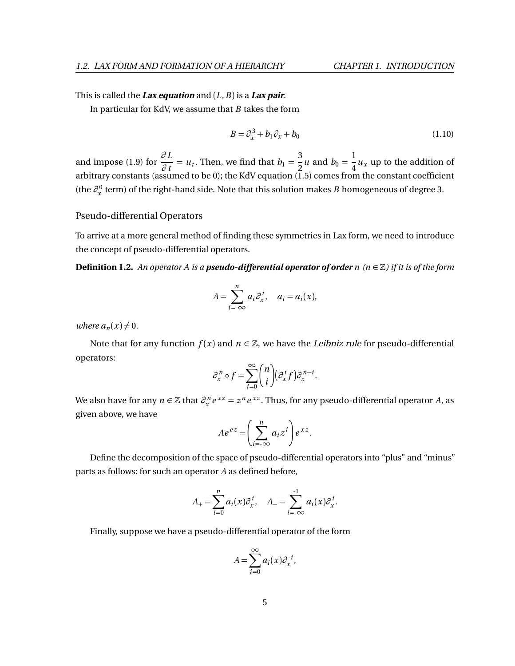### This is called the **Lax equation** and (*L*,*B*) is a **Lax pair**.

In particular for KdV, we assume that *B* takes the form

<span id="page-11-0"></span>
$$
B = \partial_x^3 + b_1 \partial_x + b_0 \tag{1.10}
$$

and impose [\(1.9\)](#page-10-2) for  $\frac{\partial L}{\partial t}$  $\frac{\partial L}{\partial t} = u_t$ . Then, we find that  $b_1 = \frac{3}{2}$  $\frac{3}{2}u$  and  $b_0 = \frac{1}{4}$  $\frac{1}{4}u_x$  up to the addition of arbitrary constants (assumed to be 0); the KdV equation [\(1.5\)](#page-9-1) comes from the constant coefficient (the *∂* 0 *x* term) of the right-hand side. Note that this solution makes *B* homogeneous of degree 3.

### Pseudo-differential Operators

To arrive at a more general method of finding these symmetries in Lax form, we need to introduce the concept of pseudo-differential operators.

**Definition 1.2.** *An operator A is a pseudo-differential operator of order <i>n* ( $n \in \mathbb{Z}$ ) if it is of the form

$$
A = \sum_{i=-\infty}^{n} a_i \partial_x^{i}, \quad a_i = a_i(x),
$$

*where*  $a_n(x) \neq 0$ .

Note that for any function  $f(x)$  and  $n \in \mathbb{Z}$ , we have the *Leibniz rule* for pseudo-differential operators:

$$
\partial_x^n \circ f = \sum_{i=0}^{\infty} {n \choose i} (\partial_x^i f) \partial_x^{n-i}.
$$

We also have for any  $n \in \mathbb{Z}$  that  $\partial_x^n e^{xz} = z^n e^{xz}$ . Thus, for any pseudo-differential operator *A*, as given above, we have

$$
Ae^{ez} = \left(\sum_{i=-\infty}^{n} a_i z^i\right) e^{xz}.
$$

Define the decomposition of the space of pseudo-differential operators into "plus" and "minus" parts as follows: for such an operator *A* as defined before,

$$
A_{+} = \sum_{i=0}^{n} a_i(x) \partial_x^{i}, \quad A_{-} = \sum_{i=-\infty}^{-1} a_i(x) \partial_x^{i}.
$$

Finally, suppose we have a pseudo-differential operator of the form

$$
A = \sum_{i=0}^{\infty} a_i(x) \partial_x^{-i},
$$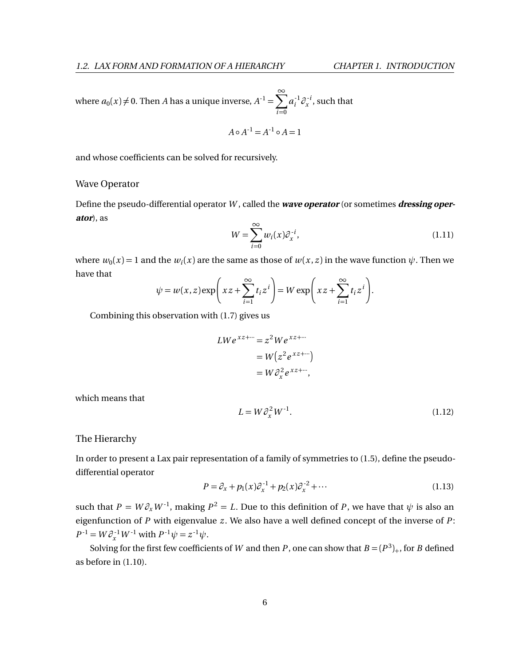where  $a_0(x) \neq 0$ . Then *A* has a unique inverse,  $A^{-1} = \sum^{\infty}$ *i*=0  $a_i^{-1}$  $\int_i^1$ ∂<sub>x</sub><sup>*i*</sup>  $\int_{x}^{\infty}$ , such that

$$
A \circ A^{-1} = A^{-1} \circ A = 1
$$

and whose coefficients can be solved for recursively.

### Wave Operator

Define the pseudo-differential operator *W* , called the **wave operator** (or sometimes **dressing operator**), as

$$
W = \sum_{i=0}^{\infty} w_i(x) \partial_x^{-i}, \qquad (1.11)
$$

where  $w_0(x) = 1$  and the  $w_i(x)$  are the same as those of  $w(x, z)$  in the wave function  $\psi$ . Then we have that  $\mathbf{A}$ 

$$
\psi = w(x, z) \exp\left(xz + \sum_{i=1}^{\infty} t_i z^i\right) = W \exp\left(xz + \sum_{i=1}^{\infty} t_i z^i\right).
$$

Combining this observation with [\(1.7\)](#page-10-0) gives us

$$
LWe^{xz+\cdots} = z^2 We^{xz+\cdots}
$$
  
=  $W(z^2e^{xz+\cdots})$   
=  $W\partial_x^2e^{xz+\cdots}$ ,

which means that

$$
L = W \partial_x^2 W^{-1}.
$$
 (1.12)

The Hierarchy

In order to present a Lax pair representation of a family of symmetries to [\(1.5\)](#page-9-1), define the pseudodifferential operator

$$
P = \partial_x + p_1(x)\partial_x^{-1} + p_2(x)\partial_x^{-2} + \cdots
$$
 (1.13)

such that  $P = W \partial_x W^{-1}$ , making  $P^2 = L$ . Due to this definition of *P*, we have that  $\psi$  is also an eigenfunction of  $P$  with eigenvalue  $z$ . We also have a well defined concept of the inverse of  $P$ :  $P^{-1} = W \partial_x^{-1} W^{-1}$  with  $P^{-1} \psi = z^{-1} \psi$ .

Solving for the first few coefficients of *W* and then *P*, one can show that  $B = (P^3)_+$ , for *B* defined as before in [\(1.10\)](#page-11-0).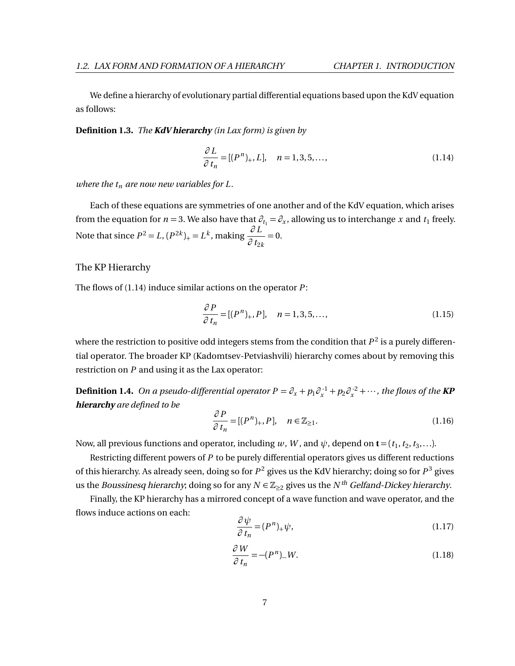We define a hierarchy of evolutionary partial differential equations based upon the KdV equation as follows:

**Definition 1.3.** *The* **KdV hierarchy** *(in Lax form) is given by*

<span id="page-13-0"></span>
$$
\frac{\partial L}{\partial t_n} = [(P^n)_+, L], \quad n = 1, 3, 5, \dots,
$$
\n(1.14)

*where the*  $t_n$  *are now new variables for L.* 

Each of these equations are symmetries of one another and of the KdV equation, which arises from the equation for *n* = 3. We also have that  $\partial_{t_1} = \partial_x$ , allowing us to interchange *x* and  $t_1$  freely. Note that since  $P^2 = L$ ,  $(P^{2k})_+ = L^k$ , making  $\frac{\partial L}{\partial t}$  $\frac{1}{\partial t_{2k}} = 0.$ 

### The KP Hierarchy

The flows of [\(1.14\)](#page-13-0) induce similar actions on the operator *P* :

$$
\frac{\partial P}{\partial t_n} = [(P^n)_+, P], \quad n = 1, 3, 5, \dots,
$$
\n(1.15)

where the restriction to positive odd integers stems from the condition that  $P^2$  is a purely differential operator. The broader KP (Kadomtsev-Petviashvili) hierarchy comes about by removing this restriction on *P* and using it as the Lax operator:

**Definition 1.4.** On a pseudo-differential operator  $P = \partial_x + p_1 \partial_x^{-1} + p_2 \partial_x^{-2} + \cdots$ , the flows of the **KP hierarchy** *are defined to be*

$$
\frac{\partial P}{\partial t_n} = [(P^n)_+, P], \quad n \in \mathbb{Z}_{\ge 1}.
$$
\n(1.16)

Now, all previous functions and operator, including  $w$  ,  $W$  , and  $\psi$  , depend on  $\mathbf{t} = (t_1, t_2, t_3, \ldots)$ .

Restricting different powers of *P* to be purely differential operators gives us different reductions of this hierarchy. As already seen, doing so for *P* <sup>2</sup> gives us the KdV hierarchy; doing so for *P* <sup>3</sup> gives us the *Boussinesq hierarchy*; doing so for any  $N \in \mathbb{Z}_{\geq 2}$  gives us the  $N^{th}$  Gelfand-Dickey hierarchy.

Finally, the KP hierarchy has a mirrored concept of a wave function and wave operator, and the flows induce actions on each:

$$
\frac{\partial \psi}{\partial t_n} = (P^n)_+ \psi,\tag{1.17}
$$

$$
\frac{\partial W}{\partial t_n} = -(P^n)_- W. \tag{1.18}
$$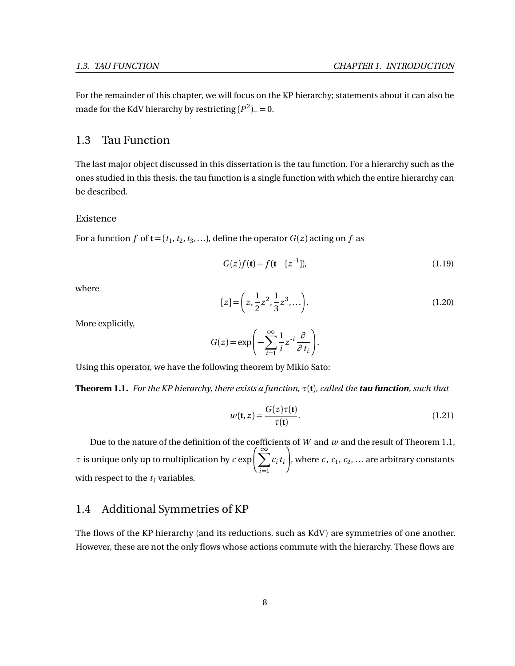For the remainder of this chapter, we will focus on the KP hierarchy; statements about it can also be made for the KdV hierarchy by restricting  $(P^2)$ <sub>−</sub> = 0.

# <span id="page-14-0"></span>1.3 Tau Function

The last major object discussed in this dissertation is the tau function. For a hierarchy such as the ones studied in this thesis, the tau function is a single function with which the entire hierarchy can be described.

### Existence

For a function  $f$  of  $\mathbf{t} = (t_1, t_2, t_3, \ldots)$ , define the operator  $G(z)$  acting on  $f$  as

<span id="page-14-5"></span>
$$
G(z)f(\mathbf{t}) = f(\mathbf{t} - [z^{-1}]), \tag{1.19}
$$

where

<span id="page-14-4"></span>
$$
[z] = \left(z, \frac{1}{2}z^2, \frac{1}{3}z^3, \ldots\right). \tag{1.20}
$$

More explicitly,

$$
G(z) = \exp\left(-\sum_{i=1}^{\infty} \frac{1}{i} z^{-i} \frac{\partial}{\partial t_i}\right).
$$

<span id="page-14-2"></span>Using this operator, we have the following theorem by Mikio Sato:

**Theorem 1.1.** *For the KP hierarchy, there exists a function, τ*(**t**)*, called the* **tau function***, such that*

<span id="page-14-3"></span>
$$
w(\mathbf{t}, z) = \frac{G(z)\tau(\mathbf{t})}{\tau(\mathbf{t})}.
$$
\n(1.21)

Due to the nature of the definition of the coefficients of *W* and *w* and the result of Theorem [1.1,](#page-14-2) *τ* is unique only up to multiplication by  $c \exp\left(\sum_{n=1}^{\infty} x\right)$ *i*=1 *ci ti* λ , where  $c$ ,  $c_1$ ,  $c_2$ ,  $\ldots$  are arbitrary constants with respect to the  $t_i$  variables.

# <span id="page-14-1"></span>1.4 Additional Symmetries of KP

The flows of the KP hierarchy (and its reductions, such as KdV) are symmetries of one another. However, these are not the only flows whose actions commute with the hierarchy. These flows are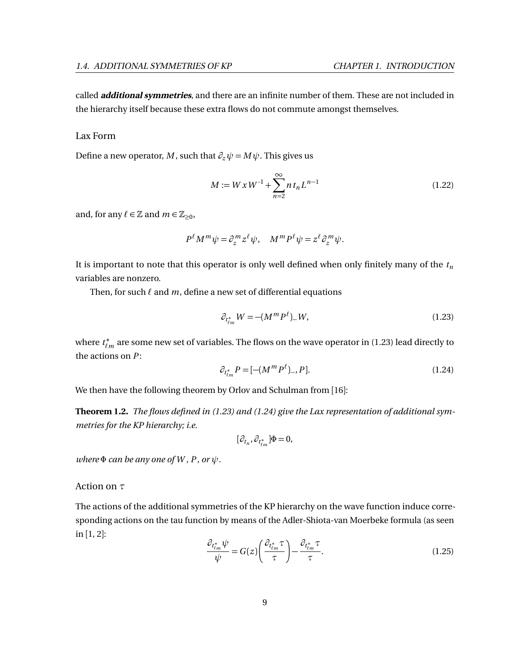called **additional symmetries**, and there are an infinite number of them. These are not included in the hierarchy itself because these extra flows do not commute amongst themselves.

#### Lax Form

Define a new operator, *M*, such that  $\partial_z \psi = M \psi$ . This gives us

<span id="page-15-2"></span>
$$
M := W x W^{-1} + \sum_{n=2}^{\infty} n t_n L^{n-1}
$$
 (1.22)

and, for any  $\ell \in \mathbb{Z}$  and  $m \in \mathbb{Z}_{\geq 0}$ ,

$$
P^{\ell} M^m \psi = \partial_z^m z^{\ell} \psi, \quad M^m P^{\ell} \psi = z^{\ell} \partial_z^m \psi.
$$

It is important to note that this operator is only well defined when only finitely many of the *t<sup>n</sup>* variables are nonzero.

Then, for such  $\ell$  and  $m$ , define a new set of differential equations

<span id="page-15-0"></span>
$$
\partial_{t_{\ell m}^*} W = -(M^m P^\ell)_{-} W,\tag{1.23}
$$

where *t* ∗  $^*_{\ell m}$  are some new set of variables. The flows on the wave operator in [\(1.23\)](#page-15-0) lead directly to the actions on *P* :

<span id="page-15-1"></span>
$$
\partial_{t_{\ell m}^*} P = [-(M^m P^\ell)_-, P]. \tag{1.24}
$$

We then have the following theorem by Orlov and Schulman from [[16](#page-75-0)]:

**Theorem 1.2.** *The flows defined in [\(1.23\)](#page-15-0) and [\(1.24\)](#page-15-1) give the Lax representation of additional symmetries for the KP hierarchy; i.e.*

$$
[\partial_{t_n}, \partial_{t_{\ell m}^*}] \Phi = 0,
$$

*where*  $\Phi$  *can be any one of W, P, or*  $\psi$ *.* 

Action on *τ*

The actions of the additional symmetries of the KP hierarchy on the wave function induce corresponding actions on the tau function by means of the Adler-Shiota-van Moerbeke formula (as seen in [[1,](#page-74-2) [2](#page-74-3)]:

$$
\frac{\partial_{t_{\ell m}^*} \psi}{\psi} = G(z) \left( \frac{\partial_{t_{\ell m}^*} \tau}{\tau} \right) - \frac{\partial_{t_{\ell m}^*} \tau}{\tau}.
$$
\n(1.25)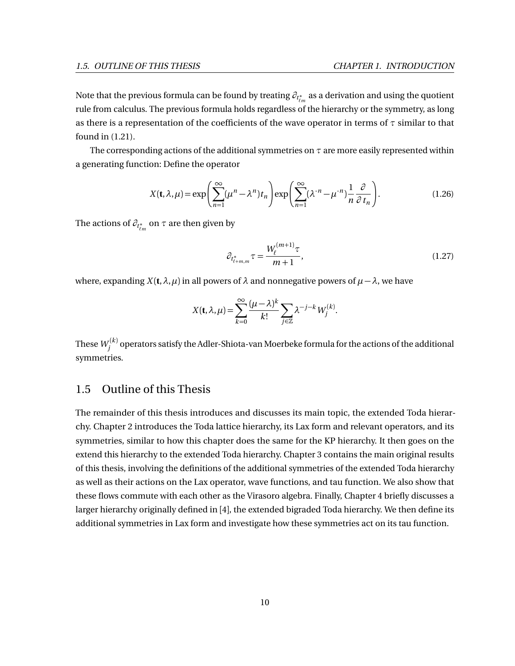Note that the previous formula can be found by treating  $\partial_{t^*_{\ell m}}$  as a derivation and using the quotient rule from calculus. The previous formula holds regardless of the hierarchy or the symmetry, as long as there is a representation of the coefficients of the wave operator in terms of *τ* similar to that found in [\(1.21\)](#page-14-3).

The corresponding actions of the additional symmetries on *τ* are more easily represented within a generating function: Define the operator

$$
X(\mathbf{t}, \lambda, \mu) = \exp\left(\sum_{n=1}^{\infty} (\mu^n - \lambda^n) t_n\right) \exp\left(\sum_{n=1}^{\infty} (\lambda^{-n} - \mu^{-n}) \frac{1}{n} \frac{\partial}{\partial t_n}\right).
$$
 (1.26)

The actions of  $\partial_{t_{\ell m}^*}$  on  $\tau$  are then given by

<span id="page-16-1"></span>
$$
\partial_{t_{\ell+m,m}^*} \tau = \frac{W_{\ell}^{(m+1)} \tau}{m+1},\tag{1.27}
$$

where, expanding  $X(t, \lambda, \mu)$  in all powers of  $\lambda$  and nonnegative powers of  $\mu - \lambda$ , we have

$$
X(\mathbf{t}, \lambda, \mu) = \sum_{k=0}^{\infty} \frac{(\mu - \lambda)^k}{k!} \sum_{j \in \mathbb{Z}} \lambda^{-j-k} W_j^{(k)}.
$$

These  $\mathit{W}^{(k)}_{j}$  operators satisfy the Adler-Shiota-van Moerbeke formula for the actions of the additional symmetries.

## <span id="page-16-0"></span>1.5 Outline of this Thesis

The remainder of this thesis introduces and discusses its main topic, the extended Toda hierarchy. Chapter [2](#page-17-0) introduces the Toda lattice hierarchy, its Lax form and relevant operators, and its symmetries, similar to how this chapter does the same for the KP hierarchy. It then goes on the extend this hierarchy to the extended Toda hierarchy. Chapter [3](#page-31-0) contains the main original results of this thesis, involving the definitions of the additional symmetries of the extended Toda hierarchy as well as their actions on the Lax operator, wave functions, and tau function. We also show that these flows commute with each other as the Virasoro algebra. Finally, Chapter [4](#page-61-0) briefly discusses a larger hierarchy originally defined in [[4](#page-74-4)], the extended bigraded Toda hierarchy. We then define its additional symmetries in Lax form and investigate how these symmetries act on its tau function.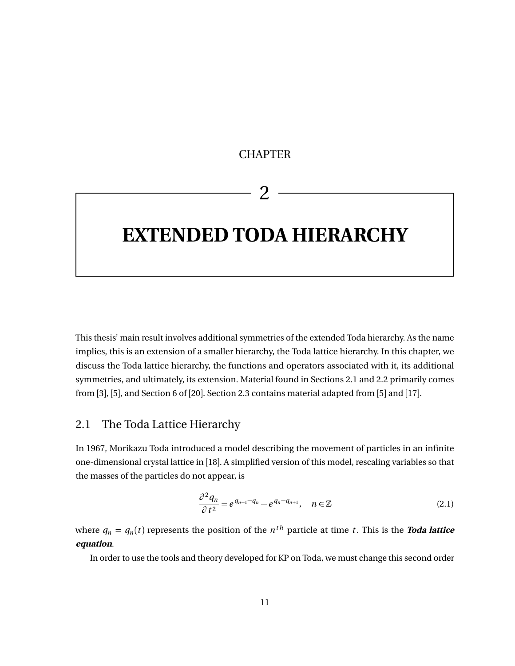# **CHAPTER**

# 2

# <span id="page-17-0"></span>**EXTENDED TODA HIERARCHY**

This thesis' main result involves additional symmetries of the extended Toda hierarchy. As the name implies, this is an extension of a smaller hierarchy, the Toda lattice hierarchy. In this chapter, we discuss the Toda lattice hierarchy, the functions and operators associated with it, its additional symmetries, and ultimately, its extension. Material found in Sections [2.1](#page-17-1) and [2.2](#page-20-0) primarily comes from [[3](#page-74-5)], [[5](#page-74-6)], and Section 6 of [[20](#page-75-1)]. Section [2.3](#page-24-0) contains material adapted from [[5](#page-74-6)] and [[17](#page-75-2)].

# <span id="page-17-1"></span>2.1 The Toda Lattice Hierarchy

In 1967, Morikazu Toda introduced a model describing the movement of particles in an infinite one-dimensional crystal lattice in [[18](#page-75-3)]. A simplified version of this model, rescaling variables so that the masses of the particles do not appear, is

$$
\frac{\partial^2 q_n}{\partial t^2} = e^{q_{n-1} - q_n} - e^{q_n - q_{n+1}}, \quad n \in \mathbb{Z}
$$
\n(2.1)

where  $q_n = q_n(t)$  represents the position of the  $n^{th}$  particle at time *t*. This is the **Toda lattice equation**.

In order to use the tools and theory developed for KP on Toda, we must change this second order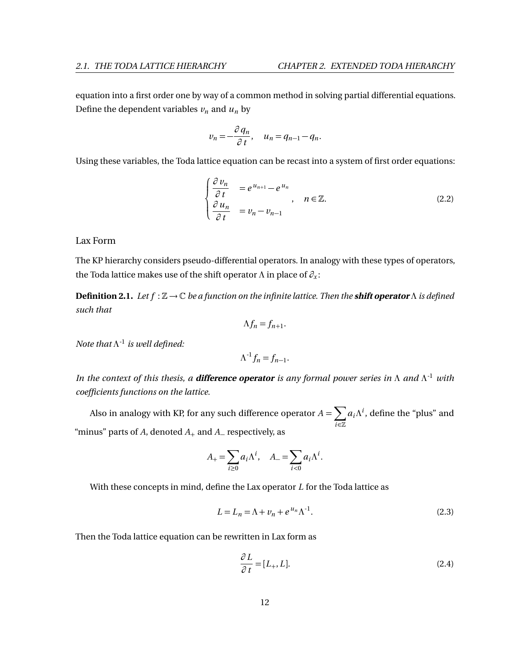equation into a first order one by way of a common method in solving partial differential equations. Define the dependent variables  $v_n$  and  $u_n$  by

$$
v_n = -\frac{\partial q_n}{\partial t}, \quad u_n = q_{n-1} - q_n.
$$

Using these variables, the Toda lattice equation can be recast into a system of first order equations:

<span id="page-18-0"></span>
$$
\begin{cases}\n\frac{\partial v_n}{\partial t} &= e^{u_{n+1}} - e^{u_n} \\
\frac{\partial u_n}{\partial t} &= v_n - v_{n-1}\n\end{cases}, \quad n \in \mathbb{Z}.
$$
\n(2.2)

### Lax Form

The KP hierarchy considers pseudo-differential operators. In analogy with these types of operators, the Toda lattice makes use of the shift operator *Λ* in place of *∂<sup>x</sup>* :

<span id="page-18-3"></span>**Definition 2.1.** *Let f* : Z → C *be a function on the infinite lattice. Then the* **shift operator** *Λ is defined such that*

$$
\Lambda f_n = f_{n+1}.
$$

*Note that Λ -*1 *is well defined:*

$$
\Lambda^{-1}f_n = f_{n-1}.
$$

*In the context of this thesis, a* **difference operator** *is any formal power series in Λ and Λ -*<sup>1</sup> *with coefficients functions on the lattice.*

Also in analogy with KP, for any such difference operator  $A = \sum A$ *i*∈Z  $a_i \Lambda^i$ , define the "plus" and "minus" parts of *A*, denoted *A*<sup>+</sup> and *A*<sup>−</sup> respectively, as

$$
A_{+} = \sum_{i \geq 0} a_i \Lambda^i, \quad A_{-} = \sum_{i < 0} a_i \Lambda^i.
$$

With these concepts in mind, define the Lax operator *L* for the Toda lattice as

<span id="page-18-2"></span>
$$
L = L_n = \Lambda + \nu_n + e^{\mu_n} \Lambda^{-1}.
$$
\n(2.3)

Then the Toda lattice equation can be rewritten in Lax form as

<span id="page-18-1"></span>
$$
\frac{\partial L}{\partial t} = [L_+, L]. \tag{2.4}
$$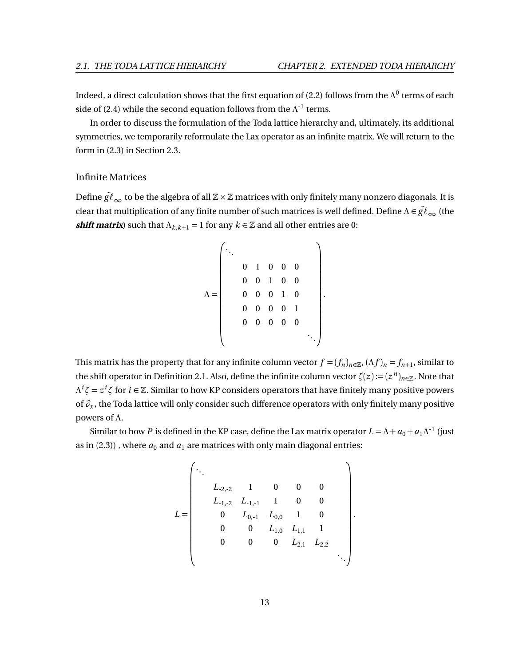Indeed, a direct calculation shows that the first equation of [\(2.2\)](#page-18-0) follows from the  $\Lambda^0$  terms of each side of [\(2.4\)](#page-18-1) while the second equation follows from the  $\Lambda^{-1}$  terms.

In order to discuss the formulation of the Toda lattice hierarchy and, ultimately, its additional symmetries, we temporarily reformulate the Lax operator as an infinite matrix. We will return to the form in [\(2.3\)](#page-18-2) in Section [2.3.](#page-24-0)

### Infinite Matrices

Define  $\tilde{gl}_{\infty}$  to be the algebra of all  $\mathbb{Z} \times \mathbb{Z}$  matrices with only finitely many nonzero diagonals. It is clear that multiplication of any finite number of such matrices is well defined. Define  $\Lambda \in \tilde{gl}_{\infty}$  (the *shift matrix*) such that  $\Lambda_{k,k+1} = 1$  for any  $k \in \mathbb{Z}$  and all other entries are 0:

$$
\Lambda = \left(\begin{array}{cccccc} \ddots & & & & & \\ & 0 & 1 & 0 & 0 & 0 & \\ & 0 & 0 & 1 & 0 & 0 & \\ & 0 & 0 & 0 & 1 & 0 & \\ & 0 & 0 & 0 & 0 & 1 & \\ & 0 & 0 & 0 & 0 & 0 & \\ & & 0 & 0 & 0 & 0 & 0 & \\ & & & & & & \ddots \end{array}\right).
$$

This matrix has the property that for any infinite column vector  $f = (f_n)_{n \in \mathbb{Z}}$ ,  $(\Lambda f)_n = f_{n+1}$ , similar to the shift operator in Definition [2.1.](#page-18-3) Also, define the infinite column vector  $\zeta(z) := (z^n)_{n \in \mathbb{Z}}$ . Note that  $\Lambda^i \zeta = z^i \zeta$  for  $i \in \mathbb{Z}$ . Similar to how KP considers operators that have finitely many positive powers of *∂<sup>x</sup>* , the Toda lattice will only consider such difference operators with only finitely many positive powers of *Λ*.

Similar to how *P* is defined in the KP case, define the Lax matrix operator  $L = \Lambda + a_0 + a_1 \Lambda^{-1}$  (just as in  $(2.3)$ ), where  $a_0$  and  $a_1$  are matrices with only main diagonal entries:

$$
L = \begin{pmatrix}\n\ddots & & & & & & \\
& L_{-2,-2} & 1 & 0 & 0 & 0 \\
& L_{-1,-2} & L_{-1,-1} & 1 & 0 & 0 \\
& 0 & L_{0,-1} & L_{0,0} & 1 & 0 \\
& 0 & 0 & L_{1,0} & L_{1,1} & 1 \\
& 0 & 0 & 0 & L_{2,1} & L_{2,2} \\
& & & & & & \ddots\n\end{pmatrix}
$$

.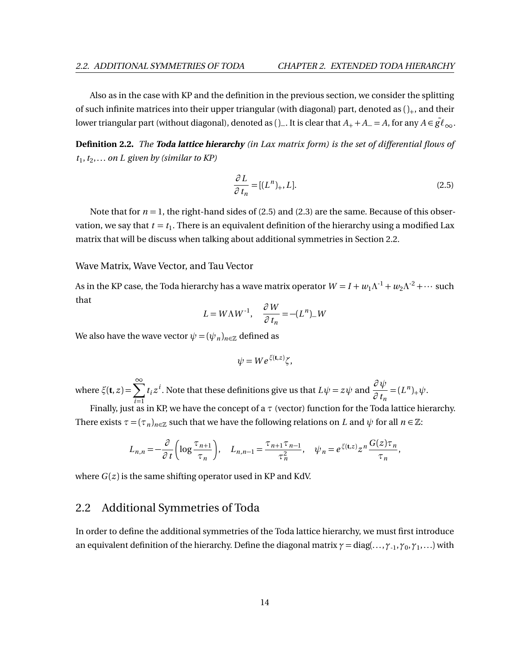Also as in the case with KP and the definition in the previous section, we consider the splitting of such infinite matrices into their upper triangular (with diagonal) part, denoted as  $()_+$ , and their lower triangular part (without diagonal), denoted as ()\_. It is clear that  $A_+ + A_- = A$ , for any  $A \in \tilde{gl}_{\infty}$ .

**Definition 2.2.** *The* **Toda lattice hierarchy** *(in Lax matrix form) is the set of differential flows of*  $t_1, t_2, \ldots$  *on L given by (similar to KP)* 

<span id="page-20-1"></span>
$$
\frac{\partial L}{\partial t_n} = [(L^n)_+, L]. \tag{2.5}
$$

Note that for  $n = 1$ , the right-hand sides of [\(2.5\)](#page-20-1) and [\(2.3\)](#page-18-2) are the same. Because of this observation, we say that  $t = t_\mathrm{l}$  . There is an equivalent definition of the hierarchy using a modified Lax matrix that will be discuss when talking about additional symmetries in Section [2.2.](#page-20-0)

Wave Matrix, Wave Vector, and Tau Vector

As in the KP case, the Toda hierarchy has a wave matrix operator  $W = I + w_1 \Lambda^{-1} + w_2 \Lambda^{-2} + \cdots$  such that

$$
L = W\Lambda W^{-1}, \quad \frac{\partial W}{\partial t_n} = -(L^n)_- W
$$

We also have the wave vector  $\psi = (\psi_n)_{n \in \mathbb{Z}}$  defined as

$$
\psi = We^{\xi(\mathbf{t},z)}\zeta,
$$

where  $\xi(\mathbf{t}, z) = \sum_{n=0}^{\infty}$ *i*=1 *t*<sub>*i*</sub>  $z^i$ . Note that these definitions give us that  $L\psi = z\psi$  and  $\frac{\partial \psi}{\partial t}$  $\frac{\partial \varphi}{\partial t_n} = (L^n)_+ \psi.$ 

Finally, just as in KP, we have the concept of a *τ* (vector) function for the Toda lattice hierarchy. There exists  $\tau = (\tau_n)_{n \in \mathbb{Z}}$  such that we have the following relations on *L* and  $\psi$  for all  $n \in \mathbb{Z}$ :

$$
L_{n,n} = -\frac{\partial}{\partial t} \left( \log \frac{\tau_{n+1}}{\tau_n} \right), \quad L_{n,n-1} = \frac{\tau_{n+1} \tau_{n-1}}{\tau_n^2}, \quad \psi_n = e^{\xi(\mathbf{t}, z)} z^n \frac{G(z) \tau_n}{\tau_n},
$$

where  $G(z)$  is the same shifting operator used in KP and KdV.

# <span id="page-20-0"></span>2.2 Additional Symmetries of Toda

In order to define the additional symmetries of the Toda lattice hierarchy, we must first introduce an equivalent definition of the hierarchy. Define the diagonal matrix *γ* = diag(...,*γ*-1,*γ*<sup>0</sup> ,*γ*<sup>1</sup> ,...) with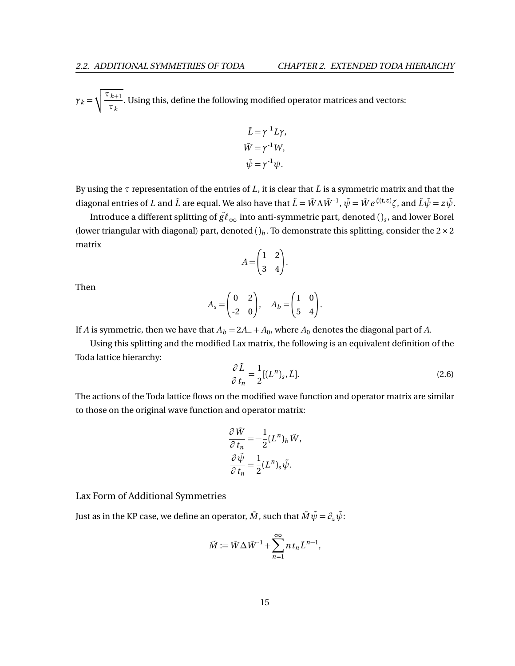$\gamma_k = \sqrt{\frac{\tau_{k+1}}{\tau}}$  $\frac{k+1}{\tau_k}$ . Using this, define the following modified operator matrices and vectors:

$$
\tilde{L} = \gamma^{-1} L \gamma,
$$
  
\n
$$
\tilde{W} = \gamma^{-1} W,
$$
  
\n
$$
\tilde{\psi} = \gamma^{-1} \psi.
$$

By using the  $\tau$  representation of the entries of L, it is clear that  $\tilde{L}$  is a symmetric matrix and that the diagonal entries of *L* and  $\tilde{L}$  are equal. We also have that  $\tilde{L} = \tilde{W} \Lambda \tilde{W}^{-1}$ ,  $\tilde{\psi} = \tilde{W} e^{\xi(t,z)} \zeta$ , and  $\tilde{L} \tilde{\psi} = z \tilde{\psi}$ .

Introduce a different splitting of  $\tilde{gl}_{\infty}$  into anti-symmetric part, denoted ( ) $_{s}$  , and lower Borel (lower triangular with diagonal) part, denoted  $()_b$ . To demonstrate this splitting, consider the  $2 \times 2$ matrix

$$
A = \begin{pmatrix} 1 & 2 \\ 3 & 4 \end{pmatrix}.
$$

Then

$$
A_s = \begin{pmatrix} 0 & 2 \\ -2 & 0 \end{pmatrix}, \quad A_b = \begin{pmatrix} 1 & 0 \\ 5 & 4 \end{pmatrix}.
$$

If *A* is symmetric, then we have that  $A_b = 2A_+ + A_0$ , where  $A_0$  denotes the diagonal part of *A*.

Using this splitting and the modified Lax matrix, the following is an equivalent definition of the Toda lattice hierarchy:

$$
\frac{\partial \tilde{L}}{\partial t_n} = \frac{1}{2} [(L^n)_s, \tilde{L}].
$$
\n(2.6)

The actions of the Toda lattice flows on the modified wave function and operator matrix are similar to those on the original wave function and operator matrix:

$$
\frac{\partial \tilde{W}}{\partial t_n} = -\frac{1}{2} (L^n)_b \tilde{W},
$$

$$
\frac{\partial \tilde{\psi}}{\partial t_n} = \frac{1}{2} (L^n)_s \tilde{\psi}.
$$

Lax Form of Additional Symmetries

Just as in the KP case, we define an operator,  $\tilde{M}$ , such that  $\tilde{M}\tilde{\psi} = \partial_z \tilde{\psi}$ .

$$
\tilde{M} := \tilde{W} \Delta \tilde{W}^{-1} + \sum_{n=1}^{\infty} n t_n \tilde{L}^{n-1},
$$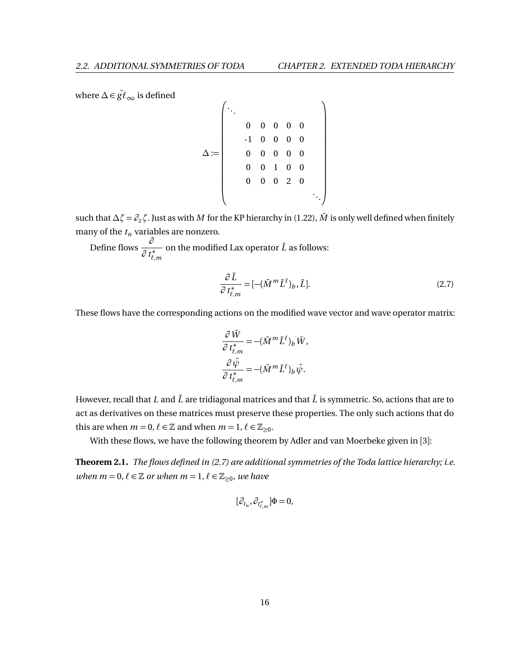where  $\Delta \in \tilde{gl}_{\infty}$  is defined

*∆* := . . . 0 0 0 0 0 -1 0 0 0 0 0 0 0 0 0 0 0 1 0 0 0 0 0 2 0 . . .

such that *∆ζ* =  $∂<sub>z</sub>$ *ζ*. Just as with *M* for the KP hierarchy in [\(1.22\)](#page-15-2), *M* is only well defined when finitely many of the  $t_n$  variables are nonzero.

Define flows *∂ ∂ t* ∗  $\ell$ *,m* on the modified Lax operator  $\tilde{L}$  as follows:

<span id="page-22-0"></span>
$$
\frac{\partial \tilde{L}}{\partial t_{\ell,m}^*} = [-(\tilde{M}^m \tilde{L}^\ell)_b, \tilde{L}].
$$
\n(2.7)

λ

 $\mathbf{I}$  $\mathbf{I}$  $\mathbf{I}$  $\mathbf{I}$  $\mathbf{I}$ -1  $\mathbf{I}$  $\mathbf{I}$  $\mathbf{I}$  $\mathbf{I}$ -1  $\mathbf{I}$  $\mathbf{I}$ 

These flows have the corresponding actions on the modified wave vector and wave operator matrix:

$$
\begin{aligned} \frac{\partial \, \tilde{W}}{\partial \, t^*_{\ell,m}}=& -(\tilde{M}^m \tilde{L}^\ell)_b \, \tilde{W},\\ \frac{\partial \, \tilde{\psi}}{\partial \, t^*_{\ell,m}}=& -(\tilde{M}^m \tilde{L}^\ell)_b \, \tilde{\psi}. \end{aligned}
$$

However, recall that *L* and  $\tilde{L}$  are tridiagonal matrices and that  $\tilde{L}$  is symmetric. So, actions that are to act as derivatives on these matrices must preserve these properties. The only such actions that do this are when  $m = 0$ ,  $\ell \in \mathbb{Z}$  and when  $m = 1$ ,  $\ell \in \mathbb{Z}_{\geq 0}$ .

With these flows, we have the following theorem by Adler and van Moerbeke given in [[3](#page-74-5)]:

**Theorem 2.1.** *The flows defined in [\(2.7\)](#page-22-0) are additional symmetries of the Toda lattice hierarchy; i.e. when*  $m = 0, \ell \in \mathbb{Z}$  *or when*  $m = 1, \ell \in \mathbb{Z}_{\geq 0}$ *, we have* 

$$
[\partial_{t_n}, \partial_{t_{\ell,m}^*}]\Phi = 0,
$$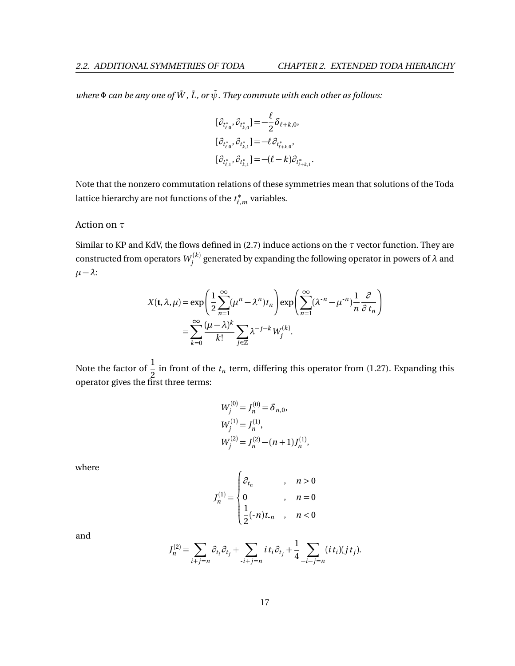*where*  $\Phi$  *can be any one of*  $\tilde{W}$ *,*  $\tilde{L}$ *, or*  $\tilde{\psi}$ *. They commute with each other as follows:* 

$$
[\partial_{t_{\ell,0}^*}, \partial_{t_{k,0}^*}] = -\frac{\ell}{2} \delta_{\ell+k,0},
$$
  

$$
[\partial_{t_{\ell,0}^*}, \partial_{t_{k,1}^*}] = -\ell \partial_{t_{\ell+k,0}^*},
$$
  

$$
[\partial_{t_{\ell,1}^*}, \partial_{t_{k,1}^*}] = -(\ell - k) \partial_{t_{\ell+k,1}^*}.
$$

Note that the nonzero commutation relations of these symmetries mean that solutions of the Toda lattice hierarchy are not functions of the *t* ∗  $\chi^*_{\ell,m}$  variables.

### Action on *τ*

Similar to KP and KdV, the flows defined in [\(2.7\)](#page-22-0) induce actions on the *τ* vector function. They are constructed from operators  $W_j^{(k)}$  generated by expanding the following operator in powers of  $\lambda$  and  $\mu - \lambda$ :

$$
X(\mathbf{t}, \lambda, \mu) = \exp\left(\frac{1}{2} \sum_{n=1}^{\infty} (\mu^n - \lambda^n) t_n\right) \exp\left(\sum_{n=1}^{\infty} (\lambda^{-n} - \mu^{-n}) \frac{1}{n} \frac{\partial}{\partial t_n}\right)
$$

$$
= \sum_{k=0}^{\infty} \frac{(\mu - \lambda)^k}{k!} \sum_{j \in \mathbb{Z}} \lambda^{-j-k} W_j^{(k)}.
$$

Note the factor of  $\frac{1}{2}$  $\frac{1}{2}$  in front of the  $t_n$  term, differing this operator from [\(1.27\)](#page-16-1). Expanding this operator gives the first three terms:

$$
W_j^{(0)} = J_n^{(0)} = \delta_{n,0},
$$
  
\n
$$
W_j^{(1)} = J_n^{(1)},
$$
  
\n
$$
W_j^{(2)} = J_n^{(2)} - (n+1)J_n^{(1)},
$$

where

$$
J_n^{(1)} = \begin{cases} \partial_{t_n} & , n > 0 \\ 0 & , n = 0 \\ \frac{1}{2}(-n)t_{\cdot n} & , n < 0 \end{cases}
$$

and

$$
J_n^{(2)} = \sum_{i+j=n} \partial_{t_i} \partial_{t_j} + \sum_{i+j=n} i t_i \partial_{t_j} + \frac{1}{4} \sum_{-i-j=n} (i t_i)(j t_j).
$$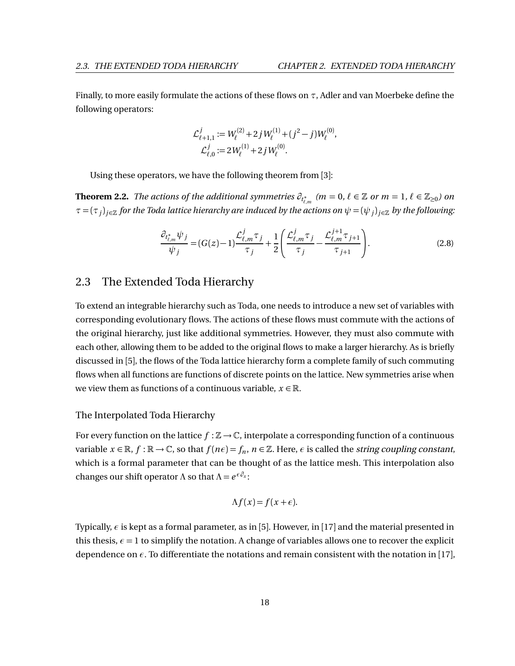Finally, to more easily formulate the actions of these flows on *τ*, Adler and van Moerbeke define the following operators:

$$
\mathcal{L}_{\ell+1,1}^j := W_{\ell}^{(2)} + 2j W_{\ell}^{(1)} + (j^2 - j) W_{\ell}^{(0)},
$$
  

$$
\mathcal{L}_{\ell,0}^j := 2W_{\ell}^{(1)} + 2j W_{\ell}^{(0)}.
$$

Using these operators, we have the following theorem from [[3](#page-74-5)]:

**Theorem 2.2.** *The actions of the additional symmetries*  $\partial_{t^*_{\ell,m}}$  *(m = 0,*  $\ell \in \mathbb{Z}$  *or*  $m = 1, \, \ell \in \mathbb{Z}_{\geq 0}$ *) on τ* = (*τ<sup>j</sup>* )*j*∈<sup>Z</sup> *for the Toda lattice hierarchy are induced by the actions on ψ* = (*ψ<sup>j</sup>* )*j*∈<sup>Z</sup> *by the following:*

$$
\frac{\partial_{t_{\ell,m}^*} \psi_j}{\psi_j} = (G(z) - 1) \frac{\mathcal{L}_{\ell,m}^j \tau_j}{\tau_j} + \frac{1}{2} \left( \frac{\mathcal{L}_{\ell,m}^j \tau_j}{\tau_j} - \frac{\mathcal{L}_{\ell,m}^{j+1} \tau_{j+1}}{\tau_{j+1}} \right). \tag{2.8}
$$

### <span id="page-24-0"></span>2.3 The Extended Toda Hierarchy

To extend an integrable hierarchy such as Toda, one needs to introduce a new set of variables with corresponding evolutionary flows. The actions of these flows must commute with the actions of the original hierarchy, just like additional symmetries. However, they must also commute with each other, allowing them to be added to the original flows to make a larger hierarchy. As is briefly discussed in [[5](#page-74-6)], the flows of the Toda lattice hierarchy form a complete family of such commuting flows when all functions are functions of discrete points on the lattice. New symmetries arise when we view them as functions of a continuous variable,  $x \in \mathbb{R}$ .

### The Interpolated Toda Hierarchy

For every function on the lattice  $f : \mathbb{Z} \to \mathbb{C}$ , interpolate a corresponding function of a continuous variable  $x \in \mathbb{R}$ ,  $f : \mathbb{R} \to \mathbb{C}$ , so that  $f(n\epsilon) = f_n$ ,  $n \in \mathbb{Z}$ . Here,  $\epsilon$  is called the *string coupling constant*, which is a formal parameter that can be thought of as the lattice mesh. This interpolation also changes our shift operator  $Λ$  so that  $Λ = e^{ε∂<sub>x</sub>}$ :

$$
\Lambda f(x) = f(x + \epsilon).
$$

Typically, *ε* is kept as a formal parameter, as in [[5](#page-74-6)]. However, in [[17](#page-75-2)] and the material presented in this thesis,  $\epsilon = 1$  to simplify the notation. A change of variables allows one to recover the explicit dependence on  $\epsilon$ . To differentiate the notations and remain consistent with the notation in [[17](#page-75-2)],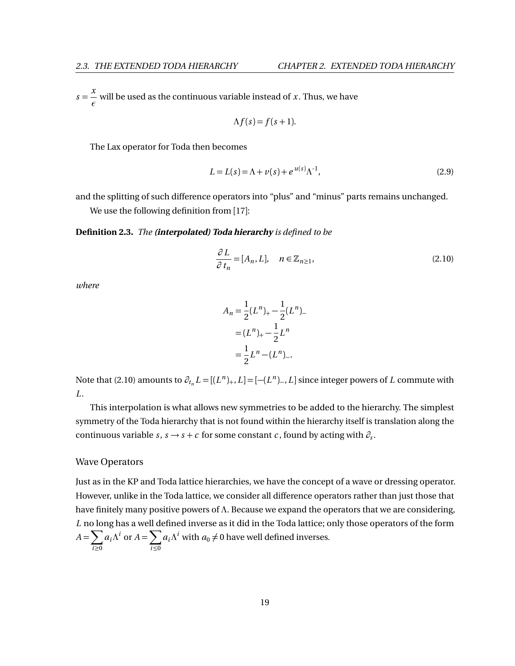$s = \frac{x}{x}$  $\frac{1}{\epsilon}$  will be used as the continuous variable instead of *x* . Thus, we have

$$
\Lambda f(s) = f(s+1).
$$

The Lax operator for Toda then becomes

$$
L = L(s) = \Lambda + \nu(s) + e^{\mu(s)} \Lambda^{-1},
$$
\n(2.9)

and the splitting of such difference operators into "plus" and "minus" parts remains unchanged. We use the following definition from [[17](#page-75-2)]:

#### **Definition 2.3.** *The* **(interpolated) Toda hierarchy** *is defined to be*

<span id="page-25-0"></span>
$$
\frac{\partial L}{\partial t_n} = [A_n, L], \quad n \in \mathbb{Z}_{n \ge 1},
$$
\n(2.10)

*where*

$$
A_n = \frac{1}{2}(L^n)_{+} - \frac{1}{2}(L^n)_{-}
$$
  
=  $(L^n)_{+} - \frac{1}{2}L^n$   
=  $\frac{1}{2}L^n - (L^n)_{-}.$ 

Note that [\(2.10\)](#page-25-0) amounts to  $\partial_{t_n} L = [(L^n)_+, L] = [-(L^n)_-, L]$  since integer powers of *L* commute with *L*.

This interpolation is what allows new symmetries to be added to the hierarchy. The simplest symmetry of the Toda hierarchy that is not found within the hierarchy itself is translation along the continuous variable *s*, *s* → *s* + *c* for some constant *c*, found by acting with  $\partial_s$ .

### Wave Operators

Just as in the KP and Toda lattice hierarchies, we have the concept of a wave or dressing operator. However, unlike in the Toda lattice, we consider all difference operators rather than just those that have finitely many positive powers of *Λ*. Because we expand the operators that we are considering, *L* no long has a well defined inverse as it did in the Toda lattice; only those operators of the form  $A = \sum$ *i*≥0  $a_i \Lambda^i$  or  $A = \sum$ *i*≤0  $a_i \Lambda^i$  with  $a_0 \neq 0$  have well defined inverses.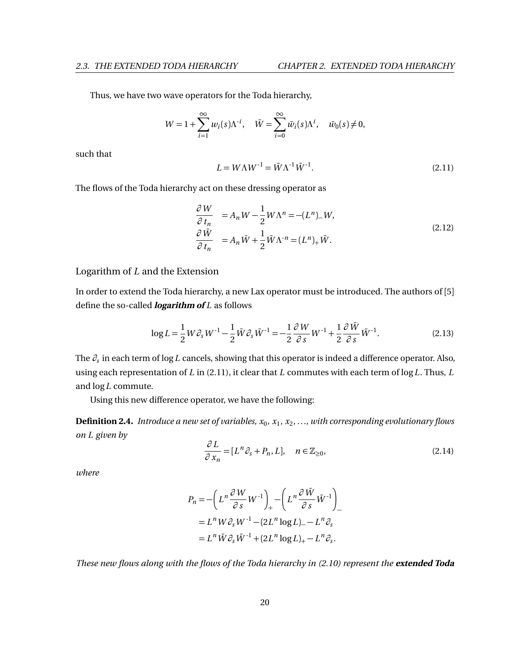Thus, we have two wave operators for the Toda hierarchy,

$$
W = 1 + \sum_{i=1}^{\infty} w_i(s) \Lambda^{i}, \quad \bar{W} = \sum_{i=0}^{\infty} \bar{w}_i(s) \Lambda^{i}, \quad \bar{w}_0(s) \neq 0,
$$

such that

<span id="page-26-0"></span>
$$
L = W\Lambda W^{-1} = \bar{W}\Lambda^{-1}\bar{W}^{-1}.
$$
\n(2.11)

The flows of the Toda hierarchy act on these dressing operator as

<span id="page-26-2"></span>
$$
\frac{\partial W}{\partial t_n} = A_n W - \frac{1}{2} W \Lambda^n = -(L^n)_- W,
$$
\n
$$
\frac{\partial \bar{W}}{\partial t_n} = A_n \bar{W} + \frac{1}{2} \bar{W} \Lambda^{-n} = (L^n)_+ \bar{W}.
$$
\n(2.12)

### Logarithm of *L* and the Extension

In order to extend the Toda hierarchy, a new Lax operator must be introduced. The authors of [[5](#page-74-6)] define the so-called **logarithm of** *L* as follows

$$
\log L = \frac{1}{2} W \partial_s W^{-1} - \frac{1}{2} \bar{W} \partial_s \bar{W}^{-1} = -\frac{1}{2} \frac{\partial W}{\partial s} W^{-1} + \frac{1}{2} \frac{\partial \bar{W}}{\partial s} \bar{W}^{-1}.
$$
 (2.13)

The *∂<sup>s</sup>* in each term of log*L* cancels, showing that this operator is indeed a difference operator. Also, using each representation of *L* in [\(2.11\)](#page-26-0), it clear that *L* commutes with each term of log*L*. Thus, *L* and log*L* commute.

Using this new difference operator, we have the following:

**Definition 2.4.** *Introduce a new set of variables, x*<sup>0</sup> *, x*<sup>1</sup> *, x*<sup>2</sup> *,* ...*, with corresponding evolutionary flows on L given by*

<span id="page-26-1"></span>
$$
\frac{\partial L}{\partial x_n} = [L^n \partial_s + P_n, L], \quad n \in \mathbb{Z}_{\ge 0},
$$
\n(2.14)

*where*

$$
P_n = -\left(L^n \frac{\partial W}{\partial s} W^{-1}\right)_+ - \left(L^n \frac{\partial \bar{W}}{\partial s} \bar{W}^{-1}\right)_-
$$
  
=  $L^n W \partial_s W^{-1} - (2L^n \log L)_- - L^n \partial_s$   
=  $L^n \bar{W} \partial_s \bar{W}^{-1} + (2L^n \log L)_+ - L^n \partial_s.$ 

*These new flows along with the flows of the Toda hierarchy in [\(2.10\)](#page-25-0) represent the* **extended Toda**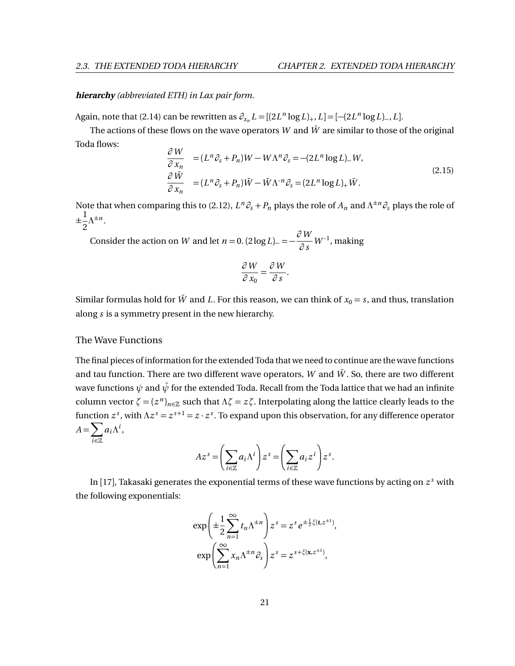#### **hierarchy** *(abbreviated ETH) in Lax pair form.*

Again, note that [\(2.14\)](#page-26-1) can be rewritten as  $\partial_{x_n} L = [(2L^n \log L)_+, L] = [-(2L^n \log L)_-, L]$ .

The actions of these flows on the wave operators *W* and  $\bar{W}$  are similar to those of the original Toda flows: *∂ W*

<span id="page-27-0"></span>
$$
\frac{\partial W}{\partial x_n} = (L^n \partial_s + P_n) W - W \Lambda^n \partial_s = -(2L^n \log L) - W,
$$
\n
$$
\frac{\partial \bar{W}}{\partial x_n} = (L^n \partial_s + P_n) \bar{W} - \bar{W} \Lambda^n \partial_s = (2L^n \log L)_+ \bar{W}.
$$
\n(2.15)

Note that when comparing this to [\(2.12\)](#page-26-2),  $L^n \partial_s + P_n$  plays the role of  $A_n$  and  $\Lambda^{\pm n} \partial_s$  plays the role of  $_{\pm \frac{1}{2}}$  $rac{1}{2}Λ^{\pm n}$ .

Consider the action on *W* and let *n* = 0.  $(2 \log L)$  =  $-\frac{\partial W}{\partial \Omega}$  $\frac{\partial^2 W}{\partial s}$  *W*<sup>-1</sup>, making

$$
\frac{\partial W}{\partial x_0} = \frac{\partial W}{\partial s}
$$

.

Similar formulas hold for  $\bar{W}$  and *L*. For this reason, we can think of  $x_0 = s$ , and thus, translation along *s* is a symmetry present in the new hierarchy.

### The Wave Functions

The final pieces of information for the extended Toda that we need to continue are the wave functions and tau function. There are two different wave operators,  $W$  and  $\bar{W}$ . So, there are two different wave functions  $\psi$  and  $\bar{\psi}$  for the extended Toda. Recall from the Toda lattice that we had an infinite column vector  $\zeta = (z^n)_{n \in \mathbb{Z}}$  such that  $\Lambda \zeta = z \zeta$ . Interpolating along the lattice clearly leads to the function  $z^s$ , with  $\Lambda z^s = z^{s+1} = z \cdot z^s$ . To expand upon this observation, for any difference operator  $A = \sum$ *i*∈Z  $a_i \Lambda^i$ ,

$$
Az^{s} = \left(\sum_{i \in \mathbb{Z}} a_{i} \Lambda^{i}\right) z^{s} = \left(\sum_{i \in \mathbb{Z}} a_{i} z^{i}\right) z^{s}.
$$

In [[17](#page-75-2)], Takasaki generates the exponential terms of these wave functions by acting on *z <sup>s</sup>* with the following exponentials:

$$
\exp\left(\pm\frac{1}{2}\sum_{n=1}^{\infty}t_n\Lambda^{\pm n}\right)z^s = z^s e^{\pm\frac{1}{2}\zeta(\mathbf{t},z^{\pm 1})},
$$

$$
\exp\left(\sum_{n=1}^{\infty}x_n\Lambda^{\pm n}\partial_s\right)z^s = z^{s+\zeta(\mathbf{x},z^{\pm 1})},
$$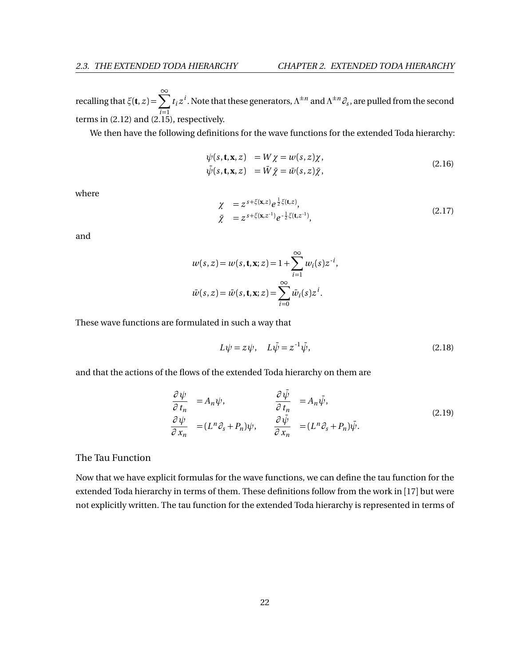recalling that  $\xi$ (**t**, *z*) =  $\sum^{\infty}$ *i*=1  $t_i z^i$ . Note that these generators,  $\Lambda^{\pm n}$  and  $\Lambda^{\pm n}$   $\mathcal{O}_s$ , are pulled from the second terms in [\(2.12\)](#page-26-2) and [\(2.15\)](#page-27-0), respectively.

We then have the following definitions for the wave functions for the extended Toda hierarchy:

$$
\psi(s, \mathbf{t}, \mathbf{x}, z) = W \chi = w(s, z) \chi,
$$
  
\n
$$
\bar{\psi}(s, \mathbf{t}, \mathbf{x}, z) = \bar{W} \bar{\chi} = \bar{w}(s, z) \bar{\chi},
$$
\n(2.16)

where

$$
\begin{aligned}\n\chi &= z^{s + \xi(\mathbf{x}, z)} e^{\frac{1}{2}\xi(\mathbf{t}, z)}, \\
\bar{\chi} &= z^{s + \xi(\mathbf{x}, z^{-1})} e^{-\frac{1}{2}\xi(\mathbf{t}, z^{-1})},\n\end{aligned} \tag{2.17}
$$

and

$$
w(s, z) = w(s, \mathbf{t}, \mathbf{x}; z) = 1 + \sum_{i=1}^{\infty} w_i(s) z^{-i},
$$
  

$$
\bar{w}(s, z) = \bar{w}(s, \mathbf{t}, \mathbf{x}; z) = \sum_{i=0}^{\infty} \bar{w}_i(s) z^{i}.
$$

These wave functions are formulated in such a way that

<span id="page-28-0"></span>
$$
L\psi = z\psi, \quad L\bar{\psi} = z^{-1}\bar{\psi}, \tag{2.18}
$$

and that the actions of the flows of the extended Toda hierarchy on them are

$$
\begin{aligned}\n\frac{\partial \psi}{\partial t_n} &= A_n \psi, & \frac{\partial \bar{\psi}}{\partial t_n} &= A_n \bar{\psi}, \\
\frac{\partial \psi}{\partial x_n} &= (L^n \partial_s + P_n) \psi, & \frac{\partial \bar{\psi}}{\partial x_n} &= (L^n \partial_s + P_n) \bar{\psi}.\n\end{aligned}
$$
(2.19)

The Tau Function

Now that we have explicit formulas for the wave functions, we can define the tau function for the extended Toda hierarchy in terms of them. These definitions follow from the work in [[17](#page-75-2)] but were not explicitly written. The tau function for the extended Toda hierarchy is represented in terms of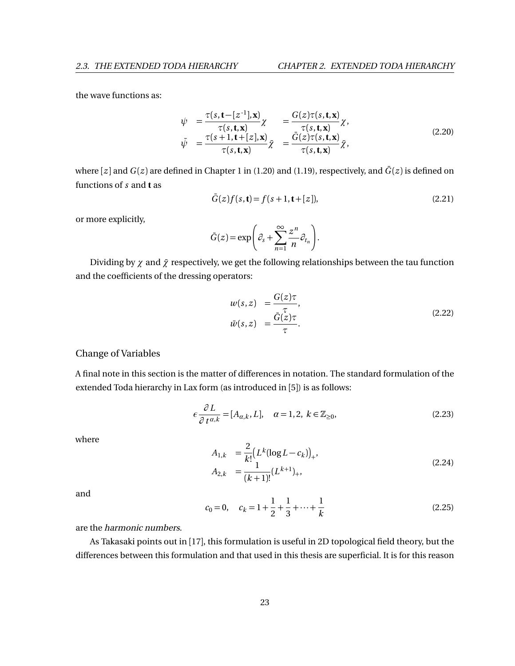the wave functions as:

$$
\psi = \frac{\tau(s, \mathbf{t} - [z^{-1}], \mathbf{x})}{\tau(s, \mathbf{t}, \mathbf{x})} \chi = \frac{G(z)\tau(s, \mathbf{t}, \mathbf{x})}{\tau(s, \mathbf{t}, \mathbf{x})} \chi,
$$
\n
$$
\bar{\psi} = \frac{\tau(s+1, \mathbf{t} + [z], \mathbf{x})}{\tau(s, \mathbf{t}, \mathbf{x})} \bar{\chi} = \frac{\bar{G}(z)\tau(s, \mathbf{t}, \mathbf{x})}{\tau(s, \mathbf{t}, \mathbf{x})} \bar{\chi},
$$
\n(2.20)

where  $[z]$  and  $G(z)$  are defined in Chapter [1](#page-7-0) in [\(1.20\)](#page-14-4) and [\(1.19\)](#page-14-5), respectively, and  $\bar{G}(z)$  is defined on functions of *s* and **t** as

$$
\bar{G}(z)f(s,t) = f(s+1,t+[z]),
$$
\n(2.21)

or more explicitly,

$$
\bar{G}(z) = \exp\bigg(\partial_s + \sum_{n=1}^{\infty} \frac{z^n}{n} \partial_{t_n}\bigg).
$$

Dividing by  $\chi$  and  $\bar{\chi}$  respectively, we get the following relationships between the tau function and the coefficients of the dressing operators:

$$
w(s, z) = \frac{G(z)\tau}{\tau},
$$
  
\n
$$
\bar{w}(s, z) = \frac{\bar{G}(z)\tau}{\tau}.
$$
\n(2.22)

### Change of Variables

A final note in this section is the matter of differences in notation. The standard formulation of the extended Toda hierarchy in Lax form (as introduced in [[5](#page-74-6)]) is as follows:

<span id="page-29-0"></span>
$$
\epsilon \frac{\partial L}{\partial t^{\alpha,k}} = [A_{\alpha,k}, L], \quad \alpha = 1, 2, \ k \in \mathbb{Z}_{\geq 0}, \tag{2.23}
$$

where

$$
A_{1,k} = \frac{2}{k!} (L^k (\log L - c_k))_+,
$$
  
\n
$$
A_{2,k} = \frac{1}{(k+1)!} (L^{k+1})_+,
$$
\n(2.24)

and

$$
c_0 = 0, \quad c_k = 1 + \frac{1}{2} + \frac{1}{3} + \dots + \frac{1}{k}
$$
 (2.25)

are the harmonic numbers.

As Takasaki points out in [[17](#page-75-2)], this formulation is useful in 2D topological field theory, but the differences between this formulation and that used in this thesis are superficial. It is for this reason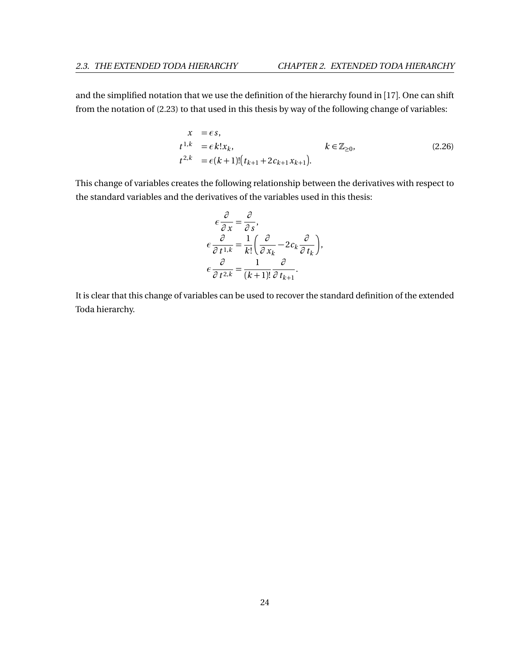and the simplified notation that we use the definition of the hierarchy found in [[17](#page-75-2)]. One can shift from the notation of [\(2.23\)](#page-29-0) to that used in this thesis by way of the following change of variables:

$$
x = \epsilon s,
$$
  
\n
$$
t^{1,k} = \epsilon k! x_k,
$$
  
\n
$$
t^{2,k} = \epsilon (k+1)!(t_{k+1} + 2c_{k+1}x_{k+1}).
$$
  
\n
$$
k \in \mathbb{Z}_{\geq 0},
$$
  
\n(2.26)

This change of variables creates the following relationship between the derivatives with respect to the standard variables and the derivatives of the variables used in this thesis:

$$
\epsilon \frac{\partial}{\partial x} = \frac{\partial}{\partial s},
$$
  
\n
$$
\epsilon \frac{\partial}{\partial t^{1,k}} = \frac{1}{k!} \left( \frac{\partial}{\partial x_k} - 2c_k \frac{\partial}{\partial t_k} \right),
$$
  
\n
$$
\epsilon \frac{\partial}{\partial t^{2,k}} = \frac{1}{(k+1)!} \frac{\partial}{\partial t_{k+1}}.
$$

It is clear that this change of variables can be used to recover the standard definition of the extended Toda hierarchy.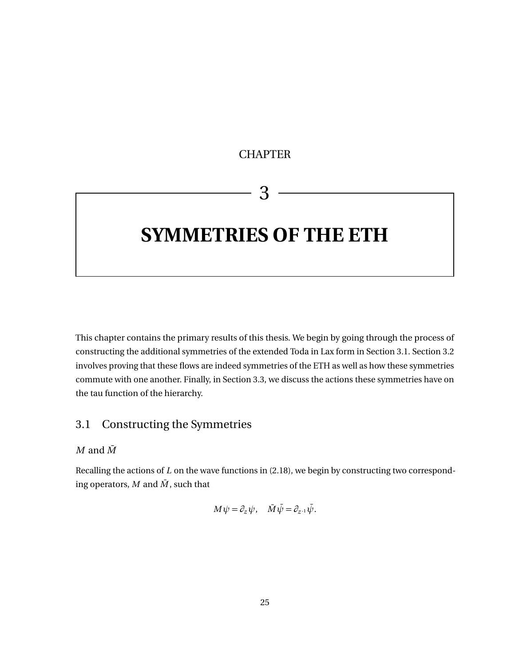# **CHAPTER**

# 3

# <span id="page-31-0"></span>**SYMMETRIES OF THE ETH**

This chapter contains the primary results of this thesis. We begin by going through the process of constructing the additional symmetries of the extended Toda in Lax form in Section [3.1.](#page-31-1) Section [3.2](#page-36-0) involves proving that these flows are indeed symmetries of the ETH as well as how these symmetries commute with one another. Finally, in Section [3.3,](#page-42-0) we discuss the actions these symmetries have on the tau function of the hierarchy.

# <span id="page-31-1"></span>3.1 Constructing the Symmetries

 $M$  and  $\overline{M}$ 

Recalling the actions of *L* on the wave functions in [\(2.18\)](#page-28-0), we begin by constructing two corresponding operators,  $M$  and  $\overline{M}$ , such that

$$
M\psi = \partial_z \psi, \quad \bar{M}\bar{\psi} = \partial_{z^{-1}}\bar{\psi}.
$$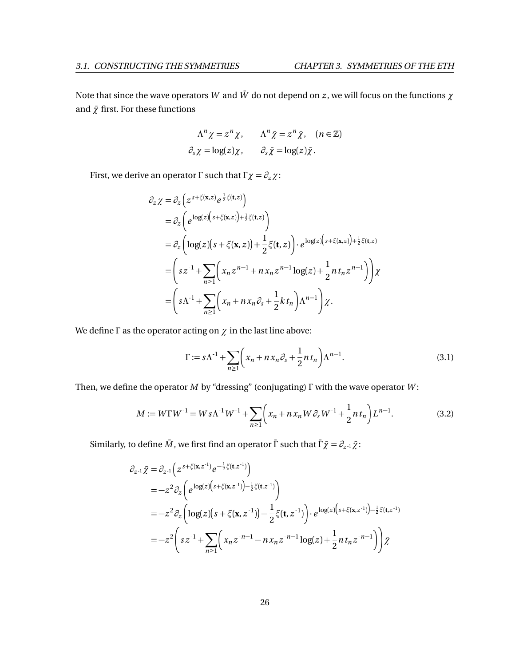Note that since the wave operators  $W$  and  $\bar{W}$  do not depend on  $z$ , we will focus on the functions  $\chi$ and  $\bar{\chi}$  first. For these functions

$$
\Lambda^n \chi = z^n \chi, \qquad \Lambda^n \bar{\chi} = z^n \bar{\chi}, \quad (n \in \mathbb{Z})
$$
  

$$
\partial_s \chi = \log(z) \chi, \qquad \partial_s \bar{\chi} = \log(z) \bar{\chi}.
$$

First, we derive an operator *Γ* such that  $Γχ = ∂_z χ$ :

$$
\partial_z \chi = \partial_z \left( z^{s + \xi(\mathbf{x}, z)} e^{\frac{1}{2} \xi(\mathbf{t}, z)} \right)
$$
  
\n
$$
= \partial_z \left( e^{\log(z) \left( s + \xi(\mathbf{x}, z) \right) + \frac{1}{2} \xi(\mathbf{t}, z)} \right)
$$
  
\n
$$
= \partial_z \left( \log(z) \left( s + \xi(\mathbf{x}, z) \right) + \frac{1}{2} \xi(\mathbf{t}, z) \right) \cdot e^{\log(z) \left( s + \xi(\mathbf{x}, z) \right) + \frac{1}{2} \xi(\mathbf{t}, z)}
$$
  
\n
$$
= \left( s z^{-1} + \sum_{n \ge 1} \left( x_n z^{n-1} + n x_n z^{n-1} \log(z) + \frac{1}{2} n t_n z^{n-1} \right) \right) \chi
$$
  
\n
$$
= \left( s \Lambda^{-1} + \sum_{n \ge 1} \left( x_n + n x_n \partial_s + \frac{1}{2} k t_n \right) \Lambda^{n-1} \right) \chi.
$$

We define *Γ* as the operator acting on *χ* in the last line above:

$$
\Gamma := s\Lambda^{-1} + \sum_{n\geq 1} \left( x_n + nx_n \partial_s + \frac{1}{2} nt_n \right) \Lambda^{n-1}.
$$
\n(3.1)

Then, we define the operator *M* by "dressing" (conjugating) *Γ* with the wave operator *W* :

$$
M := W\Gamma W^{-1} = W s \Lambda^{-1} W^{-1} + \sum_{n \ge 1} \left( x_n + n x_n W \partial_s W^{-1} + \frac{1}{2} n t_n \right) L^{n-1}.
$$
 (3.2)

Similarly, to define  $\overline{M}$ , we first find an operator  $\overline{\Gamma}$  such that  $\overline{\Gamma}$  $\overline{\chi} = \partial_{z^{-1}} \overline{\chi}$ :

$$
\partial_{z^{-1}} \bar{\chi} = \partial_{z^{-1}} \left( z^{s + \zeta(\mathbf{x}, z^{-1})} e^{-\frac{1}{2} \zeta(\mathbf{t}, z^{-1})} \right)
$$
  
\n
$$
= -z^2 \partial_z \left( e^{\log(z) \left( s + \zeta(\mathbf{x}, z^{-1}) \right) - \frac{1}{2} \zeta(\mathbf{t}, z^{-1})} \right)
$$
  
\n
$$
= -z^2 \partial_z \left( \log(z) \left( s + \zeta(\mathbf{x}, z^{-1}) \right) - \frac{1}{2} \zeta(\mathbf{t}, z^{-1}) \right) \cdot e^{\log(z) \left( s + \zeta(\mathbf{x}, z^{-1}) \right) - \frac{1}{2} \zeta(\mathbf{t}, z^{-1})}
$$
  
\n
$$
= -z^2 \left( s z^{-1} + \sum_{n \ge 1} \left( x_n z^{-n-1} - n x_n z^{-n-1} \log(z) + \frac{1}{2} n t_n z^{-n-1} \right) \right) \bar{\chi}
$$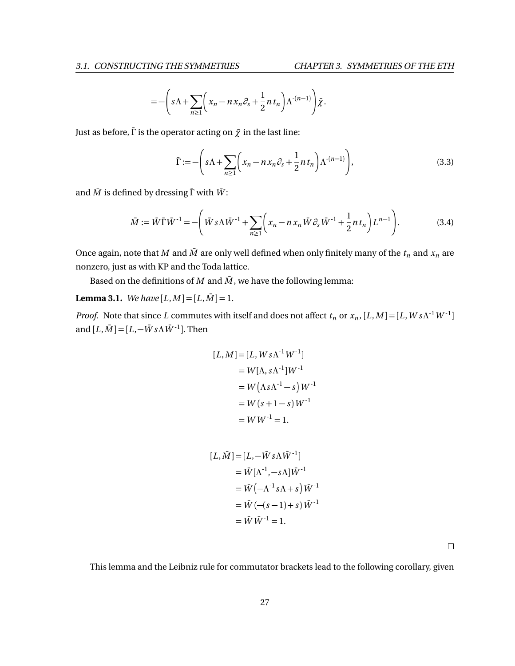$$
=-\bigg(s\Lambda+\sum_{n\geq 1}\bigg(x_n-n\,x_n\partial_s+\frac{1}{2}n\,t_n\bigg)\Lambda^{-(n-1)}\bigg)\tilde{\chi}.
$$

Just as before,  $\bar{\Gamma}$  is the operator acting on  $\bar{\chi}$  in the last line:

$$
\bar{\Gamma} := -\left(s\Lambda + \sum_{n\geq 1} \left(x_n - nx_n \partial_s + \frac{1}{2}nt_n\right)\Lambda^{-(n-1)}\right),\tag{3.3}
$$

and  $\bar{M}$  is defined by dressing  $\bar{\Gamma}$  with  $\bar{W}$ :

$$
\bar{M} := \bar{W}\bar{\Gamma}\bar{W}^{-1} = -\left(\bar{W}s\Lambda\bar{W}^{-1} + \sum_{n\geq 1} \left(x_n - nx_n\bar{W}\partial_s\bar{W}^{-1} + \frac{1}{2}nt_n\right)L^{n-1}\right).
$$
(3.4)

Once again, note that *M* and  $\bar{M}$  are only well defined when only finitely many of the  $t_n$  and  $x_n$  are nonzero, just as with KP and the Toda lattice.

Based on the definitions of *M* and  $\overline{M}$ , we have the following lemma:

<span id="page-33-0"></span>**Lemma 3.1.** *We have*  $[L, M] = [L, \overline{M}] = 1$ *.* 

*Proof.* Note that since *L* commutes with itself and does not affect  $t_n$  or  $x_n$ ,  $[L, M] = [L, W s \Lambda^{-1} W^{-1}]$ and  $[L, \overline{M}] = [L, -\overline{W} s \Lambda \overline{W}]$ . Then

$$
[L, M] = [L, W s \Lambda^{-1} W^{-1}]
$$
  
=  $W[\Lambda, s \Lambda^{-1}] W^{-1}$   
=  $W(\Lambda s \Lambda^{-1} - s) W^{-1}$   
=  $W(s + 1 - s) W^{-1}$   
=  $W W^{-1} = 1$ .

$$
[L, \bar{M}] = [L, -\bar{W} s \Lambda \bar{W}^{-1}]
$$
  
=  $\bar{W} [\Lambda^{-1}, -s \Lambda] \bar{W}^{-1}$   
=  $\bar{W} (-\Lambda^{-1} s \Lambda + s) \bar{W}^{-1}$   
=  $\bar{W} (- (s-1) + s) \bar{W}^{-1}$   
=  $\bar{W} \bar{W}^{-1} = 1$ .

 $\Box$ 

This lemma and the Leibniz rule for commutator brackets lead to the following corollary, given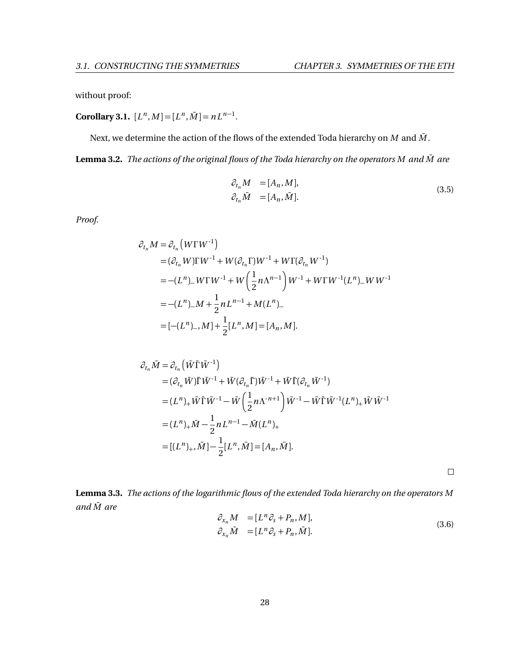without proof:

**Corollary 3.1.**  $[L^n, M] = [L^n, \overline{M}] = nL^{n-1}$ .

Next, we determine the action of the flows of the extended Toda hierarchy on  $M$  and  $\overline{M}$ .

Lemma 3.2. *The actions of the original flows of the Toda hierarchy on the operators M and*  $\bar{M}$  are

$$
\partial_{t_n} M = [A_n, M], \n\partial_{t_n} \bar{M} = [A_n, \bar{M}].
$$
\n(3.5)

*Proof.*

$$
\partial_{t_n} M = \partial_{t_n} (W \Gamma W^{-1})
$$
  
=  $(\partial_{t_n} W) \Gamma W^{-1} + W (\partial_{t_n} \Gamma) W^{-1} + W \Gamma (\partial_{t_n} W^{-1})$   
=  $-(L^n)_{-} W \Gamma W^{-1} + W \left(\frac{1}{2} n \Lambda^{n-1}\right) W^{-1} + W \Gamma W^{-1} (L^n)_{-} W W^{-1}$   
=  $-(L^n)_{-} M + \frac{1}{2} n L^{n-1} + M (L^n)_{-}$   
=  $[-(L^n)_{-}, M] + \frac{1}{2} [L^n, M] = [A_n, M].$ 

$$
\partial_{t_n} \bar{M} = \partial_{t_n} (\bar{W} \bar{\Gamma} \bar{W}^{-1})
$$
\n
$$
= (\partial_{t_n} \bar{W}) \bar{\Gamma} \bar{W}^{-1} + \bar{W} (\partial_{t_n} \bar{\Gamma}) \bar{W}^{-1} + \bar{W} \bar{\Gamma} (\partial_{t_n} \bar{W}^{-1})
$$
\n
$$
= (L^n)_+ \bar{W} \bar{\Gamma} \bar{W}^{-1} - \bar{W} \left( \frac{1}{2} n \Lambda^{-n+1} \right) \bar{W}^{-1} - \bar{W} \bar{\Gamma} \bar{W}^{-1} (L^n)_+ \bar{W} \bar{W}^{-1}
$$
\n
$$
= (L^n)_+ \bar{M} - \frac{1}{2} n L^{n-1} - \bar{M} (L^n)_+
$$
\n
$$
= [(L^n)_+, \bar{M}] - \frac{1}{2} [L^n, \bar{M}] = [A_n, \bar{M}].
$$

 $\Box$ 

**Lemma 3.3.** *The actions of the logarithmic flows of the extended Toda hierarchy on the operators M and*  $\overline{M}$  are

$$
\partial_{x_n} M = [L^n \partial_s + P_n, M], \n\partial_{x_n} \bar{M} = [L^n \partial_s + P_n, \bar{M}].
$$
\n(3.6)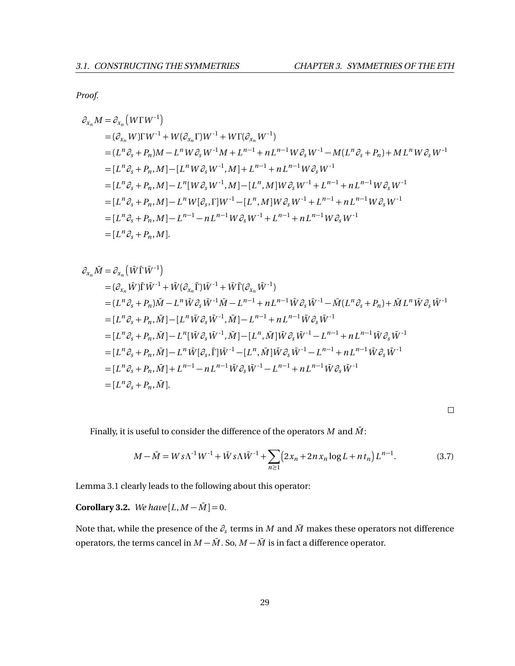*Proof.*

$$
\partial_{x_n} M = \partial_{x_n} (W \Gamma W^{-1})
$$
  
\n
$$
= (\partial_{x_n} W) \Gamma W^{-1} + W (\partial_{x_n} \Gamma) W^{-1} + W \Gamma (\partial_{x_n} W^{-1})
$$
  
\n
$$
= (L^n \partial_s + P_n) M - L^n W \partial_s W^{-1} M + L^{n-1} + n L^{n-1} W \partial_s W^{-1} - M (L^n \partial_s + P_n) + M L^n W \partial_s W^{-1}
$$
  
\n
$$
= [L^n \partial_s + P_n, M] - [L^n W \partial_s W^{-1}, M] + L^{n-1} + n L^{n-1} W \partial_s W^{-1}
$$
  
\n
$$
= [L^n \partial_s + P_n, M] - L^n [W \partial_s W^{-1}, M] - [L^n, M] W \partial_s W^{-1} + L^{n-1} + n L^{n-1} W \partial_s W^{-1}
$$
  
\n
$$
= [L^n \partial_s + P_n, M] - L^n W [\partial_s, \Gamma] W^{-1} - [L^n, M] W \partial_s W^{-1} + L^{n-1} + n L^{n-1} W \partial_s W^{-1}
$$
  
\n
$$
= [L^n \partial_s + P_n, M] - L^{n-1} - n L^{n-1} W \partial_s W^{-1} + L^{n-1} + n L^{n-1} W \partial_s W^{-1}
$$
  
\n
$$
= [L^n \partial_s + P_n, M] - L^{n-1} - n L^{n-1} W \partial_s W^{-1} + L^{n-1} + n L^{n-1} W \partial_s W^{-1}
$$
  
\n
$$
= [L^n \partial_s + P_n, M].
$$

$$
\partial_{x_n} \overline{M} = \partial_{x_n} (\overline{W} \Gamma \overline{W}^{-1})
$$
\n
$$
= (\partial_{x_n} \overline{W}) \overline{\Gamma} \overline{W}^{-1} + \overline{W} (\partial_{x_n} \overline{\Gamma}) \overline{W}^{-1} + \overline{W} \overline{\Gamma} (\partial_{x_n} \overline{W}^{-1})
$$
\n
$$
= (L^n \partial_s + P_n) \overline{M} - L^n \overline{W} \partial_s \overline{W}^{-1} \overline{M} - L^{n-1} + n L^{n-1} \overline{W} \partial_s \overline{W}^{-1} - \overline{M} (L^n \partial_s + P_n) + \overline{M} L^n \overline{W} \partial_s \overline{W}^{-1}
$$
\n
$$
= [L^n \partial_s + P_n, \overline{M}] - [L^n \overline{W} \partial_s \overline{W}^{-1}, \overline{M}] - L^{n-1} + n L^{n-1} \overline{W} \partial_s \overline{W}^{-1}
$$
\n
$$
= [L^n \partial_s + P_n, \overline{M}] - L^n [\overline{W} \partial_s \overline{W}^{-1}, \overline{M}] - [L^n, \overline{M}] \overline{W} \partial_s \overline{W}^{-1} - L^{n-1} + n L^{n-1} \overline{W} \partial_s \overline{W}^{-1}
$$
\n
$$
= [L^n \partial_s + P_n, \overline{M}] - L^n \overline{W} [\partial_s, \overline{\Gamma}] \overline{W}^{-1} - [L^n, \overline{M}] \overline{W} \partial_s \overline{W}^{-1} - L^{n-1} + n L^{n-1} \overline{W} \partial_s \overline{W}^{-1}
$$
\n
$$
= [L^n \partial_s + P_n, \overline{M}] + L^{n-1} - n L^{n-1} \overline{W} \partial_s \overline{W}^{-1} - L^{n-1} + n L^{n-1} \overline{W} \partial_s \overline{W}^{-1}
$$
\n
$$
= [L^n \partial_s + P_n, \overline{M}] + L^{n-1} - n L^{n-1} \overline{W} \partial_s \overline{W}^{-1} - L^{n-1} + n L^{n-1} \overline{W} \partial_s \overline{W}
$$

Finally, it is useful to consider the difference of the operators  $M$  and  $\bar{M}$  :

$$
M - \bar{M} = W s \Lambda^{-1} W^{-1} + \bar{W} s \Lambda \bar{W}^{-1} + \sum_{n \ge 1} \left( 2x_n + 2n x_n \log L + n t_n \right) L^{n-1}.
$$
 (3.7)

Lemma [3.1](#page-33-0) clearly leads to the following about this operator:

**Corollary 3.2.** *We have*  $[L, M - \overline{M}] = 0$ *.* 

Note that, while the presence of the  $\partial_s$  terms in  $M$  and  $\bar{M}$  makes these operators not difference operators, the terms cancel in  $M - \overline{M}$ . So,  $M - \overline{M}$  is in fact a difference operator.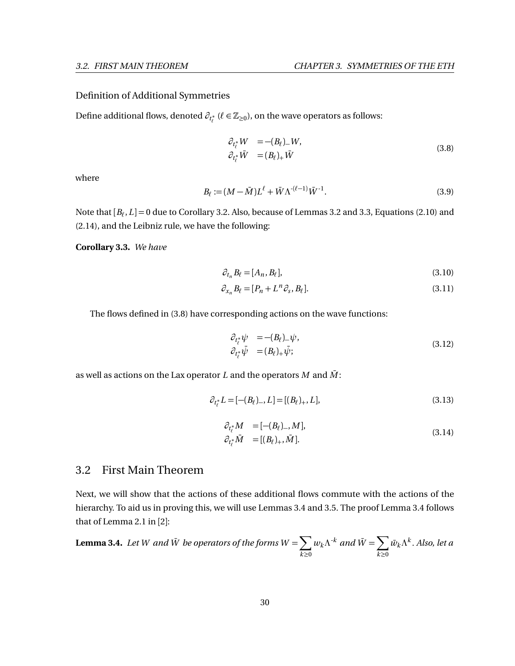#### Definition of Additional Symmetries

Define additional flows, denoted  $\partial_{t^*_\ell}$  ( $\ell \in \mathbb{Z}_{\geq 0}$ ), on the wave operators as follows:

<span id="page-36-0"></span>
$$
\partial_{t_{\ell}^*} W = -(B_{\ell})_W,
$$
  
\n
$$
\partial_{t_{\ell}^*} \bar{W} = (B_{\ell})_+ \bar{W}
$$
\n(3.8)

where

$$
B_{\ell} := (M - \bar{M})L^{\ell} + \bar{W}\Lambda^{-(\ell-1)}\bar{W}^{-1}.
$$
\n(3.9)

Note that  $[B_\ell,L]\!=\!0$  due to Corollary [3.2.](#page-35-0) Also, because of Lemmas [3.2](#page-34-0) and [3.3,](#page-34-1) Equations [\(2.10\)](#page-25-0) and [\(2.14\)](#page-26-0), and the Leibniz rule, we have the following:

**Corollary 3.3.** *We have*

$$
\partial_{t_n} B_\ell = [A_n, B_\ell],\tag{3.10}
$$

$$
\partial_{x_n} B_\ell = [P_n + L^n \partial_s, B_\ell]. \tag{3.11}
$$

The flows defined in [\(3.8\)](#page-36-0) have corresponding actions on the wave functions:

<span id="page-36-3"></span>
$$
\begin{aligned}\n\partial_{t_{\ell}^*} \psi &= -(B_{\ell})_{-} \psi, \\
\partial_{t_{\ell}^*} \bar{\psi} &= (B_{\ell})_{+} \bar{\psi};\n\end{aligned}\n\tag{3.12}
$$

as well as actions on the Lax operator  $L$  and the operators  $M$  and  $\overline{M}$ :

<span id="page-36-2"></span>
$$
\partial_{t_{\ell}^*} L = [-(B_{\ell})_-, L] = [(B_{\ell})_+, L], \tag{3.13}
$$

$$
\partial_{t_{\ell}^*} M = [- (B_{\ell})_-, M], \n\partial_{t_{\ell}^*} \bar{M} = [(B_{\ell})_+, \bar{M}].
$$
\n(3.14)

## 3.2 First Main Theorem

Next, we will show that the actions of these additional flows commute with the actions of the hierarchy. To aid us in proving this, we will use Lemmas [3.4](#page-36-1) and [3.5.](#page-39-0) The proof Lemma [3.4](#page-36-1) follows that of Lemma 2.1 in [[2](#page-74-0)]:

<span id="page-36-1"></span>**Lemma 3.4.** Let W and 
$$
\overline{W}
$$
 be operators of the forms  $W = \sum_{k \ge 0} w_k \Lambda^{k}$  and  $\overline{W} = \sum_{k \ge 0} \overline{w}_k \Lambda^{k}$ . Also, let a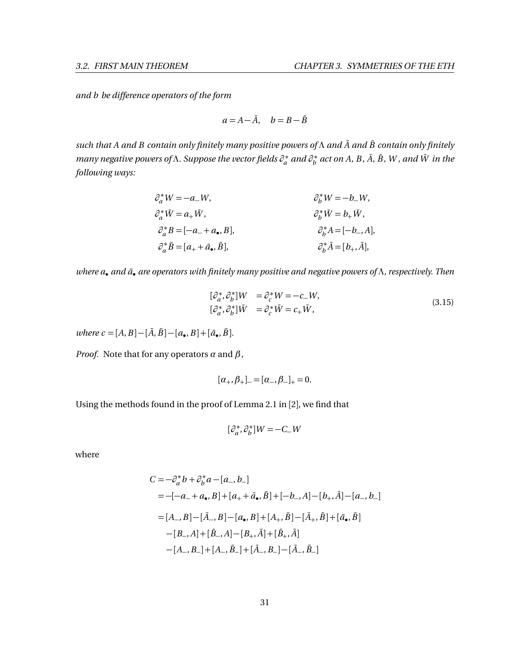*and b be difference operators of the form*

$$
a = A - \bar{A}, \quad b = B - \bar{B}
$$

*such that A and B contain only finitely many positive powers of Λ and A*¯ *and B*¯ *contain only finitely many negative powers of Λ. Suppose the vector fields ∂* ∗ *a and ∂* ∗  $b_{b}^{*}$  act on A, B,  $\bar{A}$ ,  $\bar{B}$ , W , and  $\bar{W}$  in the *following ways:*

$$
\begin{aligned}\n\partial_a^* W &= -a_- W, & \partial_b^* W &= -b_- W, \\
\partial_a^* \bar{W} &= a_+ \bar{W}, & \partial_b^* \bar{W} &= b_+ \bar{W}, \\
\partial_a^* B &= [-a_- + a_\bullet, B], & \partial_b^* A &= [-b_-, A], \\
\partial_a^* \bar{B} &= [a_+ + \bar{a}_\bullet, \bar{B}], & \partial_b^* \bar{A} &= [b_+, \bar{A}],\n\end{aligned}
$$

*where a*• *and a*¯• *are operators with finitely many positive and negative powers of Λ, respectively. Then*

$$
\begin{aligned}\n[\partial_a^*, \partial_b^*] W &= \partial_c^* W = -c_- W, \\
[\partial_a^*, \partial_b^*] \bar{W} &= \partial_c^* \bar{W} = c_+ \bar{W},\n\end{aligned} \tag{3.15}
$$

 $where \, c = [A, B] - [\bar{A}, \bar{B}] - [a_{\bullet}, B] + [\bar{a}_{\bullet}, \bar{B}].$ 

*Proof.* Note that for any operators  $\alpha$  and  $\beta$ ,

$$
[\alpha_+,\beta_+]_- = [\alpha_-,\beta_-]_+ = 0.
$$

Using the methods found in the proof of Lemma 2.1 in [[2](#page-74-0)], we find that

$$
[\partial_a^*,\partial_b^*]W\!=\!-C\_{W}
$$

where

$$
C = -\partial_a^* b + \partial_b^* a - [a_-, b_-]
$$
  
= -[-a\_+ a<sub>•</sub>, B] + [a\_+ + \bar{a}<sub>•</sub>, \bar{B}] + [-b\_-, A] - [b\_+, \bar{A}] - [a\_-, b\_-]  
= [A\_-, B] - [\bar{A}\_-, B] - [a<sub>•</sub>, B] + [A\_+, \bar{B}] - [\bar{A}\_+, \bar{B}] + [\bar{a}<sub>•</sub>, \bar{B}]  
- [B\_-, A] + [\bar{B}\_-, A] - [B\_+, \bar{A}] + [\bar{B}\_+, \bar{A}]  
- [A\_-, B\_-] + [A\_-, \bar{B}\_-] + [\bar{A}\_-, B\_-] - [\bar{A}\_-, \bar{B}\_-]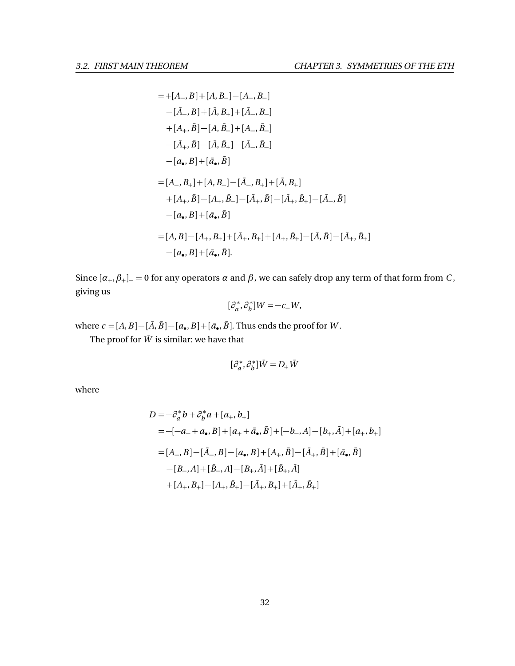$$
=+[A_-,B]+[A,B_-]-[A_-,B_-]
$$
  
\n
$$
-[\bar{A}_-,B]+[\bar{A},B_+]+[\bar{A}_-,B_-]
$$
  
\n
$$
+[A_+, \bar{B}]-[A,\bar{B}_-]+[A_-, \bar{B}_-]
$$
  
\n
$$
-[\bar{A}_+, \bar{B}]-[\bar{A}, \bar{B}_+]-[\bar{A}_-, \bar{B}_-]
$$
  
\n
$$
-[a_-,B]+[\bar{a}_-, \bar{B}]
$$
  
\n
$$
=[A_-,B_+]+[A,B_-]-[\bar{A}_-,B_+]+[\bar{A},B_+]
$$
  
\n
$$
+[A_+, \bar{B}]-[A_+, \bar{B}_-]-[\bar{A}_+, \bar{B}]-[\bar{A}_+, \bar{B}_+]-[\bar{A}_-, \bar{B}]
$$
  
\n
$$
-[a_-,B]+[\bar{a}_-, \bar{B}]
$$
  
\n
$$
=[A,B]-[A_+,B_+]+[\bar{A}_+,B_+]+[A_+, \bar{B}_+]-[\bar{A}, \bar{B}]-[\bar{A}_+, \bar{B}_+]
$$
  
\n
$$
-[a_-,B]+[\bar{a}_-, \bar{B}].
$$

Since  $[\alpha_+,\beta_+]$  = 0 for any operators  $\alpha$  and  $\beta$ , we can safely drop any term of that form from *C*, giving us

$$
[\partial_a^*, \partial_b^*]W = -c_-W,
$$

where  $c = [A, B] - [\bar{A}, \bar{B}] - [a_{\bullet}, B] + [\bar{a}_{\bullet}, \bar{B}]$ . Thus ends the proof for *W*.

The proof for  $\bar{W}$  is similar: we have that

$$
[\partial_a^*,\partial_b^*]\bar{W}=D_+\bar{W}
$$

where

$$
D = -\partial_a^* b + \partial_b^* a + [a_+, b_+]
$$
  
= -[-a\_- + a<sub>•</sub>, B] + [a\_+ + \bar{a}<sub>•</sub>, \bar{B}] + [-b\_-, A] - [b\_+, \bar{A}] + [a\_+, b\_+]  
= [A\_-, B] - [\bar{A}\_-, B] - [a<sub>•</sub>, B] + [A\_+, \bar{B}] - [\bar{A}\_+, \bar{B}] + [\bar{a}<sub>•</sub>, \bar{B}]  
- [B\_-, A] + [\bar{B}\_-, A] - [B\_+, \bar{A}] + [\bar{B}\_+, \bar{A}]  
+ [A\_+, B\_+] - [A\_+, \bar{B}\_+] - [\bar{A}\_+, B\_+] + [\bar{A}\_+, \bar{B}\_+]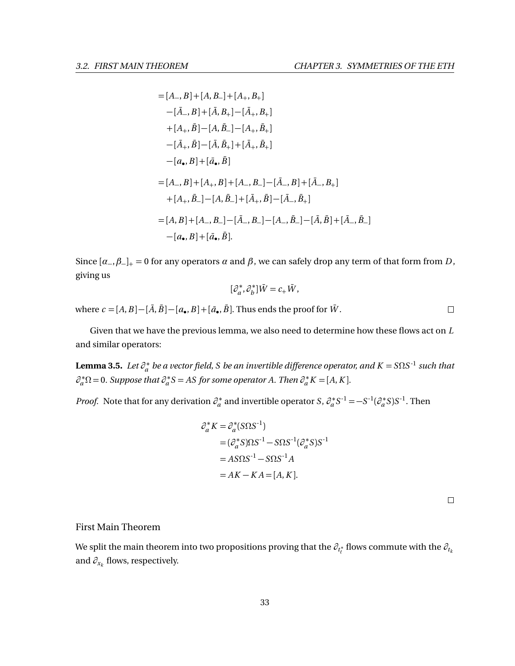= 
$$
[A_-, B]
$$
 +  $[A, B_-]$  +  $[A_+, B_+]$   
\n- $[\bar{A}_-, B]$  +  $[\bar{A}, B_+] - [\bar{A}_+, B_+]$   
\n+ $[A_+, \bar{B}] - [A, \bar{B}_-] - [A_+, \bar{B}_+]$   
\n- $[\bar{A}_+, \bar{B}] - [\bar{A}, \bar{B}_+] + [\bar{A}_+, \bar{B}_+]$   
\n- $[a_-, B]$  +  $[\bar{a}_-, \bar{B}]$   
\n=  $[A_-, B]$  +  $[A_+, B]$  +  $[A_-, B_-] - [\bar{A}_-, B] + [\bar{A}_-, B_+]$   
\n+ $[A_+, \bar{B}_-] - [A, \bar{B}_-] + [\bar{A}_+, \bar{B}] - [\bar{A}_-, \bar{B}_+]$   
\n=  $[A, B]$  +  $[A_-, B_-] - [\bar{A}_-, B_-] - [A_-, \bar{B}_-] - [\bar{A}, \bar{B}] + [\bar{A}_-, \bar{B}_-]$   
\n- $[a_-, B]$  +  $[\bar{a}_-, \bar{B}]$ .

Since  $[\alpha_-, \beta_+]_+ = 0$  for any operators  $\alpha$  and  $\beta$ , we can safely drop any term of that form from *D*, giving us

$$
[\partial_a^*,\partial_b^*]\bar W=c_+\bar W,
$$

where  $c = [A, B] - [\bar{A}, \bar{B}] - [a_{\bullet}, B] + [\bar{a}_{\bullet}, \bar{B}]$ . Thus ends the proof for  $\bar{W}$ .

Given that we have the previous lemma, we also need to determine how these flows act on *L* and similar operators:

<span id="page-39-0"></span>**Lemma 3.5.** *Let ∂* ∗ *a be a vector field, S be an invertible difference operator, and K* = *SΩS -*1 *such that*  $\partial_a^* \Omega = 0$ . Suppose that  $\partial_a^*$ *a S* = *AS for some operator A. Then ∂* ∗  $a^* K = [A, K]$ .

*Proof.* Note that for any derivation  $\partial^*_a$  $a^*$  and invertible operator *S*,  $\partial_a^*$  $a^*s^{-1} = -s^{-1}(\partial_a^*)$  $a^{*}$ *S*)*S*<sup>-1</sup>. Then

$$
\partial_a^* K = \partial_a^* (S \Omega S^{-1})
$$
  
=  $(\partial_a^* S) \Omega S^{-1} - S \Omega S^{-1} (\partial_a^* S) S^{-1}$   
=  $AS \Omega S^{-1} - S \Omega S^{-1} A$   
=  $AK - KA = [A, K].$ 

 $\Box$ 

#### First Main Theorem

<span id="page-39-1"></span>We split the main theorem into two propositions proving that the  $\partial_{t^*_\ell}$  flows commute with the  $\partial_{t_k}$ and  $\partial_{x_k}$  flows, respectively.

 $\Box$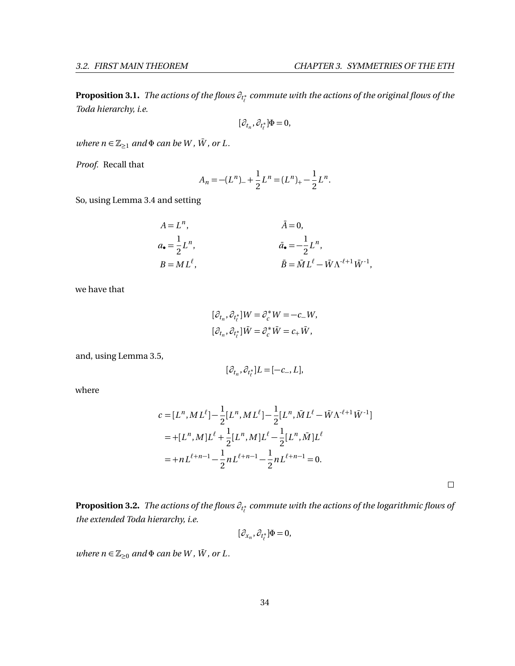**Proposition 3.1.** *The actions of the flows*  $\partial_{t^*_\ell}$  *commute with the actions of the original flows of the Toda hierarchy, i.e.*

$$
[\partial_{t_n}, \partial_{t_\ell^*}] \Phi = 0,
$$

*where*  $n \in \mathbb{Z}_{\geq 1}$  *and*  $\Phi$  *can be W*, *W*, *or L*.

*Proof.* Recall that

$$
A_n = -(L^n)_{-} + \frac{1}{2}L^n = (L^n)_{+} - \frac{1}{2}L^n.
$$

So, using Lemma [3.4](#page-36-1) and setting

$$
A = Ln,
$$
  
\n
$$
\bar{A} = 0,
$$
  
\n
$$
\bar{A} = 0,
$$
  
\n
$$
\bar{A} = 0,
$$
  
\n
$$
\bar{A} = 0,
$$
  
\n
$$
\bar{A} = 0,
$$
  
\n
$$
\bar{A} = 0,
$$
  
\n
$$
\bar{A} = 0,
$$
  
\n
$$
\bar{A} = 0,
$$
  
\n
$$
\bar{A} = 0,
$$
  
\n
$$
\bar{A} = 0,
$$
  
\n
$$
\bar{A} = 0,
$$
  
\n
$$
\bar{A} = 0,
$$
  
\n
$$
\bar{A} = 0,
$$
  
\n
$$
\bar{A} = \bar{A}L^{n},
$$
  
\n
$$
\bar{B} = \bar{M}L^{\ell} - \bar{W}\Lambda^{\ell+1}\bar{W}^{-1},
$$

we have that

$$
\begin{aligned} &[\partial_{t_n},\partial_{t_\ell^*}]W=\partial_c^*W=-c_-W,\\ &[\partial_{t_n},\partial_{t_\ell^*}]\bar{W}=\partial_c^*\bar{W}=c_+\bar{W}, \end{aligned}
$$

and, using Lemma [3.5,](#page-39-0)

$$
[\partial_{t_n},\partial_{t_\ell^*}]L=[-c_-,L],
$$

where

$$
c = [L^n, ML^\ell] - \frac{1}{2} [L^n, ML^\ell] - \frac{1}{2} [L^n, \overline{M}L^\ell - \overline{W}\Lambda^{\ell+1}\overline{W}^{-1}]
$$
  
= +[L^n, M]L^\ell + \frac{1}{2} [L^n, M]L^\ell - \frac{1}{2} [L^n, \overline{M}]L^\ell  
= + nL^{\ell+n-1} - \frac{1}{2} nL^{\ell+n-1} - \frac{1}{2} nL^{\ell+n-1} = 0.

<span id="page-40-0"></span>**Proposition 3.2.** *The actions of the flows ∂<sup>t</sup>* ∗ *` commute with the actions of the logarithmic flows of the extended Toda hierarchy, i.e.*

 $[\partial_{x_n}, \partial_{t_\ell^*}] \Phi = 0,$ 

*where*  $n \in \mathbb{Z}_{\geq 0}$  *and*  $\Phi$  *can be W,*  $\overline{W}$ *, or L.*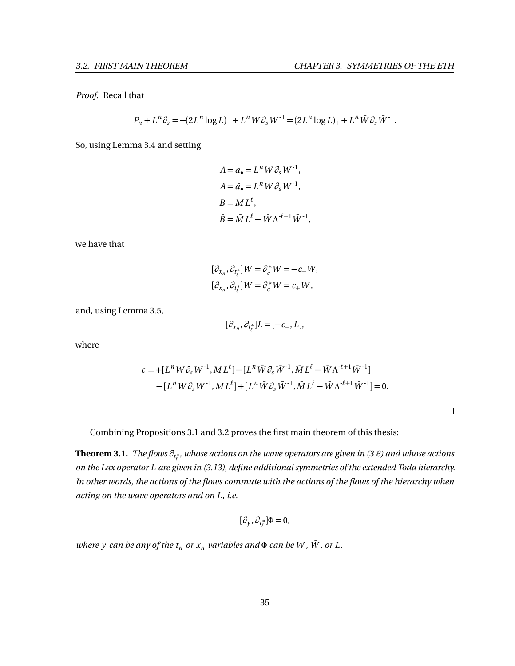*Proof.* Recall that

$$
P_n + L^n \partial_s = -(2L^n \log L)_+ + L^n W \partial_s W^{-1} = (2L^n \log L)_+ + L^n \bar{W} \partial_s \bar{W}^{-1}.
$$

So, using Lemma [3.4](#page-36-1) and setting

$$
A = a_{\bullet} = L^n W \partial_s W^{-1},
$$
  
\n
$$
\bar{A} = \bar{a}_{\bullet} = L^n \bar{W} \partial_s \bar{W}^{-1},
$$
  
\n
$$
B = ML^{\ell},
$$
  
\n
$$
\bar{B} = \bar{M} L^{\ell} - \bar{W} \Lambda^{-\ell+1} \bar{W}^{-1},
$$

we have that

$$
\begin{aligned} &[\partial_{x_n},\partial_{t_\ell^*}]W=\partial_c^*W=-c_-W,\\ &[\partial_{x_n},\partial_{t_\ell^*}]\bar{W}=\partial_c^*\bar{W}=c_+\bar{W}, \end{aligned}
$$

and, using Lemma [3.5,](#page-39-0)

$$
[\partial_{x_n}, \partial_{t_\ell^*}]L = [-c_-, L],
$$

where

$$
c = +[L^n W \partial_s W^{-1}, ML^{\ell}] - [L^n \bar{W} \partial_s \bar{W}^{-1}, \bar{M} L^{\ell} - \bar{W} \Lambda^{-\ell+1} \bar{W}^{-1}]
$$
  
- [L^n W \partial\_s W^{-1}, ML^{\ell}] + [L^n \bar{W} \partial\_s \bar{W}^{-1}, \bar{M} L^{\ell} - \bar{W} \Lambda^{-\ell+1} \bar{W}^{-1}] = 0.

Combining Propositions [3.1](#page-39-1) and [3.2](#page-40-0) proves the first main theorem of this thesis:

<span id="page-41-0"></span>**Theorem 3.1.** *The flows ∂<sup>t</sup>* ∗ *` , whose actions on the wave operators are given in [\(3.8\)](#page-36-0) and whose actions on the Lax operator L are given in [\(3.13\)](#page-36-2), define additional symmetries of the extended Toda hierarchy. In other words, the actions of the flows commute with the actions of the flows of the hierarchy when acting on the wave operators and on L, i.e.*

$$
[\partial_y,\partial_{t_\ell^*}]\Phi=0,
$$

*where y can be any of the*  $t_n$  *or*  $x_n$  *variables and*  $\Phi$  *can be W, W, or L.*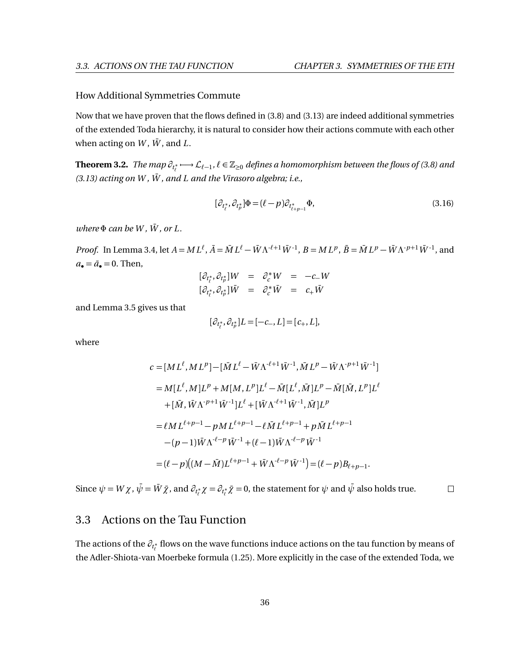#### How Additional Symmetries Commute

Now that we have proven that the flows defined in [\(3.8\)](#page-36-0) and [\(3.13\)](#page-36-2) are indeed additional symmetries of the extended Toda hierarchy, it is natural to consider how their actions commute with each other when acting on  $W$ ,  $\bar{W}$ , and  $\bar{L}$ .

<span id="page-42-1"></span> $\bf{Theorem~3.2.}$   $\it The map$   $\partial_{t^*_t} \longrightarrow L_{\ell-1},$   $\ell \in \mathbb{Z}_{\geq 0}$  defines a homomorphism between the flows of [\(3.8\)](#page-36-0) and  $(3.13)$  acting on W,  $\overline{W}$ , and L and the Virasoro algebra; i.e.,

<span id="page-42-0"></span>
$$
[\partial_{t_{\ell}^*}, \partial_{t_{\ell}^*}] \Phi = (\ell - p) \partial_{t_{\ell+p-1}^*} \Phi,
$$
\n(3.16)

 $where \Phi can be W, \overline{W}, or L.$ 

*Proof.* In Lemma [3.4,](#page-36-1) let  $A = ML^{\ell}$ ,  $\bar{A} = \bar{M}L^{\ell} - \bar{W}\Lambda^{\ell+1}\bar{W}^{-1}$ ,  $B = ML^{p}$ ,  $\bar{B} = \bar{M}L^{p} - \bar{W}\Lambda^{\ell+1}\bar{W}^{-1}$ , and  $a_{\bullet} = \bar{a}_{\bullet} = 0$ . Then,

$$
\begin{array}{rcl}\n[\partial_{t_{\ell}^*}, \partial_{t_{\ell}^*}]W & = & \partial_{c}^*W & = & -c_{-}W \\
[\partial_{t_{\ell}^*}, \partial_{t_{\ell}^*}] \bar{W} & = & \partial_{c}^* \bar{W} & = & c_{+} \bar{W}\n\end{array}
$$

and Lemma [3.5](#page-39-0) gives us that

$$
[\partial_{t^*_\ell},\partial_{t^*_p}]L=[-c_-,L]=[c_+,L],
$$

where

$$
c = [ML^{\ell}, ML^{p}] - [\bar{M}L^{\ell} - \bar{W}\Lambda^{-\ell+1}\bar{W}^{-1}, \bar{M}L^{p} - \bar{W}\Lambda^{-p+1}\bar{W}^{-1}]
$$
  
\n
$$
= M[L^{\ell}, M]L^{p} + M[M, L^{p}]L^{\ell} - \bar{M}[L^{\ell}, \bar{M}]L^{p} - \bar{M}[\bar{M}, L^{p}]L^{\ell}
$$
  
\n
$$
+ [\bar{M}, \bar{W}\Lambda^{-p+1}\bar{W}^{-1}]L^{\ell} + [\bar{W}\Lambda^{-\ell+1}\bar{W}^{-1}, \bar{M}]L^{p}
$$
  
\n
$$
= \ell ML^{\ell+p-1} - pML^{\ell+p-1} - \ell\bar{M}L^{\ell+p-1} + p\bar{M}L^{\ell+p-1}
$$
  
\n
$$
- (p-1)\bar{W}\Lambda^{-\ell-p}\bar{W}^{-1} + (\ell-1)\bar{W}\Lambda^{-\ell-p}\bar{W}^{-1}
$$
  
\n
$$
= (\ell-p)[(M-\bar{M})L^{\ell+p-1} + \bar{W}\Lambda^{-\ell-p}\bar{W}^{-1}] = (\ell-p)B_{\ell+p-1}.
$$

Since  $\psi = W\,\chi$  ,  $\bar{\psi} = \bar{W}\,\bar{\chi}$  , and  $\partial_{t_\ell^*}\chi = \partial_{t_\ell^*}\bar{\chi} = 0$ , the statement for  $\psi$  and  $\bar{\psi}$  also holds true.  $\Box$ 

## 3.3 Actions on the Tau Function

The actions of the  $\partial_{t^*_\ell}$  flows on the wave functions induce actions on the tau function by means of the Adler-Shiota-van Moerbeke formula [\(1.25\)](#page-15-0). More explicitly in the case of the extended Toda, we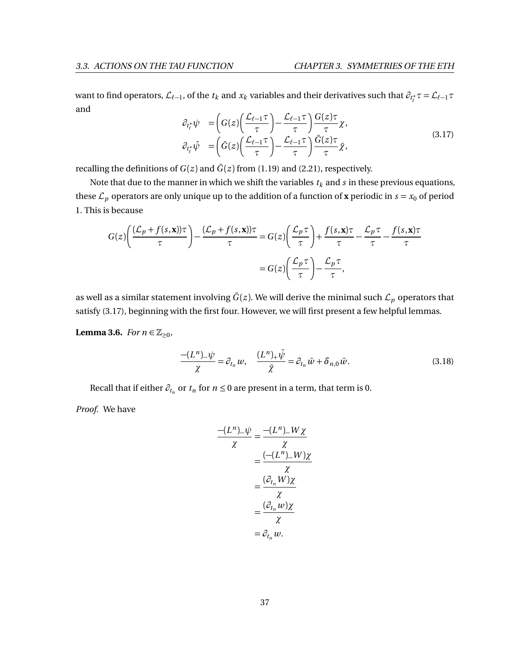want to find operators,  $\mathcal{L}_{\ell-1}$ , of the  $t_k$  and  $x_k$  variables and their derivatives such that  $\partial_{t_\ell^*}\tau = \mathcal{L}_{\ell-1}\tau$ and

<span id="page-43-0"></span>
$$
\partial_{t_{\ell}^*} \psi = \left( G(z) \left( \frac{\mathcal{L}_{\ell-1} \tau}{\tau} \right) - \frac{\mathcal{L}_{\ell-1} \tau}{\tau} \right) \frac{G(z) \tau}{\tau} \chi,
$$
\n
$$
\partial_{t_{\ell}^*} \bar{\psi} = \left( \bar{G}(z) \left( \frac{\mathcal{L}_{\ell-1} \tau}{\tau} \right) - \frac{\mathcal{L}_{\ell-1} \tau}{\tau} \right) \frac{\bar{G}(z) \tau}{\tau} \bar{\chi},
$$
\n(3.17)

recalling the definitions of  $G(z)$  and  $\overline{G}(z)$  from [\(1.19\)](#page-14-0) and [\(2.21\)](#page-29-0), respectively.

Note that due to the manner in which we shift the variables  $t_k$  and  $s$  in these previous equations, these  $\mathcal{L}_p$  operators are only unique up to the addition of a function of **x** periodic in  $s = x_0$  of period 1. This is because

$$
G(z)\left(\frac{(\mathcal{L}_p + f(s, \mathbf{x}))\tau}{\tau}\right) - \frac{(\mathcal{L}_p + f(s, \mathbf{x}))\tau}{\tau} = G(z)\left(\frac{\mathcal{L}_p \tau}{\tau}\right) + \frac{f(s, \mathbf{x})\tau}{\tau} - \frac{\mathcal{L}_p \tau}{\tau} - \frac{f(s, \mathbf{x})\tau}{\tau}
$$

$$
= G(z)\left(\frac{\mathcal{L}_p \tau}{\tau}\right) - \frac{\mathcal{L}_p \tau}{\tau},
$$

as well as a similar statement involving  $\bar{G}(z)$ . We will derive the minimal such  $\mathcal{L}_p$  operators that satisfy [\(3.17\)](#page-43-0), beginning with the first four. However, we will first present a few helpful lemmas.

<span id="page-43-1"></span>**Lemma 3.6.** *For*  $n \in \mathbb{Z}_{\geq 0}$ *,* 

$$
\frac{-(L^n)_{-}\psi}{\chi} = \partial_{t_n} w, \quad \frac{(L^n)_{+}\bar{\psi}}{\bar{\chi}} = \partial_{t_n} \bar{w} + \delta_{n,0} \bar{w}.
$$
\n(3.18)

Recall that if either  $\partial_{t_n}$  or  $t_n$  for  $n \leq 0$  are present in a term, that term is 0.

*Proof.* We have

$$
\frac{-(L^n)_{-}\psi}{\chi} = \frac{-(L^n)_{-}W\chi}{\chi}
$$

$$
= \frac{(-(L^n)_{-}W)\chi}{\chi}
$$

$$
= \frac{(\partial_{t_n}W)\chi}{\chi}
$$

$$
= \frac{(\partial_{t_n}W)\chi}{\chi}
$$

$$
= \partial_{t_n}w.
$$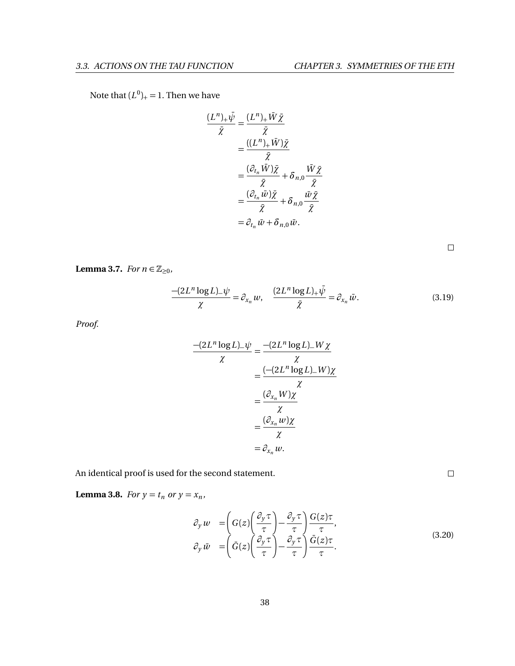# Note that  $(L^0)_+$  = 1. Then we have

$$
\frac{(L^n)_+\bar{\psi}}{\bar{\chi}} = \frac{(L^n)_+\bar{W}\bar{\chi}}{\bar{\chi}}
$$

$$
= \frac{((L^n)_+\bar{W})\bar{\chi}}{\bar{\chi}}
$$

$$
= \frac{(\partial_{t_n}\bar{W})\bar{\chi}}{\bar{\chi}} + \delta_{n,0}\frac{\bar{W}\bar{\chi}}{\bar{\chi}}
$$

$$
= \frac{(\partial_{t_n}\bar{W})\bar{\chi}}{\bar{\chi}} + \delta_{n,0}\frac{\bar{W}\bar{\chi}}{\bar{\chi}}
$$

$$
= \partial_{t_n}\bar{W} + \delta_{n,0}\bar{W}.
$$

$$
\Box
$$

<span id="page-44-1"></span>**Lemma 3.7.** *For*  $n \in \mathbb{Z}_{\geq 0}$ *,* 

$$
\frac{-(2L^n \log L)_{-}\psi}{\chi} = \partial_{x_n} w, \quad \frac{(2L^n \log L)_{+}\bar{\psi}}{\bar{\chi}} = \partial_{x_n} \bar{w}.
$$
 (3.19)

*Proof.*

$$
\frac{-(2L^n \log L)_{-}\psi}{\chi} = \frac{-(2L^n \log L)_{-}W\chi}{\chi}
$$

$$
= \frac{(-2L^n \log L)_{-}W\chi}{\chi}
$$

$$
= \frac{(\partial_{x_n}W)\chi}{\chi}
$$

$$
= \frac{(\partial_{x_n}W)\chi}{\chi}
$$

$$
= \partial_{x_n}w.
$$

An identical proof is used for the second statement.

<span id="page-44-0"></span>**Lemma 3.8.** *For*  $y = t_n$  *or*  $y = x_n$ *,* 

$$
\partial_y w = \left( G(z) \left( \frac{\partial_y \tau}{\tau} \right) - \frac{\partial_y \tau}{\tau} \right) \frac{G(z)\tau}{\tau},
$$
\n
$$
\partial_y \bar{w} = \left( \bar{G}(z) \left( \frac{\partial_y \tau}{\tau} \right) - \frac{\partial_y \tau}{\tau} \right) \frac{\bar{G}(z)\tau}{\tau}.
$$
\n(3.20)

 $\Box$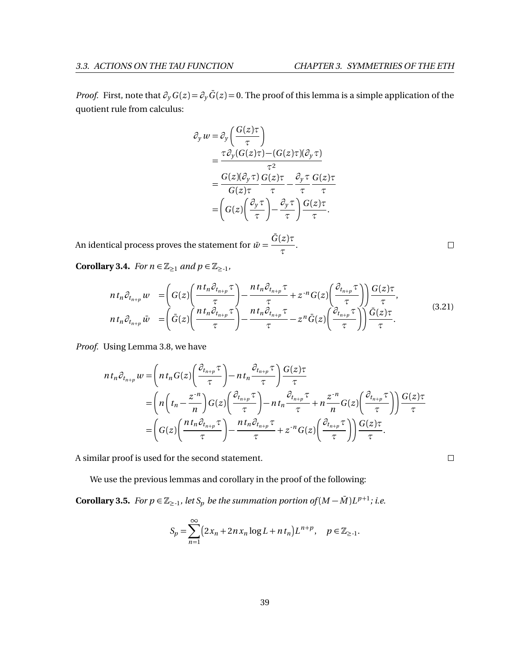*Proof.* First, note that  $\partial_y G(z) = \partial_y G(z) = 0$ . The proof of this lemma is a simple application of the quotient rule from calculus:

$$
\partial_y w = \partial_y \left( \frac{G(z)\tau}{\tau} \right)
$$
  
= 
$$
\frac{\tau \partial_y (G(z)\tau) - (G(z)\tau)(\partial_y \tau)}{\tau^2}
$$
  
= 
$$
\frac{G(z)(\partial_y \tau) G(z)\tau}{G(z)\tau} - \frac{\partial_y \tau}{\tau} \frac{G(z)\tau}{\tau}
$$
  
= 
$$
\left( G(z) \left( \frac{\partial_y \tau}{\tau} \right) - \frac{\partial_y \tau}{\tau} \right) \frac{G(z)\tau}{\tau}.
$$

An identical process proves the statement for  $\bar{w} = \frac{\bar{G}(z)\tau}{\tau}$ *τ* .

<span id="page-45-0"></span>**Corollary 3.4.** *For*  $n \in \mathbb{Z}_{\geq 1}$  *and*  $p \in \mathbb{Z}_{\geq -1}$ *,* 

$$
nt_n \partial_{t_{n+p}} w = \left( G(z) \left( \frac{nt_n \partial_{t_{n+p}} \tau}{\tau} \right) - \frac{nt_n \partial_{t_{n+p}} \tau}{\tau} + z^{-n} G(z) \left( \frac{\partial_{t_{n+p}} \tau}{\tau} \right) \right) \frac{G(z) \tau}{\tau},
$$
  
\n
$$
nt_n \partial_{t_{n+p}} \bar{w} = \left( \bar{G}(z) \left( \frac{nt_n \partial_{t_{n+p}} \tau}{\tau} \right) - \frac{nt_n \partial_{t_{n+p}} \tau}{\tau} - z^n \bar{G}(z) \left( \frac{\partial_{t_{n+p}} \tau}{\tau} \right) \right) \frac{\bar{G}(z) \tau}{\tau}.
$$
\n(3.21)

*Proof.* Using Lemma [3.8,](#page-44-0) we have

$$
nt_n \partial_{t_{n+p}} w = \left( nt_n G(z) \left( \frac{\partial_{t_{n+p}} \tau}{\tau} \right) - nt_n \frac{\partial_{t_{n+p}} \tau}{\tau} \right) \frac{G(z) \tau}{\tau}
$$
  
= 
$$
\left( n \left( t_n - \frac{z^{-n}}{n} \right) G(z) \left( \frac{\partial_{t_{n+p}} \tau}{\tau} \right) - nt_n \frac{\partial_{t_{n+p}} \tau}{\tau} + n \frac{z^{-n}}{n} G(z) \left( \frac{\partial_{t_{n+p}} \tau}{\tau} \right) \right) \frac{G(z) \tau}{\tau}
$$
  
= 
$$
\left( G(z) \left( \frac{nt_n \partial_{t_{n+p}} \tau}{\tau} \right) - \frac{nt_n \partial_{t_{n+p}} \tau}{\tau} + z^{-n} G(z) \left( \frac{\partial_{t_{n+p}} \tau}{\tau} \right) \right) \frac{G(z) \tau}{\tau}.
$$

A similar proof is used for the second statement.

We use the previous lemmas and corollary in the proof of the following:

<span id="page-45-1"></span>**Corollary 3.5.** For  $p \in \mathbb{Z}_{\ge -1}$ , let  $S_p$  be the summation portion of  $(M - \overline{M})L^{p+1}$ ; i.e.

$$
S_p = \sum_{n=1}^{\infty} (2x_n + 2nx_n \log L + nt_n)L^{n+p}, \quad p \in \mathbb{Z}_{\ge 1}.
$$

 $\Box$ 

 $\Box$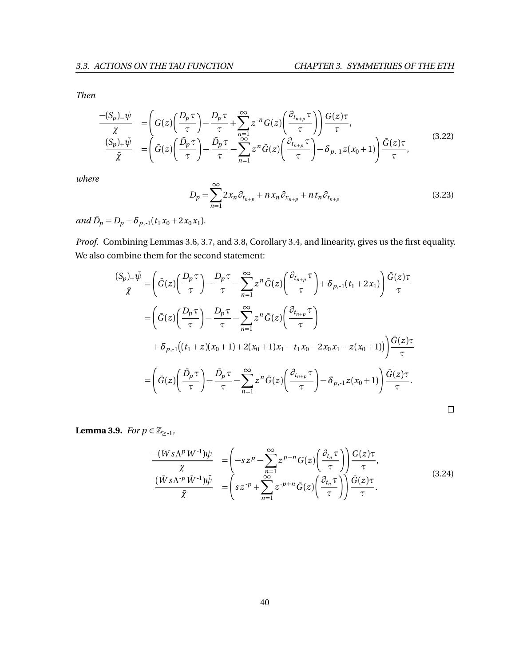$\Box$ 

*Then*

$$
\frac{-(S_p)_{-}\psi}{\chi} = \left(G(z)\left(\frac{D_p\tau}{\tau}\right) - \frac{D_p\tau}{\tau} + \sum_{n=1}^{\infty} z^{-n} G(z)\left(\frac{\partial_{t_{n+p}}\tau}{\tau}\right)\right) \frac{G(z)\tau}{\tau},
$$
\n
$$
\frac{(S_p)_{+}\bar{\psi}}{\bar{\chi}} = \left(\bar{G}(z)\left(\frac{\bar{D}_p\tau}{\tau}\right) - \frac{\bar{D}_p\tau}{\tau} - \sum_{n=1}^{\infty} z^n \bar{G}(z)\left(\frac{\partial_{t_{n+p}}\tau}{\tau}\right) - \delta_{p,1} z(x_0 + 1)\right) \frac{\bar{G}(z)\tau}{\tau},
$$
\n(3.22)

*where*

<span id="page-46-1"></span>
$$
D_p = \sum_{n=1}^{\infty} 2x_n \partial_{t_{n+p}} + nx_n \partial_{x_{n+p}} + nt_n \partial_{t_{n+p}}
$$
(3.23)

 $and \bar{D}_p = D_p + \delta_{p,-1}(t_1 x_0 + 2x_0 x_1).$ 

*Proof.* Combining Lemmas [3.6,](#page-43-1) [3.7,](#page-44-1) and [3.8,](#page-44-0) Corollary [3.4,](#page-45-0) and linearity, gives us the first equality. We also combine them for the second statement:

$$
\frac{(S_p)_+\bar{\psi}}{\bar{\chi}} = \left(\bar{G}(z)\left(\frac{D_p\tau}{\tau}\right) - \frac{D_p\tau}{\tau} - \sum_{n=1}^{\infty} z^n \bar{G}(z)\left(\frac{\partial_{t_{n+p}}\tau}{\tau}\right) + \delta_{p,-1}(t_1 + 2x_1)\right) \frac{\bar{G}(z)\tau}{\tau}
$$
\n
$$
= \left(\bar{G}(z)\left(\frac{D_p\tau}{\tau}\right) - \frac{D_p\tau}{\tau} - \sum_{n=1}^{\infty} z^n \bar{G}(z)\left(\frac{\partial_{t_{n+p}}\tau}{\tau}\right)
$$
\n
$$
+ \delta_{p,-1}[(t_1 + z)(x_0 + 1) + 2(x_0 + 1)x_1 - t_1x_0 - 2x_0x_1 - z(x_0 + 1)]\right) \frac{\bar{G}(z)\tau}{\tau}
$$
\n
$$
= \left(\bar{G}(z)\left(\frac{\bar{D}_p\tau}{\tau}\right) - \frac{\bar{D}_p\tau}{\tau} - \sum_{n=1}^{\infty} z^n \bar{G}(z)\left(\frac{\partial_{t_{n+p}}\tau}{\tau}\right) - \delta_{p,-1}z(x_0 + 1)\right) \frac{\bar{G}(z)\tau}{\tau}.
$$

<span id="page-46-0"></span>**Lemma 3.9.** *For*  $p \in \mathbb{Z}_{\ge -1}$ ,

$$
\frac{-(Ws\Lambda^p W^{-1})\psi}{\chi} = \left(-sz^p - \sum_{n=1}^{\infty} z^{p-n} G(z) \left(\frac{\partial_{t_n} \tau}{\tau}\right)\right) \frac{G(z)\tau}{\tau},
$$
\n
$$
\frac{(\bar{W}s\Lambda^{-p}\bar{W}^{-1})\bar{\psi}}{\bar{\chi}} = \left(sz^{-p} + \sum_{n=1}^{\infty} z^{-p+n}\bar{G}(z) \left(\frac{\partial_{t_n} \tau}{\tau}\right)\right) \frac{\bar{G}(z)\tau}{\tau}.
$$
\n(3.24)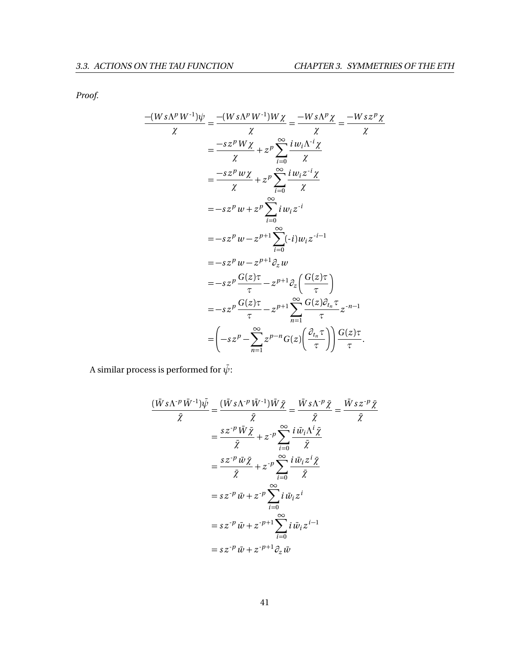*Proof.*

$$
\frac{-(Ws\Lambda^p W^{-1})\psi}{\chi} = \frac{-(Ws\Lambda^p W^{-1})W\chi}{\chi} = \frac{-Ws\Lambda^p \chi}{\chi} = \frac{-Ws\Lambda^p \chi}{\chi}
$$
  
\n
$$
= \frac{-sz^p W\chi}{\chi} + z^p \sum_{i=0}^{\infty} \frac{i w_i \lambda^{-i} \chi}{\chi}
$$
  
\n
$$
= \frac{-sz^p w\chi}{\chi} + z^p \sum_{i=0}^{\infty} \frac{i w_i z^{-i} \chi}{\chi}
$$
  
\n
$$
= -sz^p w + z^p \sum_{i=0}^{\infty} i w_i z^{-i}
$$
  
\n
$$
= -sz^p w - z^{p+1} \sum_{i=0}^{\infty} (-i) w_i z^{-i-1}
$$
  
\n
$$
= -sz^p w - z^{p+1} \partial_z w
$$
  
\n
$$
= -sz^p \frac{G(z)\tau}{\tau} - z^{p+1} \partial_z \left(\frac{G(z)\tau}{\tau}\right)
$$
  
\n
$$
= -sz^p \frac{G(z)\tau}{\tau} - z^{p+1} \sum_{n=1}^{\infty} \frac{G(z)\partial_{t_n} \tau}{\tau} z^{-n-1}
$$
  
\n
$$
= \left(-sz^p - \sum_{n=1}^{\infty} z^{p-n} G(z) \left(\frac{\partial_{t_n} \tau}{\tau}\right)\right) \frac{G(z)\tau}{\tau}.
$$

A similar process is performed for  $\bar{\psi}$ :

$$
\frac{(\bar{W}s\Lambda^{p}\bar{W}^{1})\bar{\psi}}{\bar{\chi}} = \frac{(\bar{W}s\Lambda^{p}\bar{W}^{1})\bar{W}\bar{\chi}}{\bar{\chi}} = \frac{\bar{W}s\Lambda^{p}\bar{\chi}}{\bar{\chi}} = \frac{\bar{W}s\Lambda^{p}\bar{\chi}}{\bar{\chi}}
$$

$$
= \frac{s z^{p} \bar{W}\bar{\chi}}{\bar{\chi}} + z^{p} \sum_{i=0}^{\infty} \frac{i \bar{w}_{i}\Lambda^{i} \bar{\chi}}{\bar{\chi}}
$$

$$
= \frac{s z^{p} \bar{w}\bar{\chi}}{\bar{\chi}} + z^{p} \sum_{i=0}^{\infty} \frac{i \bar{w}_{i}z^{i} \bar{\chi}}{\bar{\chi}}
$$

$$
= s z^{p} \bar{w} + z^{p} \sum_{i=0}^{\infty} i \bar{w}_{i}z^{i}
$$

$$
= s z^{p} \bar{w} + z^{p+1} \sum_{i=0}^{\infty} i \bar{w}_{i}z^{i-1}
$$

$$
= s z^{p} \bar{w} + z^{p+1} \partial_{z} \bar{w}
$$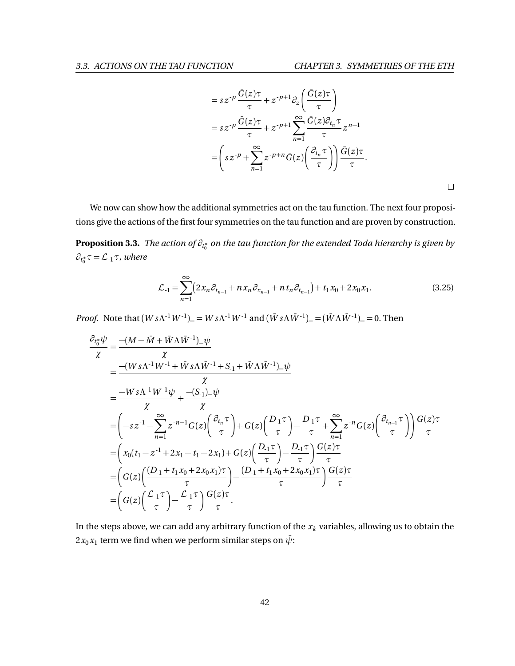$\Box$ 

$$
= sz^{-p} \frac{\bar{G}(z)\tau}{\tau} + z^{-p+1} \partial_z \left( \frac{\bar{G}(z)\tau}{\tau} \right)
$$
  

$$
= sz^{-p} \frac{\bar{G}(z)\tau}{\tau} + z^{-p+1} \sum_{n=1}^{\infty} \frac{\bar{G}(z)\partial_{t_n} \tau}{\tau} z^{n-1}
$$
  

$$
= \left( sz^{-p} + \sum_{n=1}^{\infty} z^{-p+n} \bar{G}(z) \left( \frac{\partial_{t_n} \tau}{\tau} \right) \right) \frac{\bar{G}(z)\tau}{\tau}.
$$

We now can show how the additional symmetries act on the tau function. The next four propositions give the actions of the first four symmetries on the tau function and are proven by construction.

<span id="page-48-0"></span>**Proposition 3.3.** *The action of ∂<sup>t</sup>* ∗ 0 *on the tau function for the extended Toda hierarchy is given by*  $\partial_{t_0^*}\tau = \mathcal{L}_{-1}\tau$ *, where* 

$$
\mathcal{L}_{-1} = \sum_{n=1}^{\infty} \left( 2x_n \partial_{t_{n-1}} + nx_n \partial_{x_{n-1}} + nt_n \partial_{t_{n-1}} \right) + t_1 x_0 + 2x_0 x_1.
$$
 (3.25)

*Proof.* Note that  $(W s \Lambda^{-1} W^{-1}) = W s \Lambda^{-1} W^{-1}$  and  $(W s \Lambda \bar{W}^{-1}) = (W \Lambda \bar{W}^{-1}) = 0$ . Then

$$
\frac{\partial_{t_0^*}\psi}{\chi} = \frac{-(M - \bar{M} + \bar{W}\Lambda\bar{W}^{-1})_{-\psi}}{\chi}
$$
\n
$$
= \frac{-(W s \Lambda^{-1} W^{-1} + \bar{W} s \Lambda \bar{W}^{-1} + S_{-1} + \bar{W} \Lambda \bar{W}^{-1})_{-\psi}}{\chi}
$$
\n
$$
= \frac{-W s \Lambda^{-1} W^{-1} \psi}{\chi} + \frac{-(S_{-1})_{-\psi}}{\chi}
$$
\n
$$
= \left(-s z^{-1} - \sum_{n=1}^{\infty} z^{-n-1} G(z) \left(\frac{\partial_{t_n} \tau}{\tau}\right) + G(z) \left(\frac{D_{-1} \tau}{\tau}\right) - \frac{D_{-1} \tau}{\tau} + \sum_{n=1}^{\infty} z^{-n} G(z) \left(\frac{\partial_{t_{n-1}} \tau}{\tau}\right) \right) \frac{G(z) \tau}{\tau}
$$
\n
$$
= \left(x_0 (t_1 - z^{-1} + 2x_1 - t_1 - 2x_1) + G(z) \left(\frac{D_{-1} \tau}{\tau}\right) - \frac{D_{-1} \tau}{\tau} \right) \frac{G(z) \tau}{\tau}
$$
\n
$$
= \left(G(z) \left(\frac{(D_{-1} + t_1 x_0 + 2x_0 x_1) \tau}{\tau}\right) - \frac{(D_{-1} + t_1 x_0 + 2x_0 x_1) \tau}{\tau} \right) \frac{G(z) \tau}{\tau}
$$
\n
$$
= \left(G(z) \left(\frac{\mathcal{L}_{-1} \tau}{\tau}\right) - \frac{\mathcal{L}_{-1} \tau}{\tau} \right) \frac{G(z) \tau}{\tau}.
$$

In the steps above, we can add any arbitrary function of the *x<sup>k</sup>* variables, allowing us to obtain the  $2x_0x_1$  term we find when we perform similar steps on  $\bar{\psi}$ :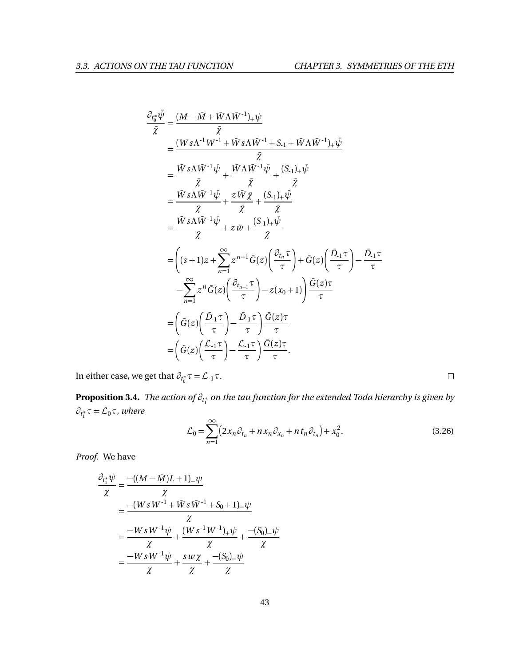$$
\frac{\partial_{t_0^*}\bar{\psi}}{\bar{\chi}} = \frac{(M - \bar{M} + \bar{W}\Lambda\bar{W}^{-1})_+\psi}{\bar{\chi}}
$$
\n
$$
= \frac{(W s \Lambda^{-1} W^{-1} + \bar{W} s \Lambda \bar{W}^{-1} + S_{-1} + \bar{W}\Lambda \bar{W}^{-1})_+\bar{\psi}}{\bar{\chi}}
$$
\n
$$
= \frac{\bar{W} s \Lambda \bar{W}^{-1} \bar{\psi}}{\bar{\chi}} + \frac{\bar{W} \Lambda \bar{W}^{-1} \bar{\psi}}{\bar{\chi}} + \frac{(S_{-1})_+\bar{\psi}}{\bar{\chi}}
$$
\n
$$
= \frac{\bar{W} s \Lambda \bar{W}^{-1} \bar{\psi}}{\bar{\chi}} + z \bar{W} \bar{\chi} + \frac{(S_{-1})_+\bar{\psi}}{\bar{\chi}}
$$
\n
$$
= \frac{\bar{W} s \Lambda \bar{W}^{-1} \bar{\psi}}{\bar{\chi}} + z \bar{W} + \frac{(S_{-1})_+\bar{\psi}}{\bar{\chi}}
$$
\n
$$
= \left( (s+1)z + \sum_{n=1}^{\infty} z^{n+1} \bar{G}(z) \left( \frac{\partial_{t_n} \tau}{\tau} \right) + \bar{G}(z) \left( \frac{\bar{D}_{-1} \tau}{\tau} \right) - \frac{\bar{D}_{-1} \tau}{\tau}
$$
\n
$$
- \sum_{n=1}^{\infty} z^n \bar{G}(z) \left( \frac{\partial_{t_{n-1}} \tau}{\tau} \right) - z(x_0 + 1) \left) \frac{\bar{G}(z)\tau}{\tau}
$$
\n
$$
= \left( \bar{G}(z) \left( \frac{\bar{D}_{-1} \tau}{\tau} \right) - \frac{\bar{D}_{-1} \tau}{\tau} \right) \frac{\bar{G}(z)\tau}{\tau}
$$
\n
$$
= \left( \bar{G}(z) \left( \frac{\bar{L}_{-1} \tau}{\tau} \right) - \frac{\bar{L}_{-1} \tau}{\tau} \right) \frac{\bar{G}(z)\tau}{\tau}.
$$

In either case, we get that  $\partial_{t_0^*}\tau = \mathcal{L}_{-1}\tau$ .

<span id="page-49-0"></span>**Proposition 3.4.** *The action of ∂<sup>t</sup>* ∗ 1 *on the tau function for the extended Toda hierarchy is given by*  $\partial_{t_1^*} \tau = \mathcal{L}_0 \tau$ *, where* 

$$
\mathcal{L}_0 = \sum_{n=1}^{\infty} \left( 2x_n \partial_{t_n} + nx_n \partial_{x_n} + nt_n \partial_{t_n} \right) + x_0^2.
$$
 (3.26)

*Proof.* We have

$$
\frac{\partial_{t_1^*}\psi}{\chi} = \frac{-((M - \bar{M})L + 1)_{-}\psi}{\chi}
$$
\n
$$
= \frac{-(W \cdot s W^{-1} + \bar{W} \cdot s \cdot \bar{W}^{-1} + S_0 + 1)_{-}\psi}{\chi}
$$
\n
$$
= \frac{-W \cdot s W^{-1} \psi}{\chi} + \frac{(W \cdot s W^{-1})_{+}\psi}{\chi} + \frac{-(S_0)_{-}\psi}{\chi}
$$
\n
$$
= \frac{-W \cdot s W^{-1} \psi}{\chi} + \frac{s \cdot w \cdot \chi}{\chi} + \frac{-(S_0)_{-}\psi}{\chi}
$$

 $\Box$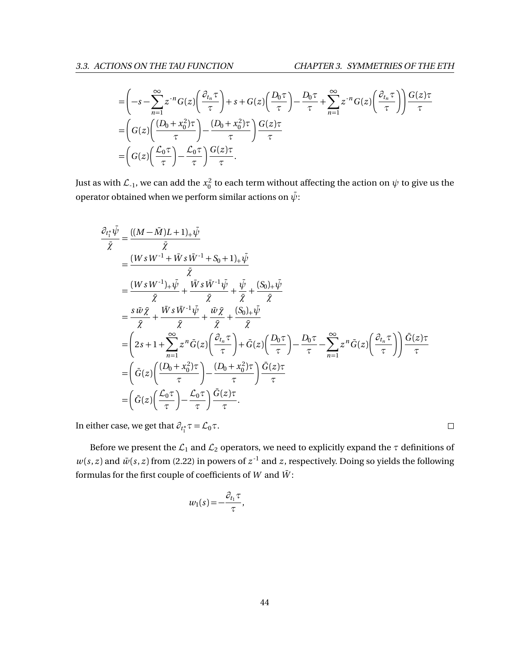$$
\begin{split}\n&= \left(-s - \sum_{n=1}^{\infty} z^{-n} G(z) \left(\frac{\partial_{t_n} \tau}{\tau}\right) + s + G(z) \left(\frac{D_0 \tau}{\tau}\right) - \frac{D_0 \tau}{\tau} + \sum_{n=1}^{\infty} z^{-n} G(z) \left(\frac{\partial_{t_n} \tau}{\tau}\right)\right) \frac{G(z) \tau}{\tau} \\
&= \left(G(z) \left(\frac{(D_0 + x_0^2) \tau}{\tau}\right) - \frac{(D_0 + x_0^2) \tau}{\tau}\right) \frac{G(z) \tau}{\tau} \\
&= \left(G(z) \left(\frac{\mathcal{L}_0 \tau}{\tau}\right) - \frac{\mathcal{L}_0 \tau}{\tau}\right) \frac{G(z) \tau}{\tau}.\n\end{split}
$$

Just as with  $\mathcal{L}_{-1}$ , we can add the  $x_0^2$  to each term without affecting the action on  $\psi$  to give us the operator obtained when we perform similar actions on  $\bar{\psi}$ :

$$
\frac{\partial_{t_1^*} \overline{\psi}}{\overline{\chi}} = \frac{((M - \overline{M})L + 1)_+ \overline{\psi}}{\overline{\chi}}
$$
\n
$$
= \frac{(W s W^{-1} + \overline{W} s \overline{W}^{-1} + S_0 + 1)_+ \overline{\psi}}{\overline{\chi}}\n= \frac{(W s W^{-1})_+ \overline{\psi}}{\overline{\chi}} + \frac{\overline{W} s \overline{W}^{-1} \overline{\psi}}{\overline{\chi}} + \frac{\overline{\psi}}{\overline{\chi}} + \frac{(\overline{S}_0)_+ \overline{\psi}}{\overline{\chi}}\n= \frac{s \overline{w} \overline{\chi}}{\overline{\chi}} + \frac{\overline{W} s \overline{W}^{-1} \overline{\psi}}{\overline{\chi}} + \frac{\overline{w} \overline{\chi}}{\overline{\chi}} + \frac{(\overline{S}_0)_+ \overline{\psi}}{\overline{\chi}}
$$
\n
$$
= \left(2s + 1 + \sum_{n=1}^{\infty} z^n \overline{G}(z) \left(\frac{\partial_{t_n} \tau}{\tau}\right) + \overline{G}(z) \left(\frac{D_0 \tau}{\tau}\right) - \frac{D_0 \tau}{\tau} - \sum_{n=1}^{\infty} z^n \overline{G}(z) \left(\frac{\partial_{t_n} \tau}{\tau}\right) \right) \frac{\overline{G}(z) \tau}{\tau}
$$
\n
$$
= \left(\overline{G}(z) \left(\frac{(D_0 + x_0^2) \tau}{\tau}\right) - \frac{(D_0 + x_0^2) \tau}{\tau}\right) \frac{\overline{G}(z) \tau}{\tau}
$$
\n
$$
= \left(\overline{G}(z) \left(\frac{\mathcal{L}_0 \tau}{\tau}\right) - \frac{\mathcal{L}_0 \tau}{\tau}\right) \frac{\overline{G}(z) \tau}{\tau}.
$$

In either case, we get that  $\partial_{t_1^*}\tau = \mathcal{L}_0\tau$ .

Before we present the  $\mathcal{L}_1$  and  $\mathcal{L}_2$  operators, we need to explicitly expand the  $\tau$  definitions of  $w(s, z)$  and  $\bar{w}(s, z)$  from [\(2.22\)](#page-29-1) in powers of  $z^{-1}$  and *z*, respectively. Doing so yields the following formulas for the first couple of coefficients of  $W$  and  $\bar{W}$ :

$$
w_1(s) = -\frac{\partial_{t_1} \tau}{\tau},
$$

 $\Box$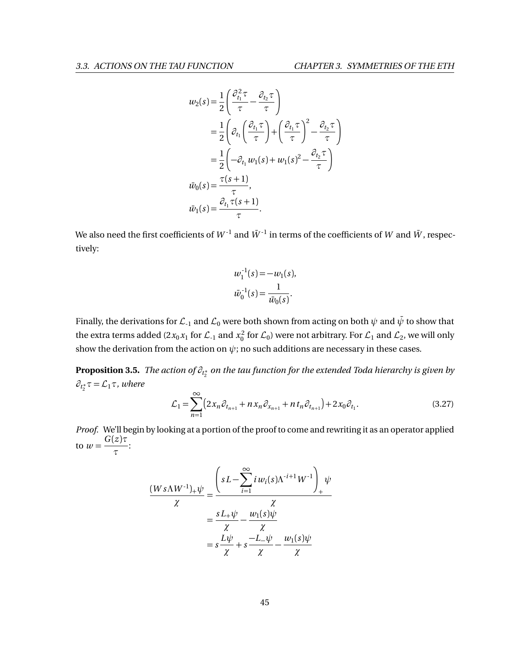$$
w_2(s) = \frac{1}{2} \left( \frac{\partial_{t_1}^2 \tau}{\tau} - \frac{\partial_{t_2} \tau}{\tau} \right)
$$
  
\n
$$
= \frac{1}{2} \left( \partial_{t_1} \left( \frac{\partial_{t_1} \tau}{\tau} \right) + \left( \frac{\partial_{t_1} \tau}{\tau} \right)^2 - \frac{\partial_{t_2} \tau}{\tau} \right)
$$
  
\n
$$
= \frac{1}{2} \left( -\partial_{t_1} w_1(s) + w_1(s)^2 - \frac{\partial_{t_2} \tau}{\tau} \right)
$$
  
\n
$$
\bar{w}_0(s) = \frac{\tau(s+1)}{\tau},
$$
  
\n
$$
\bar{w}_1(s) = \frac{\partial_{t_1} \tau(s+1)}{\tau}.
$$

We also need the first coefficients of  $W^{-1}$  and  $\bar{W}^{-1}$  in terms of the coefficients of *W* and  $\bar{W}$ , respectively:

$$
w_1^{-1}(s) = -w_1(s),
$$
  

$$
\bar{w}_0^{-1}(s) = \frac{1}{\bar{w}_0(s)}.
$$

Finally, the derivations for  $\mathcal{L}_1$  and  $\mathcal{L}_0$  were both shown from acting on both  $\psi$  and  $\bar{\psi}$  to show that the extra terms added (2 $x_0x_1$  for  $\mathcal{L}_{-1}$  and  $x_0^2$  for  $\mathcal{L}_0$ ) were not arbitrary. For  $\mathcal{L}_1$  and  $\mathcal{L}_2$ , we will only show the derivation from the action on  $\psi$ ; no such additions are necessary in these cases.

<span id="page-51-0"></span>**Proposition 3.5.** *The action of ∂<sup>t</sup>* ∗ 2 *on the tau function for the extended Toda hierarchy is given by*  $\partial_{t_2^*}\tau = \mathcal{L}_1\tau$ , where

$$
\mathcal{L}_1 = \sum_{n=1}^{\infty} \left( 2x_n \partial_{t_{n+1}} + nx_n \partial_{x_{n+1}} + nt_n \partial_{t_{n+1}} \right) + 2x_0 \partial_{t_1}.
$$
 (3.27)

*Proof.* We'll begin by looking at a portion of the proof to come and rewriting it as an operator applied to  $w = \frac{G(z)\tau}{\tau}$ *τ* :

$$
\frac{(Ws\Lambda W^{-1})_+\psi}{\chi} = \frac{\left(sL - \sum_{i=1}^{\infty} i w_i(s)\Lambda^{-i+1} W^{-1}\right)_+\psi}{\chi}
$$

$$
= \frac{sL_+\psi}{\chi} - \frac{w_1(s)\psi}{\chi}
$$

$$
= s\frac{L\psi}{\chi} + s\frac{-L_-\psi}{\chi} - \frac{w_1(s)\psi}{\chi}
$$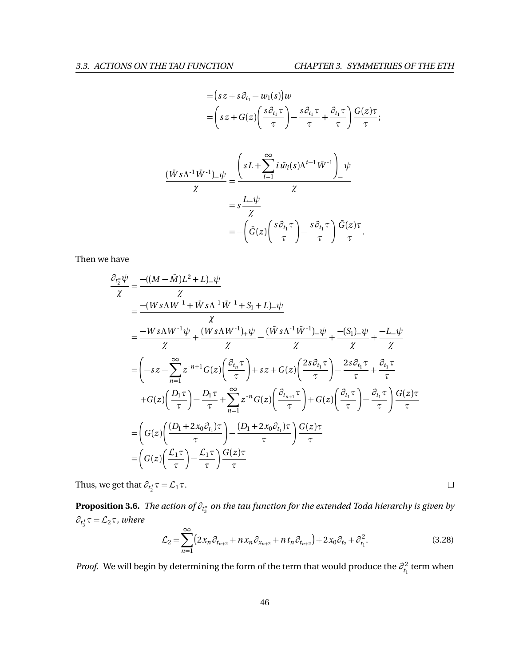$$
= (sz + s\partial_{t_1} - w_1(s))w
$$
  
\n
$$
= (sz + G(z)\left(\frac{s\partial_{t_1}\tau}{\tau}\right) - \frac{s\partial_{t_1}\tau}{\tau} + \frac{\partial_{t_1}\tau}{\tau}\left(\frac{G(z)\tau}{\tau}\right);
$$
  
\n
$$
\frac{(\bar{W}s\Lambda^{-1}\bar{W}^{-1})\_\psi}{\chi} = \frac{\left(sL + \sum_{i=1}^{\infty} i\bar{w}_i(s)\Lambda^{i-1}\bar{W}^{-1}\right)\psi}{\chi}
$$
  
\n
$$
= s\frac{L\_\psi}{\chi}
$$
  
\n
$$
= -\left(\bar{G}(z)\left(\frac{s\partial_{t_1}\tau}{\tau}\right) - \frac{s\partial_{t_1}\tau}{\tau}\right)\frac{\bar{G}(z)\tau}{\tau}.
$$

Then we have

$$
\frac{\partial_{t_2^*}\psi}{\chi} = \frac{-((M - \bar{M})L^2 + L)_{-}\psi}{\chi}
$$
\n
$$
= \frac{-(Ws\Lambda W^{-1} + \bar{W}s\Lambda^{-1}\bar{W}^{-1} + S_1 + L)_{-}\psi}{\chi}
$$
\n
$$
= \frac{-Ws\Lambda W^{-1}\psi}{\chi} + \frac{(Ws\Lambda W^{-1})_{+}\psi}{\chi} - \frac{(\bar{W}s\Lambda^{-1}\bar{W}^{-1})_{-}\psi}{\chi} + \frac{-(S_1)_{-}\psi}{\chi} + \frac{-L_{-}\psi}{\chi}
$$
\n
$$
= \left(-sz - \sum_{n=1}^{\infty} z^{-n+1} G(z) \left(\frac{\partial_{t_n} \tau}{\tau}\right) + sz + G(z) \left(\frac{2s\partial_{t_1} \tau}{\tau}\right) - \frac{2s\partial_{t_1} \tau}{\tau} + \frac{\partial_{t_1} \tau}{\tau}
$$
\n
$$
+ G(z) \left(\frac{D_1 \tau}{\tau}\right) - \frac{D_1 \tau}{\tau} + \sum_{n=1}^{\infty} z^{-n} G(z) \left(\frac{\partial_{t_{n+1}} \tau}{\tau}\right) + G(z) \left(\frac{\partial_{t_1} \tau}{\tau}\right) - \frac{\partial_{t_1} \tau}{\tau} \left(\frac{G(z)\tau}{\tau}\right)
$$
\n
$$
= \left(G(z) \left(\frac{(D_1 + 2x_0\partial_{t_1})\tau}{\tau}\right) - \frac{(D_1 + 2x_0\partial_{t_1})\tau}{\tau}\right) \frac{G(z)\tau}{\tau}
$$
\n
$$
= \left(G(z) \left(\frac{\mathcal{L}_1 \tau}{\tau}\right) - \frac{\mathcal{L}_1 \tau}{\tau}\right) \frac{G(z)\tau}{\tau}
$$

Thus, we get that  $\partial_{t_2^*}\tau = \mathcal{L}_1\tau$ .

<span id="page-52-0"></span>**Proposition 3.6.** *The action of ∂<sup>t</sup>* ∗ 3 *on the tau function for the extended Toda hierarchy is given by*  $∂<sub>t<sub>3</sub><sup>*</sup>τ = L<sub>2</sub>τ</sub>$ *, where* 

$$
\mathcal{L}_2 = \sum_{n=1}^{\infty} \left( 2x_n \partial_{t_{n+2}} + nx_n \partial_{x_{n+2}} + nt_n \partial_{t_{n+2}} \right) + 2x_0 \partial_{t_2} + \partial_{t_1}^2. \tag{3.28}
$$

 $\Box$ 

*Proof.* We will begin by determining the form of the term that would produce the  $\partial_{t_1}^2$  term when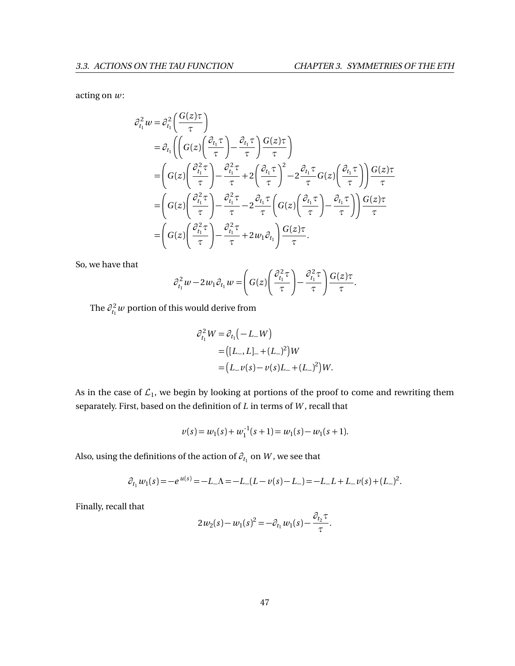acting on *w*:

$$
\partial_{t_1}^2 w = \partial_{t_1}^2 \left( \frac{G(z)\tau}{\tau} \right)
$$
  
\n
$$
= \partial_{t_1} \left( \left( G(z) \left( \frac{\partial_{t_1} \tau}{\tau} \right) - \frac{\partial_{t_1} \tau}{\tau} \right) \frac{G(z)\tau}{\tau} \right)
$$
  
\n
$$
= \left( G(z) \left( \frac{\partial_{t_1}^2 \tau}{\tau} \right) - \frac{\partial_{t_1}^2 \tau}{\tau} + 2 \left( \frac{\partial_{t_1} \tau}{\tau} \right)^2 - 2 \frac{\partial_{t_1} \tau}{\tau} G(z) \left( \frac{\partial_{t_1} \tau}{\tau} \right) \right) \frac{G(z)\tau}{\tau}
$$
  
\n
$$
= \left( G(z) \left( \frac{\partial_{t_1}^2 \tau}{\tau} \right) - \frac{\partial_{t_1}^2 \tau}{\tau} - 2 \frac{\partial_{t_1} \tau}{\tau} \left( G(z) \left( \frac{\partial_{t_1} \tau}{\tau} \right) - \frac{\partial_{t_1} \tau}{\tau} \right) \right) \frac{G(z)\tau}{\tau}
$$
  
\n
$$
= \left( G(z) \left( \frac{\partial_{t_1}^2 \tau}{\tau} \right) - \frac{\partial_{t_1}^2 \tau}{\tau} + 2w_1 \partial_{t_1} \right) \frac{G(z)\tau}{\tau}.
$$

So, we have that

$$
\partial_{t_1}^2 w - 2w_1 \partial_{t_1} w = \left( G(z) \left( \frac{\partial_{t_1}^2 \tau}{\tau} \right) - \frac{\partial_{t_1}^2 \tau}{\tau} \right) \frac{G(z) \tau}{\tau}.
$$

The  $\partial_{t_1}^2 w$  portion of this would derive from

$$
\partial_{t_1}^2 W = \partial_{t_1} (-L_- W)
$$
  
= ([L\_-, L]\_- + (L\_-)^2)W  
= (L\_- v(s) - v(s)L\_- + (L\_-)^2)W.

As in the case of  $\mathcal{L}_1$ , we begin by looking at portions of the proof to come and rewriting them separately. First, based on the definition of *L* in terms of *W* , recall that

$$
v(s) = w_1(s) + w_1^{-1}(s+1) = w_1(s) - w_1(s+1).
$$

Also, using the definitions of the action of  $\partial_{t_1}$  on  $W$  , we see that

$$
\partial_{t_1} w_1(s) = -e^{u(s)} = -L_-\Lambda = -L_-(L-v(s)-L_-) = -L_-L + L_-v(s) + (L_-)^2.
$$

Finally, recall that

$$
2w_2(s) - w_1(s)^2 = -\partial_{t_1} w_1(s) - \frac{\partial_{t_2} \tau}{\tau}.
$$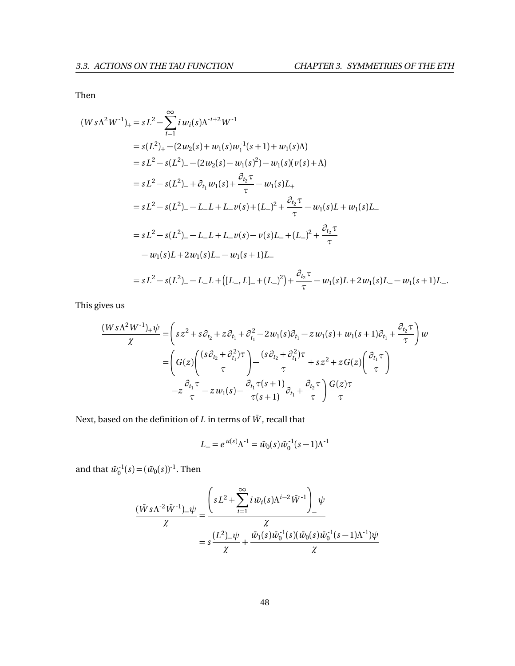Then

$$
(Ws\Lambda^{2}W^{-1})_{+} = sL^{2} - \sum_{i=1}^{\infty} i w_{i}(s)\Lambda^{-i+2}W^{-1}
$$
  
\n
$$
= s(L^{2})_{+} - (2w_{2}(s) + w_{1}(s)w_{1}^{-1}(s+1) + w_{1}(s)\Lambda)
$$
  
\n
$$
= sL^{2} - s(L^{2})_{-} - (2w_{2}(s) - w_{1}(s)^{2}) - w_{1}(s)(v(s) + \Lambda)
$$
  
\n
$$
= sL^{2} - s(L^{2})_{-} + \partial_{t_{1}}w_{1}(s) + \frac{\partial_{t_{2}}\tau}{\tau} - w_{1}(s)L_{+}
$$
  
\n
$$
= sL^{2} - s(L^{2})_{-} - L_{-}L + L_{-}v(s) + (L_{-})^{2} + \frac{\partial_{t_{2}}\tau}{\tau} - w_{1}(s)L + w_{1}(s)L_{-}
$$
  
\n
$$
= sL^{2} - s(L^{2})_{-} - L_{-}L + L_{-}v(s) - v(s)L_{-} + (L_{-})^{2} + \frac{\partial_{t_{2}}\tau}{\tau}
$$
  
\n
$$
- w_{1}(s)L + 2w_{1}(s)L_{-} - w_{1}(s+1)L_{-}
$$
  
\n
$$
= sL^{2} - s(L^{2})_{-} - L_{-}L + ([L_{-}, L]_{-} + (L_{-})^{2}) + \frac{\partial_{t_{2}}\tau}{\tau} - w_{1}(s)L + 2w_{1}(s)L_{-} - w_{1}(s+1)L_{-}
$$

This gives us

$$
\frac{(Ws\Lambda^{2}W^{-1})_{+}\psi}{\chi} = \left(sz^{2} + s\partial_{t_{2}} + z\partial_{t_{1}} + \partial_{t_{1}}^{2} - 2w_{1}(s)\partial_{t_{1}} - zw_{1}(s) + w_{1}(s+1)\partial_{t_{1}} + \frac{\partial_{t_{2}}\tau}{\tau}\right)w
$$
\n
$$
= \left(G(z)\left(\frac{(s\partial_{t_{2}} + \partial_{t_{1}}^{2})\tau}{\tau}\right) - \frac{(s\partial_{t_{2}} + \partial_{t_{1}}^{2})\tau}{\tau} + sz^{2} + zG(z)\left(\frac{\partial_{t_{1}}\tau}{\tau}\right)
$$
\n
$$
-z\frac{\partial_{t_{1}}\tau}{\tau} - zw_{1}(s) - \frac{\partial_{t_{1}}\tau(s+1)}{\tau(s+1)}\partial_{t_{1}} + \frac{\partial_{t_{2}}\tau}{\tau}\right) \frac{G(z)\tau}{\tau}
$$

Next, based on the definition of  $L$  in terms of  $\bar{W},$  recall that

$$
L_{-} = e^{u(s)} \Lambda^{-1} = \bar{w}_0(s) \bar{w}_0^{-1} (s-1) \Lambda^{-1}
$$

and that  $\bar{w}_0^{-1}(s) = (\bar{w}_0(s))^{-1}$ . Then

$$
\frac{(\bar{W}s\Lambda^{-2}\bar{W}^{-1})_{-}\psi}{\chi} = \frac{\left(sL^2 + \sum_{i=1}^{\infty} i \,\bar{w}_i(s)\Lambda^{i-2}\bar{W}^{-1}\right)_{-}\psi}{\chi}
$$

$$
= s\frac{(L^2)_{-}\psi}{\chi} + \frac{\bar{w}_1(s)\bar{w}_0^{-1}(s)(\bar{w}_0(s)\bar{w}_0^{-1}(s-1)\Lambda^{-1})\psi}{\chi}
$$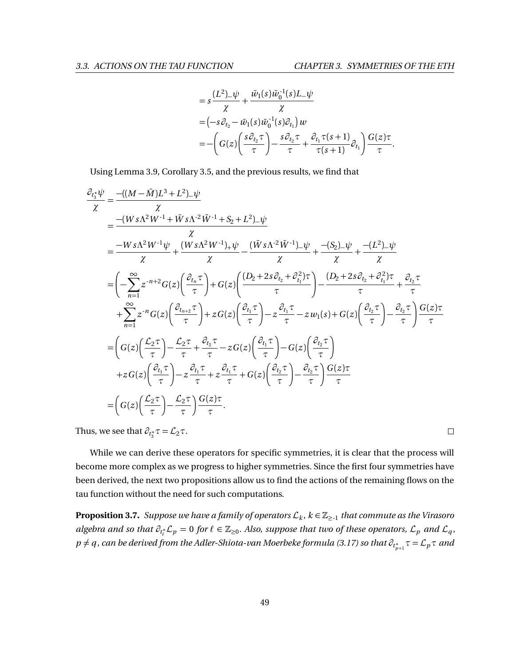$\Box$ 

$$
= s \frac{(L^2)_{-} \psi}{\chi} + \frac{\bar{w}_1(s) \bar{w}_0^{-1}(s) L_{-} \psi}{\chi}
$$
  
=  $\left(-s \partial_{t_2} - \bar{w}_1(s) \bar{w}_0^{-1}(s) \partial_{t_1}\right) w$   
=  $-\left(G(z) \left(\frac{s \partial_{t_2} \tau}{\tau}\right) - \frac{s \partial_{t_2} \tau}{\tau} + \frac{\partial_{t_1} \tau(s+1)}{\tau(s+1)} \partial_{t_1}\right) \frac{G(z) \tau}{\tau}.$ 

Using Lemma [3.9,](#page-46-0) Corollary [3.5,](#page-45-1) and the previous results, we find that

$$
\frac{\partial_{t_3^*}\psi}{\chi} = \frac{-((M-\overline{M})L^3 + L^2)_{-}\psi}{\chi}
$$
\n
$$
= \frac{-(Ws\Lambda^2W^{-1} + \overline{W}s\Lambda^{-2}\overline{W}^{-1} + S_2 + L^2)_{-}\psi}{\chi} \times \frac{-\overline{W}s\Lambda^2W^{-1}\psi}{\chi} + \frac{(\overline{W}s\Lambda^2W^{-1})_{+}\psi}{\chi} - \frac{(\overline{W}s\Lambda^{-2}\overline{W}^{-1})_{-}\psi}{\chi} + \frac{-(S_2)_{-}\psi}{\chi} + \frac{-(L^2)_{-}\psi}{\chi}
$$
\n
$$
= \left(-\sum_{n=1}^{\infty} z^{-n+2} G(z) \left(\frac{\partial_{t_n}\tau}{\tau}\right) + G(z) \left(\frac{(D_2 + 2s\partial_{t_2} + \partial_{t_1}^2)\tau}{\tau}\right) - \frac{(D_2 + 2s\partial_{t_2} + \partial_{t_1}^2)\tau}{\tau} + \frac{\partial_{t_2}\tau}{\tau} + \sum_{n=1}^{\infty} z^{-n} G(z) \left(\frac{\partial_{t_n+2}\tau}{\tau}\right) + z G(z) \left(\frac{\partial_{t_1}\tau}{\tau}\right) - z\frac{\partial_{t_1}\tau}{\tau} - z w_1(s) + G(z) \left(\frac{\partial_{t_2}\tau}{\tau}\right) - \frac{\partial_{t_2}\tau}{\tau} \right) \frac{G(z)\tau}{\tau}
$$
\n
$$
= \left(G(z) \left(\frac{\mathcal{L}_2\tau}{\tau}\right) - \frac{\mathcal{L}_2\tau}{\tau} + \frac{\partial_{t_2}\tau}{\tau} - z G(z) \left(\frac{\partial_{t_1}\tau}{\tau}\right) - G(z) \left(\frac{\partial_{t_2}\tau}{\tau}\right)
$$
\n
$$
+ z G(z) \left(\frac{\partial_{t_1}\tau}{\tau}\right) - z\frac{\partial_{t_1}\tau}{\tau} + z\frac{\partial_{t_1}\tau}{\tau} + G(z) \left(\frac{\partial_{t_2}\tau}{\tau}\right) - \frac{\partial_{t_2}\tau}{\tau} \right) \frac{G(z)\tau}{\tau}
$$
\n
$$
= \left(G(z) \left(\frac{\mathcal{L}_2\tau}{\tau}\right) - \frac{\
$$

Thus, we see that  $\partial_{t_3^*}\tau = \mathcal{L}_2\tau$ .

While we can derive these operators for specific symmetries, it is clear that the process will become more complex as we progress to higher symmetries. Since the first four symmetries have been derived, the next two propositions allow us to find the actions of the remaining flows on the tau function without the need for such computations.

<span id="page-55-0"></span> ${\bf Proposition 3.7.}$  *Suppose we have a family of operators*  $\mathcal{L}_k$  *,*  $k \in \mathbb{Z}_{\ge -1}$  *that commute as the Virasoro*  $a$ lgebra and so that  $\partial_{t^*_t} \mathcal{L}_p = 0$  for  $\ell \in \mathbb{Z}_{\geq 0}$ . Also, suppose that two of these operators,  $\mathcal{L}_p$  and  $\mathcal{L}_q$ ,  $p \neq q$  *, can be derived from the Adler-Shiota-van Moerbeke formula [\(3.17\)](#page-43-0) so that*  $\widehat o_{t^*_{p+1}}\tau = \mathcal L_p\tau$  *and*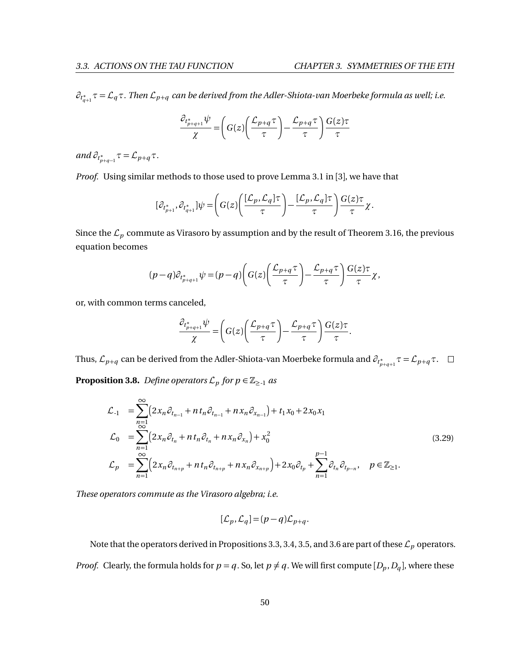*∂t* ∗ *q*+1 *τ* = L*qτ. Then* L*<sup>p</sup>*+*<sup>q</sup> can be derived from the Adler-Shiota-van Moerbeke formula as well; i.e.*

$$
\frac{\partial_{t_{p+q+1}^*} \psi}{\chi} = \left( G(z) \left( \frac{\mathcal{L}_{p+q} \tau}{\tau} \right) - \frac{\mathcal{L}_{p+q} \tau}{\tau} \right) \frac{G(z) \tau}{\tau}
$$

 $and \partial_{t_{p+q-1}^*}\tau = \mathcal{L}_{p+q}\tau.$ 

*Proof.* Using similar methods to those used to prove Lemma 3.1 in [[3](#page-74-1)], we have that

$$
[\partial_{t_{p+1}^*}, \partial_{t_{q+1}^*}] \psi = \left( G(z) \left( \frac{[\mathcal{L}_p, \mathcal{L}_q] \tau}{\tau} \right) - \frac{[\mathcal{L}_p, \mathcal{L}_q] \tau}{\tau} \right) \frac{G(z) \tau}{\tau} \chi.
$$

Since the  $\mathcal{L}_p$  commute as Virasoro by assumption and by the result of Theorem [3.16,](#page-42-0) the previous equation becomes

$$
(p-q)\partial_{t_{p+q+1}^*}\psi = (p-q)\bigg(G(z)\bigg(\frac{\mathcal{L}_{p+q}\tau}{\tau}\bigg)-\frac{\mathcal{L}_{p+q}\tau}{\tau}\bigg)\frac{G(z)\tau}{\tau}\chi,
$$

or, with common terms canceled,

$$
\frac{\partial_{t_{p+q+1}^*} \psi}{\chi} = \left( G(z) \left( \frac{\mathcal{L}_{p+q} \tau}{\tau} \right) - \frac{\mathcal{L}_{p+q} \tau}{\tau} \right) \frac{G(z) \tau}{\tau}.
$$

<span id="page-56-0"></span>Thus,  $\mathcal{L}_{p+q}$  can be derived from the Adler-Shiota-van Moerbeke formula and  $\partial_{t^*_{p+q+1}}\tau = \mathcal{L}_{p+q}\tau.$ **Proposition 3.8.** *Define operators*  $\mathcal{L}_p$  *for*  $p \in \mathbb{Z}_{\geq 1}$  *as* 

<span id="page-56-1"></span>
$$
\mathcal{L}_{-1} = \sum_{n=1}^{\infty} \left( 2x_n \partial_{t_{n-1}} + n t_n \partial_{t_{n-1}} + n x_n \partial_{x_{n-1}} \right) + t_1 x_0 + 2 x_0 x_1
$$
\n
$$
\mathcal{L}_0 = \sum_{n=1}^{\infty} \left( 2x_n \partial_{t_n} + n t_n \partial_{t_n} + n x_n \partial_{x_n} \right) + x_0^2
$$
\n
$$
\mathcal{L}_p = \sum_{n=1}^{\infty} \left( 2x_n \partial_{t_{n+p}} + n t_n \partial_{t_{n+p}} + n x_n \partial_{x_{n+p}} \right) + 2 x_0 \partial_{t_p} + \sum_{n=1}^{p-1} \partial_{t_n} \partial_{t_{p-n}}, \quad p \in \mathbb{Z}_{\ge 1}.
$$
\n(3.29)

*These operators commute as the Virasoro algebra; i.e.*

$$
[\mathcal{L}_p,\mathcal{L}_q] = (p-q)\mathcal{L}_{p+q}.
$$

Note that the operators derived in Propositions [3.3,](#page-48-0) [3.4,](#page-49-0) [3.5,](#page-51-0) and [3.6](#page-52-0) are part of these  $\mathcal{L}_p$  operators. *Proof.* Clearly, the formula holds for  $p = q$ . So, let  $p \neq q$ . We will first compute  $[D_p, D_q]$ , where these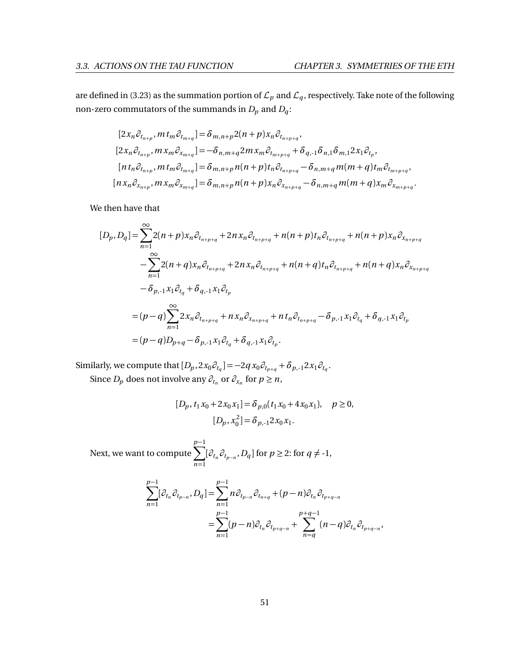are defined in [\(3.23\)](#page-46-1) as the summation portion of  $\mathcal{L}_p$  and  $\mathcal{L}_q$ , respectively. Take note of the following non-zero commutators of the summands in  $D_p$  and  $D_q$ :

$$
[2x_n \partial_{t_{n+p}}, m t_m \partial_{t_{m+q}}] = \delta_{m,n+p} 2(n+p)x_n \partial_{t_{n+p+q}},
$$
  
\n
$$
[2x_n \partial_{t_{n+p}}, m x_m \partial_{x_{m+q}}] = -\delta_{n,m+q} 2m x_m \partial_{t_{m+p+q}} + \delta_{q,-1} \delta_{n,1} \delta_{m,1} 2x_1 \partial_{t_p},
$$
  
\n
$$
[n t_n \partial_{t_{n+p}}, m t_m \partial_{t_{m+q}}] = \delta_{m,n+p} n(n+p) t_n \partial_{t_{n+p+q}} - \delta_{n,m+q} m(m+q) t_m \partial_{t_{m+p+q}},
$$
  
\n
$$
[n x_n \partial_{x_{n+p}}, m x_m \partial_{x_{m+q}}] = \delta_{m,n+p} n(n+p) x_n \partial_{x_{n+p+q}} - \delta_{n,m+q} m(m+q) x_m \partial_{x_{m+p+q}}.
$$

We then have that

$$
[D_{p}, D_{q}] = \sum_{n=1}^{\infty} 2(n+p)x_{n} \partial_{t_{n+p+q}} + 2nx_{n} \partial_{t_{n+p+q}} + n(n+p)t_{n} \partial_{t_{n+p+q}} + n(n+p)x_{n} \partial_{x_{n+p+q}}
$$
  

$$
- \sum_{n=1}^{\infty} 2(n+q)x_{n} \partial_{t_{n+p+q}} + 2nx_{n} \partial_{t_{n+p+q}} + n(n+q)t_{n} \partial_{t_{n+p+q}} + n(n+q)x_{n} \partial_{x_{n+p+q}}
$$
  

$$
- \delta_{p,-1}x_{1} \partial_{t_{q}} + \delta_{q,-1}x_{1} \partial_{t_{p}}
$$
  

$$
= (p-q) \sum_{n=1}^{\infty} 2x_{n} \partial_{t_{n+p+q}} + nx_{n} \partial_{x_{n+p+q}} + nt_{n} \partial_{t_{n+p+q}} - \delta_{p,-1}x_{1} \partial_{t_{q}} + \delta_{q,-1}x_{1} \partial_{t_{p}}
$$
  

$$
= (p-q)D_{p+q} - \delta_{p,-1}x_{1} \partial_{t_{q}} + \delta_{q,-1}x_{1} \partial_{t_{p}}.
$$

Similarly, we compute that  $[D_p, 2x_0\partial_{t_q}] = -2q x_0\partial_{t_{p+q}} + \delta_{p,-1}2x_1\partial_{t_q}$ .

Since  $D_p$  does not involve any  $\partial_{t_n}$  or  $\partial_{x_n}$  for  $p \ge n$ ,

$$
[D_p, t_1x_0 + 2x_0x_1] = \delta_{p,0}(t_1x_0 + 4x_0x_1), \quad p \ge 0,
$$
  

$$
[D_p, x_0^2] = \delta_{p,-1}2x_0x_1.
$$

Next, we want to compute *p* X−1 *n*=1  $[\partial_{t_n} \partial_{t_{p-n}}, D_q]$  for  $p \geq 2$ : for  $q \neq -1$ ,

$$
\sum_{n=1}^{p-1} [\partial_{t_n} \partial_{t_{p-n}}, D_q] = \sum_{n=1}^{p-1} n \partial_{t_{p-n}} \partial_{t_{n+q}} + (p-n) \partial_{t_n} \partial_{t_{p+q-n}} \n= \sum_{n=1}^{p-1} (p-n) \partial_{t_n} \partial_{t_{p+q-n}} + \sum_{n=q}^{p+q-1} (n-q) \partial_{t_n} \partial_{t_{p+q-n}},
$$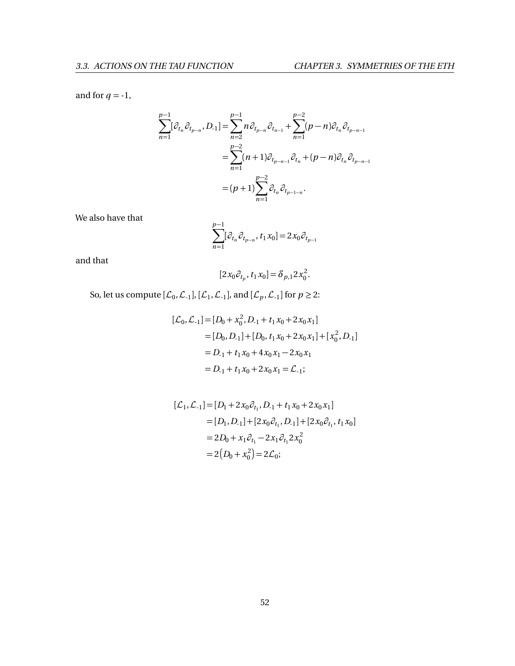and for  $q = -1$ ,

$$
\sum_{n=1}^{p-1} [\partial_{t_n} \partial_{t_{p-n}}, D_{-1}] = \sum_{n=2}^{p-1} n \partial_{t_{p-n}} \partial_{t_{n-1}} + \sum_{n=1}^{p-2} (p-n) \partial_{t_n} \partial_{t_{p-n-1}}
$$
  

$$
= \sum_{n=1}^{p-2} (n+1) \partial_{t_{p-n-1}} \partial_{t_n} + (p-n) \partial_{t_n} \partial_{t_{p-n-1}}
$$
  

$$
= (p+1) \sum_{n=1}^{p-2} \partial_{t_n} \partial_{t_{p-1-n}}.
$$

We also have that

$$
\sum_{n=1}^{p-1} [\partial_{t_n} \partial_{t_{p-n}}, t_1 x_0] = 2 x_0 \partial_{t_{p-1}}
$$

and that

$$
[2x_0\partial_{t_p}, t_1x_0] = \delta_{p,1} 2x_0^2.
$$

So, let us compute  $[\mathcal{L}_0, \mathcal{L}_{-1}]$ ,  $[\mathcal{L}_1, \mathcal{L}_{-1}]$ , and  $[\mathcal{L}_p, \mathcal{L}_{-1}]$  for  $p \geq 2$ :

$$
[\mathcal{L}_0, \mathcal{L}_{-1}] = [D_0 + x_0^2, D_{-1} + t_1 x_0 + 2x_0 x_1]
$$
  
= [D\_0, D\_{-1}] + [D\_0, t\_1 x\_0 + 2x\_0 x\_1] + [x\_0^2, D\_{-1}]  
= D\_{-1} + t\_1 x\_0 + 4x\_0 x\_1 - 2x\_0 x\_1  
= D\_{-1} + t\_1 x\_0 + 2x\_0 x\_1 = \mathcal{L}\_{-1};

$$
[\mathcal{L}_1, \mathcal{L}_{-1}] = [D_1 + 2x_0 \partial_{t_1}, D_{-1} + t_1 x_0 + 2x_0 x_1]
$$
  
= [D\_1, D\_{-1}] + [2x\_0 \partial\_{t\_1}, D\_{-1}] + [2x\_0 \partial\_{t\_1}, t\_1 x\_0]  
= 2D\_0 + x\_1 \partial\_{t\_1} - 2x\_1 \partial\_{t\_1} 2x\_0^2  
= 2(D\_0 + x\_0^2) = 2\mathcal{L}\_0;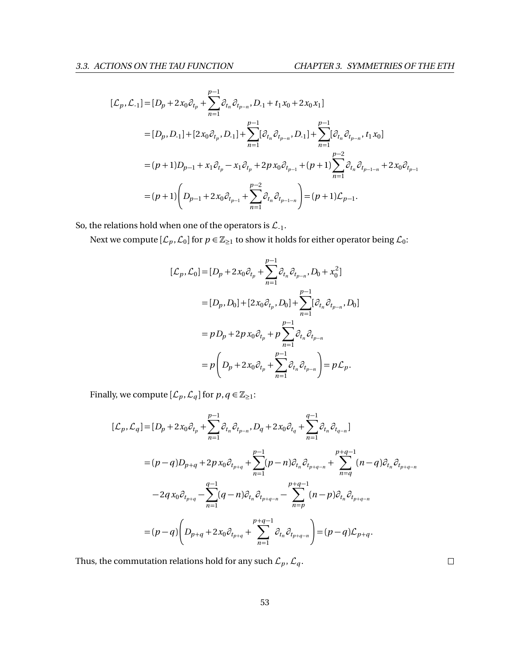$$
[\mathcal{L}_p, \mathcal{L}_{-1}] = [D_p + 2x_0 \partial_{t_p} + \sum_{n=1}^{p-1} \partial_{t_n} \partial_{t_{p-n}}, D_{-1} + t_1 x_0 + 2x_0 x_1]
$$
  
\n
$$
= [D_p, D_{-1}] + [2x_0 \partial_{t_p}, D_{-1}] + \sum_{n=1}^{p-1} [\partial_{t_n} \partial_{t_{p-n}}, D_{-1}] + \sum_{n=1}^{p-1} [\partial_{t_n} \partial_{t_{p-n}}, t_1 x_0]
$$
  
\n
$$
= (p+1)D_{p-1} + x_1 \partial_{t_p} - x_1 \partial_{t_p} + 2p x_0 \partial_{t_{p-1}} + (p+1) \sum_{n=1}^{p-2} \partial_{t_n} \partial_{t_{p-1-n}} + 2x_0 \partial_{t_{p-1}}
$$
  
\n
$$
= (p+1) \left( D_{p-1} + 2x_0 \partial_{t_{p-1}} + \sum_{n=1}^{p-2} \partial_{t_n} \partial_{t_{p-1-n}} \right) = (p+1) \mathcal{L}_{p-1}.
$$

So, the relations hold when one of the operators is  $\mathcal{L}_{-1}$ .

Next we compute  $[\mathcal{L}_p, \mathcal{L}_0]$  for  $p \in \mathbb{Z}_{\geq 1}$  to show it holds for either operator being  $\mathcal{L}_0$ :

$$
[\mathcal{L}_p, \mathcal{L}_0] = [D_p + 2x_0 \partial_{t_p} + \sum_{n=1}^{p-1} \partial_{t_n} \partial_{t_{p-n}}, D_0 + x_0^2]
$$
  
\n
$$
= [D_p, D_0] + [2x_0 \partial_{t_p}, D_0] + \sum_{n=1}^{p-1} [\partial_{t_n} \partial_{t_{p-n}}, D_0]
$$
  
\n
$$
= p D_p + 2p x_0 \partial_{t_p} + p \sum_{n=1}^{p-1} \partial_{t_n} \partial_{t_{p-n}}
$$
  
\n
$$
= p \left( D_p + 2x_0 \partial_{t_p} + \sum_{n=1}^{p-1} \partial_{t_n} \partial_{t_{p-n}} \right) = p \mathcal{L}_p.
$$

Finally, we compute  $[\mathcal{L}_p, \mathcal{L}_q]$  for  $p, q \in \mathbb{Z}_{\geq 1}$ :

$$
[\mathcal{L}_p, \mathcal{L}_q] = [D_p + 2x_0 \partial_{t_p} + \sum_{n=1}^{p-1} \partial_{t_n} \partial_{t_{p-n}}, D_q + 2x_0 \partial_{t_q} + \sum_{n=1}^{q-1} \partial_{t_n} \partial_{t_{q-n}}]
$$
  
\n
$$
= (p-q)D_{p+q} + 2p x_0 \partial_{t_{p+q}} + \sum_{n=1}^{p-1} (p-n) \partial_{t_n} \partial_{t_{p+q-n}} + \sum_{n=q}^{p+q-1} (n-q) \partial_{t_n} \partial_{t_{p+q-n}}
$$
  
\n
$$
-2q x_0 \partial_{t_{p+q}} - \sum_{n=1}^{q-1} (q-n) \partial_{t_n} \partial_{t_{p+q-n}} - \sum_{n=p}^{p+q-1} (n-p) \partial_{t_n} \partial_{t_{p+q-n}}
$$
  
\n
$$
= (p-q) \left( D_{p+q} + 2x_0 \partial_{t_{p+q}} + \sum_{n=1}^{p+q-1} \partial_{t_n} \partial_{t_{p+q-n}} \right) = (p-q) \mathcal{L}_{p+q}.
$$

Thus, the commutation relations hold for any such  $\mathcal{L}_p$  ,  $\mathcal{L}_q$  .

 $\Box$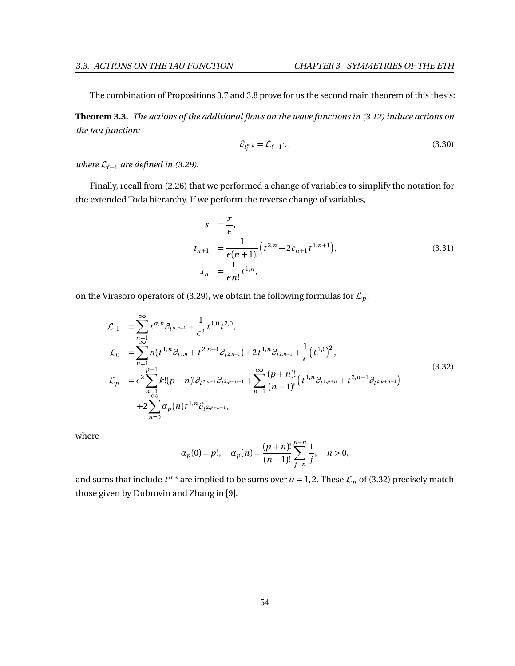The combination of Propositions [3.7](#page-55-0) and [3.8](#page-56-0) prove for us the second main theorem of this thesis:

**Theorem 3.3.** *The actions of the additional flows on the wave functions in [\(3.12\)](#page-36-3) induce actions on the tau function:*

$$
\partial_{t_{\ell}^*}\tau = \mathcal{L}_{\ell-1}\tau,\tag{3.30}
$$

*where*  $\mathcal{L}_{\ell-1}$  *are defined in* [\(3.29\)](#page-56-1)*.* 

Finally, recall from [\(2.26\)](#page-30-0) that we performed a change of variables to simplify the notation for the extended Toda hierarchy. If we perform the reverse change of variables,

$$
s = \frac{x}{\epsilon},
$$
  
\n
$$
t_{n+1} = \frac{1}{\epsilon(n+1)!} (t^{2,n} - 2c_{n+1}t^{1,n+1}),
$$
  
\n
$$
x_n = \frac{1}{\epsilon n!} t^{1,n},
$$
\n(3.31)

on the Virasoro operators of [\(3.29\)](#page-56-1), we obtain the following formulas for  $\mathcal{L}_p$ :

<span id="page-60-0"></span>
$$
\mathcal{L}_{-1} = \sum_{\substack{n=1 \ \infty}}^{\infty} t^{\alpha, n} \partial_{t^{\alpha, n-1}} + \frac{1}{\epsilon^2} t^{1, 0} t^{2, 0},
$$
\n
$$
\mathcal{L}_{0} = \sum_{n=1}^{\infty} n(t^{1, n} \partial_{t^{1, n}} + t^{2, n-1} \partial_{t^{2, n-1}}) + 2t^{1, n} \partial_{t^{2, n-1}} + \frac{1}{\epsilon} (t^{1, 0})^2,
$$
\n
$$
\mathcal{L}_{p} = \epsilon^2 \sum_{\substack{n=1 \ \infty}}^{p-1} k! (p-n)! \partial_{t^{2, n-1}} \partial_{t^{2, p-n-1}} + \sum_{n=1}^{\infty} \frac{(p+n)!}{(n-1)!} (t^{1, n} \partial_{t^{1, p+n}} + t^{2, n-1} \partial_{t^{2, p+n-1}})
$$
\n
$$
+ 2 \sum_{n=0}^{\infty} \alpha_p(n) t^{1, n} \partial_{t^{2, p+n-1}},
$$
\n(3.32)

where

$$
\alpha_p(0) = p!,
$$
\n $\alpha_p(n) = \frac{(p+n)!}{(n-1)!} \sum_{j=n}^{p+n} \frac{1}{j},$ \n $n > 0,$ 

and sums that include  $t^{\alpha,*}$  are implied to be sums over  $\alpha = 1,2$ . These  $\mathcal{L}_p$  of [\(3.32\)](#page-60-0) precisely match those given by Dubrovin and Zhang in [[9](#page-74-2)].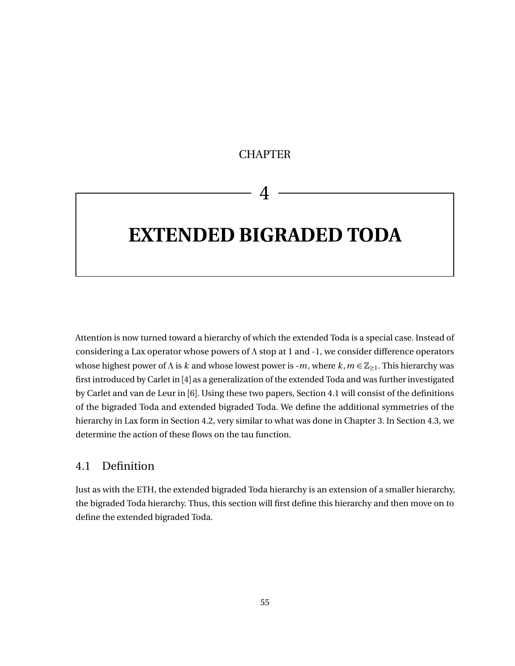# **CHAPTER**

# 4

# **EXTENDED BIGRADED TODA**

Attention is now turned toward a hierarchy of which the extended Toda is a special case. Instead of considering a Lax operator whose powers of *Λ* stop at 1 and -1, we consider difference operators whose highest power of *Λ* is *k* and whose lowest power is -*m*, where *k*, *m* ∈  $\mathbb{Z}_{\geq 1}$ . This hierarchy was first introduced by Carlet in [[4](#page-74-3)] as a generalization of the extended Toda and was further investigated by Carlet and van de Leur in [[6](#page-74-4)]. Using these two papers, Section [4.1](#page-61-0) will consist of the definitions of the bigraded Toda and extended bigraded Toda. We define the additional symmetries of the hierarchy in Lax form in Section [4.2,](#page-65-0) very similar to what was done in Chapter [3.](#page-31-0) In Section [4.3,](#page-69-0) we determine the action of these flows on the tau function.

# <span id="page-61-0"></span>4.1 Definition

Just as with the ETH, the extended bigraded Toda hierarchy is an extension of a smaller hierarchy, the bigraded Toda hierarchy. Thus, this section will first define this hierarchy and then move on to define the extended bigraded Toda.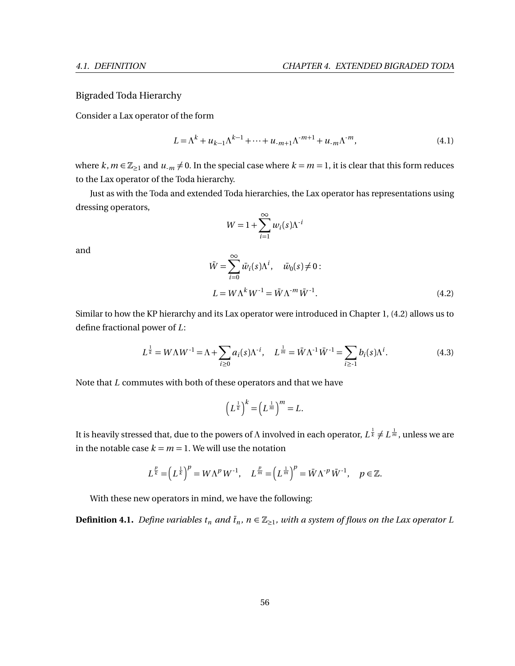## Bigraded Toda Hierarchy

Consider a Lax operator of the form

$$
L = \Lambda^k + u_{k-1} \Lambda^{k-1} + \dots + u_{-m+1} \Lambda^{m+1} + u_{-m} \Lambda^{m},
$$
\n(4.1)

where  $k, m \in \mathbb{Z}_{\geq 1}$  and  $u_{-m} \neq 0$ . In the special case where  $k = m = 1$ , it is clear that this form reduces to the Lax operator of the Toda hierarchy.

Just as with the Toda and extended Toda hierarchies, the Lax operator has representations using dressing operators,

$$
W = 1 + \sum_{i=1}^{\infty} w_i(s) \Lambda^{i}
$$

and

<span id="page-62-0"></span>
$$
\bar{W} = \sum_{i=0}^{\infty} \bar{w}_i(s) \Lambda^i, \quad \bar{w}_0(s) \neq 0:
$$
  

$$
L = W \Lambda^k W^{-1} = \bar{W} \Lambda^{m} \bar{W}^{-1}.
$$
 (4.2)

Similar to how the KP hierarchy and its Lax operator were introduced in Chapter [1,](#page-7-0) [\(4.2\)](#page-62-0) allows us to define fractional power of *L*:

$$
L^{\frac{1}{k}} = W\Lambda W^{-1} = \Lambda + \sum_{i\geq 0} a_i(s)\Lambda^{-i}, \quad L^{\frac{1}{m}} = \bar{W}\Lambda^{-1}\bar{W}^{-1} = \sum_{i\geq 1} b_i(s)\Lambda^i.
$$
 (4.3)

Note that *L* commutes with both of these operators and that we have

$$
\left(L^{\frac{1}{k}}\right)^k = \left(L^{\frac{1}{m}}\right)^m = L.
$$

It is heavily stressed that, due to the powers of Λ involved in each operator,  $L^{\frac{1}{k}}$  ≠  $L^{\frac{1}{m}}$ , unless we are in the notable case  $k = m = 1$ . We will use the notation

$$
L^{\frac{p}{k}} = \left(L^{\frac{1}{k}}\right)^p = W\Lambda^p W^{-1}, \quad L^{\frac{p}{m}} = \left(L^{\frac{1}{m}}\right)^p = \bar{W}\Lambda^{-p}\bar{W}^{-1}, \quad p \in \mathbb{Z}.
$$

With these new operators in mind, we have the following:

**Definition 4.1.** Define variables  $t_n$  and  $\bar{t}_n$ ,  $n \in \mathbb{Z}_{\geq 1}$ , with a system of flows on the Lax operator L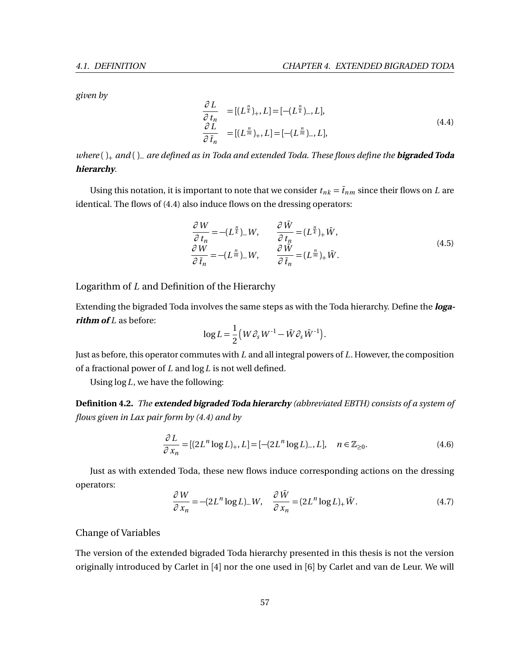*given by*

<span id="page-63-0"></span>
$$
\frac{\partial L}{\partial t_n} = [(L^{\frac{n}{k}})_+, L] = [-(L^{\frac{n}{k}})_-, L], \n\frac{\partial L}{\partial \bar{t}_n} = [(L^{\frac{n}{m}})_+, L] = [-(L^{\frac{n}{m}})_-, L],
$$
\n(4.4)

*where* ( )<sup>+</sup> *and* ( )<sup>−</sup> *are defined as in Toda and extended Toda. These flows define the* **bigraded Toda hierarchy***.*

Using this notation, it is important to note that we consider  $t_{nk} = \bar{t}_{nm}$  since their flows on *L* are identical. The flows of [\(4.4\)](#page-63-0) also induce flows on the dressing operators:

$$
\frac{\partial W}{\partial t_n} = -(L^{\frac{n}{k}})_- W, \qquad \frac{\partial \bar{W}}{\partial t_n} = (L^{\frac{n}{k}})_+ \bar{W}, \n\frac{\partial W}{\partial \bar{t}_n} = -(L^{\frac{n}{m}})_- W, \qquad \frac{\partial \bar{W}}{\partial \bar{t}_n} = (L^{\frac{n}{m}})_+ \bar{W}.
$$
\n(4.5)

Logarithm of *L* and Definition of the Hierarchy

Extending the bigraded Toda involves the same steps as with the Toda hierarchy. Define the **loga***rithm of L* as before:

$$
\log L = \frac{1}{2} \left( W \partial_s W^{-1} - \bar{W} \partial_s \bar{W}^{-1} \right).
$$

Just as before, this operator commutes with *L* and all integral powers of *L*. However, the composition of a fractional power of *L* and log*L* is not well defined.

Using log*L*, we have the following:

**Definition 4.2.** *The* **extended bigraded Toda hierarchy** *(abbreviated EBTH) consists of a system of flows given in Lax pair form by [\(4.4\)](#page-63-0) and by*

$$
\frac{\partial L}{\partial x_n} = [(2L^n \log L)_+, L] = [-(2L^n \log L)_-, L], \quad n \in \mathbb{Z}_{\ge 0}.
$$
\n(4.6)

Just as with extended Toda, these new flows induce corresponding actions on the dressing operators:

$$
\frac{\partial W}{\partial x_n} = -(2L^n \log L)_- W, \quad \frac{\partial \bar{W}}{\partial x_n} = (2L^n \log L)_+ \bar{W}.
$$
\n(4.7)

#### Change of Variables

The version of the extended bigraded Toda hierarchy presented in this thesis is not the version originally introduced by Carlet in [[4](#page-74-3)] nor the one used in [[6](#page-74-4)] by Carlet and van de Leur. We will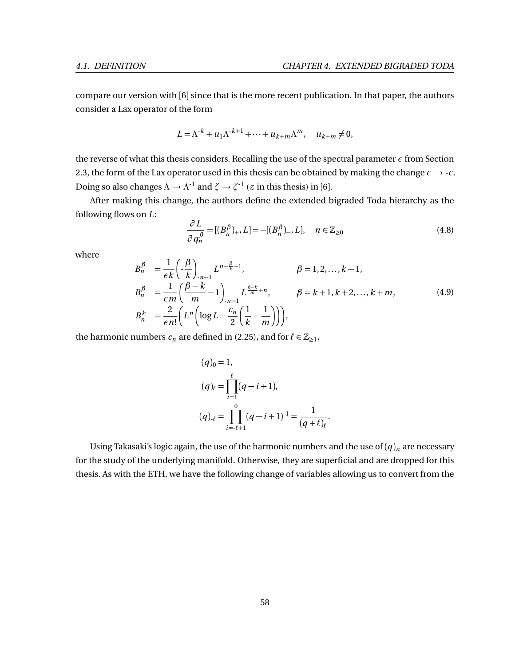compare our version with [[6](#page-74-4)] since that is the more recent publication. In that paper, the authors consider a Lax operator of the form

$$
L = \Lambda^{-k} + u_1 \Lambda^{-k+1} + \dots + u_{k+m} \Lambda^m, \quad u_{k+m} \neq 0,
$$

the reverse of what this thesis considers. Recalling the use of the spectral parameter *ε* from Section [2.3,](#page-24-0) the form of the Lax operator used in this thesis can be obtained by making the change  $\epsilon \to -\epsilon$ . Doing so also changes  $\Lambda \to \Lambda^{-1}$  and  $\zeta \to \zeta^{-1}$  (*z* in this thesis) in [[6](#page-74-4)].

After making this change, the authors define the extended bigraded Toda hierarchy as the following flows on *L*:

$$
\frac{\partial L}{\partial q_n^{\beta}} = [(B_n^{\beta})_+, L] = -[(B_n^{\beta})_-, L], \quad n \in \mathbb{Z}_{\ge 0}
$$
\n(4.8)

where

$$
B_n^{\beta} = \frac{1}{\epsilon k} \left( -\frac{\beta}{k} \right)_{n-1} L^{n-\frac{\beta}{k}+1}, \qquad \beta = 1, 2, \dots, k-1,
$$
  
\n
$$
B_n^{\beta} = \frac{1}{\epsilon m} \left( \frac{\beta - k}{m} - 1 \right)_{n-1} L^{\frac{\beta - k}{m} + n}, \qquad \beta = k+1, k+2, \dots, k+m,
$$
  
\n
$$
B_n^k = \frac{2}{\epsilon n!} \left( L^n \left( \log L - \frac{c_n}{2} \left( \frac{1}{k} + \frac{1}{m} \right) \right) \right),
$$
\n(4.9)

the harmonic numbers  $c_n$  are defined in [\(2.25\)](#page-29-2), and for  $\ell \in \mathbb{Z}_{\geq 1}$ ,

$$
(q)0 = 1,(q)ℓ = \prod_{i=1}^{l} (q - i + 1),(q)ℓ = \prod_{i=l+1}^{0} (q - i + 1)-1 = \frac{1}{(q + l)ℓ}.
$$

Using Takasaki's logic again, the use of the harmonic numbers and the use of  $(q)_n$  are necessary for the study of the underlying manifold. Otherwise, they are superficial and are dropped for this thesis. As with the ETH, we have the following change of variables allowing us to convert from the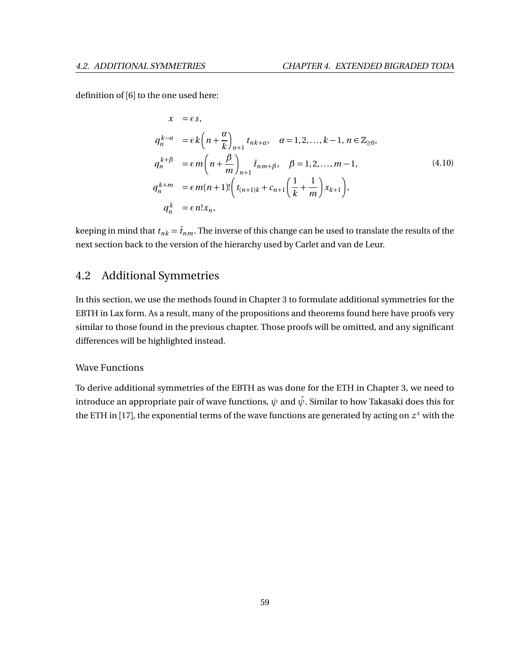definition of [[6](#page-74-4)] to the one used here:

$$
x = \epsilon s,
$$
  
\n
$$
q_n^{k-\alpha} = \epsilon k \left( n + \frac{\alpha}{k} \right)_{n+1} t_{nk+\alpha}, \quad \alpha = 1, 2, ..., k-1, n \in \mathbb{Z}_{\ge 0},
$$
  
\n
$$
q_n^{k+\beta} = \epsilon m \left( n + \frac{\beta}{m} \right)_{n+1} \overline{t}_{nm+\beta}, \quad \beta = 1, 2, ..., m-1,
$$
  
\n
$$
q_n^{k+m} = \epsilon m(n+1)! \left( t_{(n+1)k} + c_{n+1} \left( \frac{1}{k} + \frac{1}{m} \right) x_{k+1} \right),
$$
  
\n
$$
q_n^k = \epsilon n! x_n,
$$
  
\n(4.10)

keeping in mind that  $t_{nk} = \bar{t}_{nm}$ . The inverse of this change can be used to translate the results of the next section back to the version of the hierarchy used by Carlet and van de Leur.

# <span id="page-65-0"></span>4.2 Additional Symmetries

In this section, we use the methods found in Chapter [3](#page-31-0) to formulate additional symmetries for the EBTH in Lax form. As a result, many of the propositions and theorems found here have proofs very similar to those found in the previous chapter. Those proofs will be omitted, and any significant differences will be highlighted instead.

#### Wave Functions

To derive additional symmetries of the EBTH as was done for the ETH in Chapter [3,](#page-31-0) we need to introduce an appropriate pair of wave functions,  $\psi$  and  $\bar{\psi}$ . Similar to how Takasaki does this for the ETH in [[17](#page-75-0)], the exponential terms of the wave functions are generated by acting on *z <sup>s</sup>* with the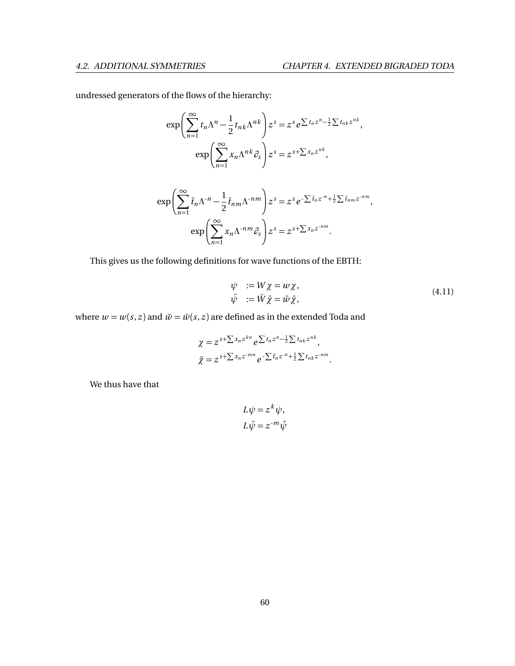undressed generators of the flows of the hierarchy:

$$
\exp\left(\sum_{n=1}^{\infty} t_n \Lambda^n - \frac{1}{2} t_{nk} \Lambda^{nk}\right) z^s = z^s e^{\sum t_n z^n - \frac{1}{2} \sum t_{nk} z^{nk}},
$$

$$
\exp\left(\sum_{n=1}^{\infty} x_n \Lambda^{nk} \partial_s\right) z^s = z^{s + \sum x_n z^{nk}},
$$

$$
\exp\left(\sum_{n=1}^{\infty} \overline{t}_n \Lambda^{-n} - \frac{1}{2} \overline{t}_{nm} \Lambda^{-nm}\right) z^s = z^s e^{-\sum \overline{t}_n z^{-n} + \frac{1}{2} \sum \overline{t}_{nm} z^{-nm}},
$$

$$
\exp\left(\sum_{n=1}^{\infty} x_n \Lambda^{-nm} \partial_s\right) z^s = z^{s + \sum x_n z^{-nm}}.
$$

This gives us the following definitions for wave functions of the EBTH:

$$
\psi := W \chi = w \chi, \n\bar{\psi} := \bar{W} \bar{\chi} = \bar{w} \bar{\chi},
$$
\n(4.11)

where  $w = w(s, z)$  and  $\bar{w} = \bar{w}(s, z)$  are defined as in the extended Toda and

$$
\chi = z^{s+\sum x_n z^{kn}} e^{\sum t_n z^n - \frac{1}{2}\sum t_{nk} z^{nk}},
$$
  

$$
\bar{\chi} = z^{s+\sum x_n z^{-mn}} e^{-\sum \bar{t}_n z^{-n} + \frac{1}{2}\sum t_{nk} z^{-nm}}.
$$

We thus have that

$$
L\psi = z^k \psi,
$$
  

$$
L\bar{\psi} = z^{-m}\bar{\psi}
$$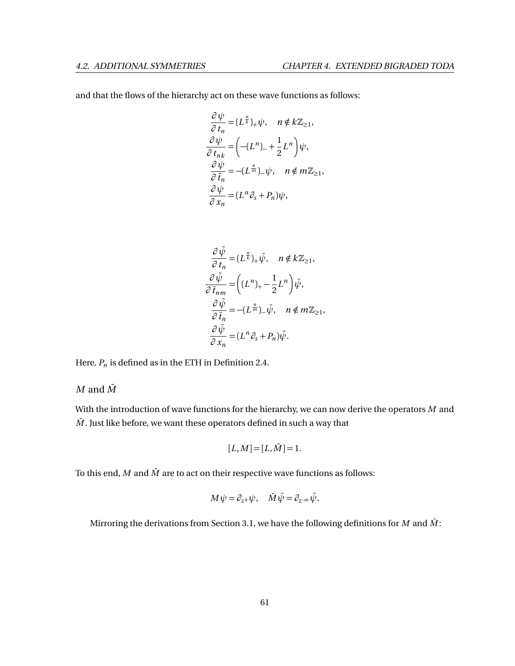and that the flows of the hierarchy act on these wave functions as follows:

$$
\frac{\partial \psi}{\partial t_n} = (L^{\frac{n}{k}})_+ \psi, \quad n \notin k \mathbb{Z}_{\geq 1},
$$
  

$$
\frac{\partial \psi}{\partial t_{nk}} = \left( -(L^n)_- + \frac{1}{2} L^n \right) \psi,
$$
  

$$
\frac{\partial \psi}{\partial \bar{t}_n} = -(L^{\frac{n}{m}})_- \psi, \quad n \notin m \mathbb{Z}_{\geq 1},
$$
  

$$
\frac{\partial \psi}{\partial x_n} = (L^n \partial_s + P_n) \psi,
$$

$$
\frac{\partial \bar{\psi}}{\partial t_n} = (L^{\frac{n}{k}})_+ \bar{\psi}, \quad n \notin k\mathbb{Z}_{\geq 1},
$$

$$
\frac{\partial \bar{\psi}}{\partial \bar{t}_{nm}} = \left( (L^n)_+ - \frac{1}{2} L^n \right) \bar{\psi},
$$

$$
\frac{\partial \bar{\psi}}{\partial \bar{t}_n} = -(L^{\frac{n}{m}})_- \bar{\psi}, \quad n \notin m\mathbb{Z}_{\geq 1},
$$

$$
\frac{\partial \bar{\psi}}{\partial x_n} = (L^n \partial_s + P_n) \bar{\psi}.
$$

Here,  $P_n$  is defined as in the ETH in Definition [2.4.](#page-26-1)

### $M$  and  $\overline{M}$

With the introduction of wave functions for the hierarchy, we can now derive the operators *M* and  $\overline{M}$ . Just like before, we want these operators defined in such a way that

$$
[L,M]=[L,\bar{M}]=1.
$$

To this end,  $M$  and  $\overline{M}$  are to act on their respective wave functions as follows:

$$
M\psi = \partial_{z^k}\psi, \quad \bar{M}\bar{\psi} = \partial_{z^m}\bar{\psi}.
$$

Mirroring the derivations from Section [3.1,](#page-31-1) we have the following definitions for *M* and  $\bar{M}$ :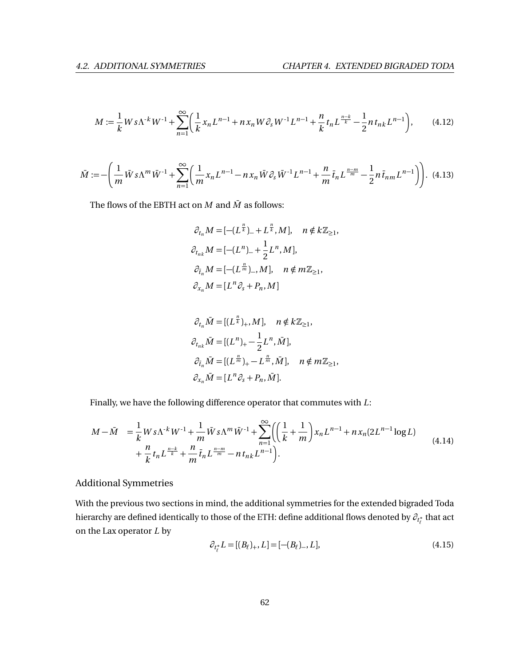$$
M := \frac{1}{k} W s \Lambda^{k} W^{-1} + \sum_{n=1}^{\infty} \left( \frac{1}{k} x_n L^{n-1} + n x_n W \partial_s W^{-1} L^{n-1} + \frac{n}{k} t_n L^{\frac{n-k}{k}} - \frac{1}{2} n t_{nk} L^{n-1} \right), \tag{4.12}
$$

$$
\bar{M} := -\left(\frac{1}{m}\bar{W}s\Lambda^m\bar{W}^{-1} + \sum_{n=1}^{\infty} \left(\frac{1}{m}x_nL^{n-1} - nx_n\bar{W}\partial_s\bar{W}^{-1}L^{n-1} + \frac{n}{m}\bar{t}_nL^{\frac{n-m}{m}} - \frac{1}{2}n\bar{t}_{nm}L^{n-1}\right)\right).
$$
(4.13)

The flows of the EBTH act on  $M$  and  $\bar{M}$  as follows:

$$
\partial_{t_n} M = \left[ -(L^{\frac{n}{k}})_+ + L^{\frac{n}{k}}, M \right], \quad n \notin k \mathbb{Z}_{\geq 1},
$$
  

$$
\partial_{t_{nk}} M = \left[ -(L^n)_- + \frac{1}{2} L^n, M \right],
$$
  

$$
\partial_{\bar{t}_n} M = \left[ -(L^{\frac{n}{m}})_-, M \right], \quad n \notin m \mathbb{Z}_{\geq 1},
$$
  

$$
\partial_{x_n} M = \left[ L^n \partial_s + P_n, M \right]
$$

$$
\partial_{t_n} \bar{M} = [(L^{\frac{n}{k}})_+, M], \quad n \notin k\mathbb{Z}_{\geq 1},
$$
  
\n
$$
\partial_{t_{nk}} \bar{M} = [(L^n)_+ - \frac{1}{2} L^n, \bar{M}],
$$
  
\n
$$
\partial_{\bar{t}_n} \bar{M} = [(L^{\frac{n}{m}})_+ - L^{\frac{n}{m}}, \bar{M}], \quad n \notin m\mathbb{Z}_{\geq 1},
$$
  
\n
$$
\partial_{x_n} \bar{M} = [L^n \partial_s + P_n, \bar{M}].
$$

Finally, we have the following difference operator that commutes with *L*:

$$
M - \bar{M} = \frac{1}{k} W s \Lambda^{k} W^{-1} + \frac{1}{m} \bar{W} s \Lambda^{m} \bar{W}^{-1} + \sum_{n=1}^{\infty} \left( \left( \frac{1}{k} + \frac{1}{m} \right) x_{n} L^{n-1} + n x_{n} (2L^{n-1} \log L) + \frac{n}{k} t_{n} L^{\frac{n-k}{k}} + \frac{n}{m} \bar{t}_{n} L^{\frac{n-m}{m}} - n t_{n k} L^{n-1} \right).
$$
\n(4.14)

## Additional Symmetries

With the previous two sections in mind, the additional symmetries for the extended bigraded Toda hierarchy are defined identically to those of the ETH: define additional flows denoted by  $\partial_{t^*_\ell}$  that act on the Lax operator *L* by

<span id="page-68-0"></span>
$$
\partial_{t_{\ell}^*} L = [(B_{\ell})_+, L] = [-(B_{\ell})_-, L], \tag{4.15}
$$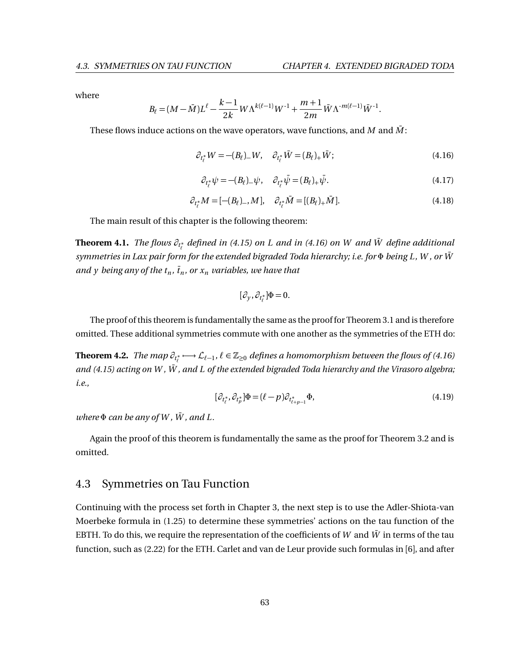.

where

$$
B_{\ell} = (M - \bar{M}) L^{\ell} - \frac{k-1}{2k} W \Lambda^{k(\ell-1)} W^{-1} + \frac{m+1}{2m} \bar{W} \Lambda^{-m(\ell-1)} \bar{W}^{-1}
$$

These flows induce actions on the wave operators, wave functions, and  $M$  and  $\overline{M}$ :

<span id="page-69-1"></span>
$$
\partial_{t_{\ell}^*} W = -(B_{\ell})_W, \quad \partial_{t_{\ell}^*} \bar{W} = (B_{\ell})_+ \bar{W}; \tag{4.16}
$$

$$
\partial_{t_{\ell}^*} \psi = -(B_{\ell})_{-} \psi, \quad \partial_{t_{\ell}^*} \bar{\psi} = (B_{\ell})_{+} \bar{\psi}.
$$
 (4.17)

$$
\partial_{t_{\ell}^*} M = [-(B_{\ell})_-, M], \quad \partial_{t_{\ell}^*} \bar{M} = [(B_{\ell})_+ \bar{M}]. \tag{4.18}
$$

The main result of this chapter is the following theorem:

**Theorem 4.1.** *The flows*  $\partial_{t^*_t}$  *defined in [\(4.15\)](#page-68-0) on <i>L* and in [\(4.16\)](#page-69-1) on W and  $\bar{W}$  define additional *symmetries in Lax pair form for the extended bigraded Toda hierarchy; i.e. for*  $Φ$  *being L, W, or*  $\bar{W}$ *and y being any of the*  $t_n$ *,*  $\bar{t}_n$ *, or*  $x_n$  *variables, we have that* 

$$
[\partial_y,\partial_{t^*_\ell}]\Phi=0.
$$

The proof of this theorem is fundamentally the same as the proof for Theorem [3.1](#page-41-0) and is therefore omitted. These additional symmetries commute with one another as the symmetries of the ETH do:

**Theorem 4.2.** *The map*  $\partial_{t_\ell^*}\longmapsto$  $\mathcal{L}_{\ell-1}$ *,*  $\ell\in\mathbb{Z}_{\geq 0}$  *defines a homomorphism between the flows of [\(4.16\)](#page-69-1) and* [\(4.15\)](#page-68-0) acting on W,  $\bar{W}$ , and L of the extended bigraded Toda hierarchy and the Virasoro algebra; *i.e.,*

$$
[\partial_{t_{\ell}^*}, \partial_{t_{\rho}^*}] \Phi = (\ell - p) \partial_{t_{\ell+p-1}^*} \Phi,
$$
\n(4.19)

 $where \Phi can be any of W, \overline{W}$ , and L.

Again the proof of this theorem is fundamentally the same as the proof for Theorem [3.2](#page-42-1) and is omitted.

## <span id="page-69-0"></span>4.3 Symmetries on Tau Function

Continuing with the process set forth in Chapter [3,](#page-31-0) the next step is to use the Adler-Shiota-van Moerbeke formula in [\(1.25\)](#page-15-0) to determine these symmetries' actions on the tau function of the EBTH. To do this, we require the representation of the coefficients of  $W$  and  $\bar{W}$  in terms of the tau function, such as [\(2.22\)](#page-29-1) for the ETH. Carlet and van de Leur provide such formulas in [[6](#page-74-4)], and after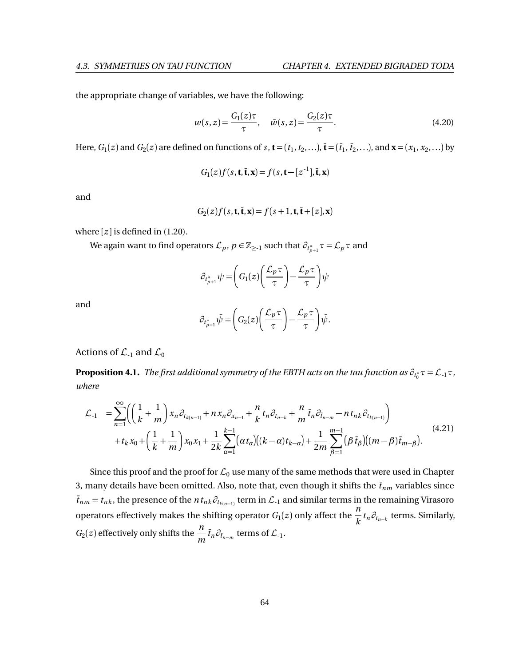the appropriate change of variables, we have the following:

$$
w(s, z) = \frac{G_1(z)\tau}{\tau}, \quad \bar{w}(s, z) = \frac{G_2(z)\tau}{\tau}.
$$
 (4.20)

Here,  $G_1(z)$  and  $G_2(z)$  are defined on functions of *s*, **t** = ( $t_1, t_2,...$ ), **i** = ( $\bar{t}_1, \bar{t}_2,...$ ), and **x** = ( $x_1, x_2,...$ ) by

$$
G_1(z)f(s,\mathbf{t},\bar{\mathbf{t}},\mathbf{x})=f(s,\mathbf{t}-[z^{-1}],\bar{\mathbf{t}},\mathbf{x})
$$

and

$$
G_2(z)f(s,\mathbf{t},\bar{\mathbf{t}},\mathbf{x})=f(s+1,\mathbf{t},\bar{\mathbf{t}}+[z],\mathbf{x})
$$

where  $[z]$  is defined in [\(1.20\)](#page-14-1).

We again want to find operators  $\mathcal{L}_p$ ,  $p \in \mathbb{Z}_{\ge-1}$  such that  $\partial_{t^*_{p+1}} \tau = \mathcal{L}_p \tau$  and

$$
\partial_{t_{p+1}^*}\psi=\bigg(G_1(z)\bigg(\frac{\mathcal{L}_p\,\tau}{\tau}\bigg)-\frac{\mathcal{L}_p\,\tau}{\tau}\bigg)\psi
$$

and

$$
\partial_{t_{p+1}^*} \bar{\psi} = \left( G_2(z) \left( \frac{\mathcal{L}_p \tau}{\tau} \right) - \frac{\mathcal{L}_p \tau}{\tau} \right) \bar{\psi}.
$$

Actions of  $\mathcal{L}_{-1}$  and  $\mathcal{L}_{0}$ 

**Proposition 4.1.** *The first additional symmetry of the EBTH acts on the tau function as*  $\partial_{t_0^*}\tau = \mathcal{L}_{\cdot 1}\tau$  *, where*

$$
\mathcal{L}_{-1} = \sum_{n=1}^{\infty} \left( \left( \frac{1}{k} + \frac{1}{m} \right) x_n \partial_{t_{k(n-1)}} + nx_n \partial_{x_{n-1}} + \frac{n}{k} t_n \partial_{t_{n-k}} + \frac{n}{m} \bar{t}_n \partial_{\bar{t}_{n-m}} - nt_{nk} \partial_{t_{k(n-1)}} \right) + t_k x_0 + \left( \frac{1}{k} + \frac{1}{m} \right) x_0 x_1 + \frac{1}{2k} \sum_{\alpha=1}^{k-1} \left( \alpha t_\alpha \right) \left( (k - \alpha) t_{k-\alpha} \right) + \frac{1}{2m} \sum_{\beta=1}^{m-1} \left( \beta \bar{t}_\beta \right) \left( (m - \beta) \bar{t}_{m-\beta} \right). \tag{4.21}
$$

Since this proof and the proof for  $\mathcal{L}_0$  use many of the same methods that were used in Chapter [3,](#page-31-0) many details have been omitted. Also, note that, even though it shifts the  $\bar{t}_{nm}$  variables since  $\bar{t}_{nm} = t_{nk}$ , the presence of the  $n t_{nk} \partial_{t_{k(n-1)}}$  term in  $\mathcal{L}_{-1}$  and similar terms in the remaining Virasoro operators effectively makes the shifting operator  $G_1(z)$  only affect the  $\frac{n}{k}$  $\frac{d}{dt}$  *t*<sup>n</sup>  $\partial_{t_{n-k}}$  terms. Similarly,  $G_2(z)$  effectively only shifts the  $\frac{n}{n}$  $\frac{n}{m}$   $\bar{t}_n \partial_{\bar{t}_{n-m}}$  terms of  $\mathcal{L}_{-1}$ .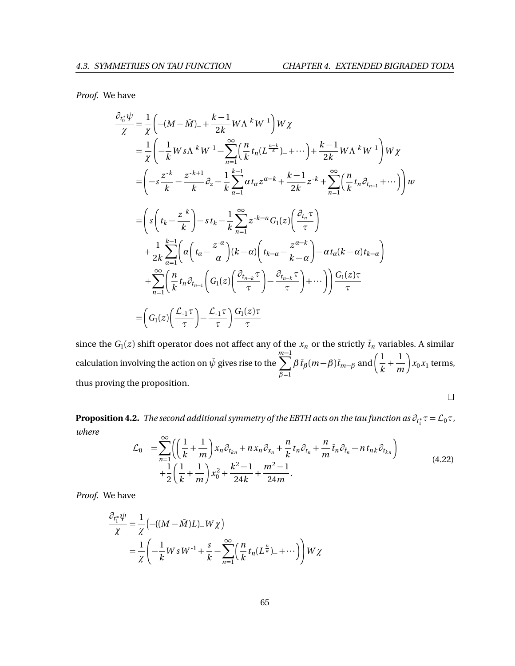*Proof.* We have

$$
\frac{\partial_{t_0^*} \psi}{\chi} = \frac{1}{\chi} \left( -(M - \bar{M})_- + \frac{k-1}{2k} W \Lambda^k W^{-1} \right) W \chi
$$
\n
$$
= \frac{1}{\chi} \left( -\frac{1}{k} W s \Lambda^k W^{-1} - \sum_{n=1}^{\infty} \left( \frac{n}{k} t_n (L^{\frac{n-k}{k}})_- + \cdots \right) + \frac{k-1}{2k} W \Lambda^k W^{-1} \right) W \chi
$$
\n
$$
= \left( -s \frac{z^{-k}}{k} - \frac{z^{-k+1}}{k} \partial_z - \frac{1}{k} \sum_{\alpha=1}^{k-1} \alpha t_\alpha z^{\alpha-k} + \frac{k-1}{2k} z^{-k} + \sum_{n=1}^{\infty} \left( \frac{n}{k} t_n \partial_{t_{n-1}} + \cdots \right) \right) W
$$
\n
$$
= \left( s \left( t_k - \frac{z^{-k}}{k} \right) - s t_k - \frac{1}{k} \sum_{n=1}^{\infty} z^{-k-n} G_1(z) \left( \frac{\partial_{t_n} \tau}{\tau} \right)
$$
\n
$$
+ \frac{1}{2k} \sum_{\alpha=1}^{k-1} \left( \alpha \left( t_\alpha - \frac{z^{-\alpha}}{\alpha} \right) (k - \alpha) \left( t_{k-\alpha} - \frac{z^{\alpha-k}}{k-\alpha} \right) - \alpha t_\alpha (k - \alpha) t_{k-\alpha} \right)
$$
\n
$$
+ \sum_{n=1}^{\infty} \left( \frac{n}{k} t_n \partial_{t_{n-1}} \left( G_1(z) \left( \frac{\partial_{t_{n-k}} \tau}{\tau} \right) - \frac{\partial_{t_{n-k}} \tau}{\tau} \right) + \cdots \right) \right) \frac{G_1(z) \tau}{\tau}
$$
\n
$$
= \left( G_1(z) \left( \frac{\mathcal{L}_{\cdot 1} \tau}{\tau} \right) - \frac{\mathcal{L}_{\cdot 1} \tau}{\tau} \right) \frac{G_1(z) \tau}{\tau}
$$

since the  $G_1(z)$  shift operator does not affect any of the  $x_n$  or the strictly  $\bar{t}_n$  variables. A similar calculation involving the action on  $\bar{\psi}$  gives rise to the  $\sum_{n=1}^{m-1}$ *β*=1  $\beta \bar{t}_{\beta}$  $(m-\beta)\bar{t}_{m-\beta}$  and  $\left(\frac{1}{L}\right)$  $\overline{k}$ <sup>+</sup> 1 *m*  $\int x_0 x_1$  terms, thus proving the proposition.

 $\Box$ 

**Proposition 4.2.** *The second additional symmetry of the EBTH acts on the tau function as*  $\partial_{t_1^*}\tau = \mathcal{L}_0\tau$  *, where*

$$
\mathcal{L}_0 = \sum_{n=1}^{\infty} \left( \left( \frac{1}{k} + \frac{1}{m} \right) x_n \partial_{t_{kn}} + nx_n \partial_{x_n} + \frac{n}{k} t_n \partial_{t_n} + \frac{n}{m} \bar{t}_n \partial_{\bar{t}_n} - nt_{nk} \partial_{t_{kn}} \right) + \frac{1}{2} \left( \frac{1}{k} + \frac{1}{m} \right) x_0^2 + \frac{k^2 - 1}{24k} + \frac{m^2 - 1}{24m}.
$$
\n(4.22)

*Proof.* We have

$$
\frac{\partial_{t_1^*} \psi}{\chi} = \frac{1}{\chi} \left( -((M - \bar{M})L) - W \chi \right)
$$
  
= 
$$
\frac{1}{\chi} \left( -\frac{1}{k} W s W^{-1} + \frac{s}{k} - \sum_{n=1}^{\infty} \left( \frac{n}{k} t_n (L^{\frac{n}{k}}) - + \cdots \right) \right) W \chi
$$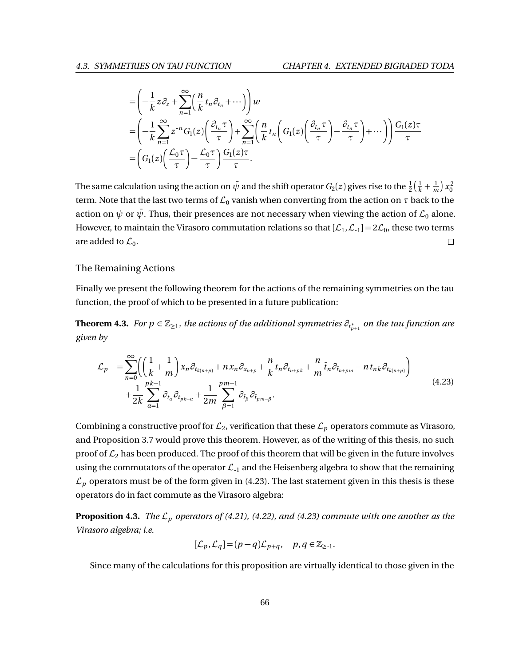$$
\begin{split}\n&= \left(-\frac{1}{k}z\partial_z + \sum_{n=1}^{\infty} \left(\frac{n}{k}t_n\partial_{t_n} + \cdots\right)\right)w \\
&= \left(-\frac{1}{k}\sum_{n=1}^{\infty} z^{-n}G_1(z)\left(\frac{\partial_{t_n}\tau}{\tau}\right) + \sum_{n=1}^{\infty} \left(\frac{n}{k}t_n\left(G_1(z)\left(\frac{\partial_{t_n}\tau}{\tau}\right) - \frac{\partial_{t_n}\tau}{\tau}\right) + \cdots\right)\right)\frac{G_1(z)\tau}{\tau} \\
&= \left(G_1(z)\left(\frac{\mathcal{L}_0\tau}{\tau}\right) - \frac{\mathcal{L}_0\tau}{\tau}\right)\frac{G_1(z)\tau}{\tau}.\n\end{split}
$$

The same calculation using the action on  $\bar{\psi}$  and the shift operator  $G_2(z)$  gives rise to the  $\frac{1}{2} \big(\frac{1}{k}+\frac{1}{m}\big) x_0^2$ term. Note that the last two terms of  $\mathcal{L}_0$  vanish when converting from the action on  $\tau$  back to the action on  $\psi$  or  $\bar{\psi}$ . Thus, their presences are not necessary when viewing the action of  $\mathcal{L}_0$  alone. However, to maintain the Virasoro commutation relations so that  $[\mathcal{L}_1, \mathcal{L}_1] = 2\mathcal{L}_0$ , these two terms are added to  $\mathcal{L}_0$ .  $\Box$ 

## The Remaining Actions

Finally we present the following theorem for the actions of the remaining symmetries on the tau function, the proof of which to be presented in a future publication:

**Theorem 4.3.** *For*  $p \in \mathbb{Z}_{\geq 1}$ *, the actions of the additional symmetries*  $\partial_{t^*_{p+1}}$  *on the tau function are given by*

<span id="page-72-0"></span>
$$
\mathcal{L}_{p} = \sum_{n=0}^{\infty} \left( \left( \frac{1}{k} + \frac{1}{m} \right) x_{n} \partial_{t_{k(n+p)}} + n x_{n} \partial_{x_{n+p}} + \frac{n}{k} t_{n} \partial_{t_{n+pk}} + \frac{n}{m} \bar{t}_{n} \partial_{\bar{t}_{n+pm}} - n t_{nk} \partial_{t_{k(n+p)}} \right) + \frac{1}{2k} \sum_{\alpha=1}^{pk-1} \partial_{t_{\alpha}} \partial_{t_{pk-\alpha}} + \frac{1}{2m} \sum_{\beta=1}^{pm-1} \partial_{\bar{t}_{\beta}} \partial_{\bar{t}_{pm-\beta}}.
$$
\n(4.23)

Combining a constructive proof for  $\mathcal{L}_2$ , verification that these  $\mathcal{L}_p$  operators commute as Virasoro, and Proposition [3.7](#page-55-0) would prove this theorem. However, as of the writing of this thesis, no such proof of  $\mathcal{L}_2$  has been produced. The proof of this theorem that will be given in the future involves using the commutators of the operator  $\mathcal{L}_{-1}$  and the Heisenberg algebra to show that the remaining  $\mathcal{L}_p$  operators must be of the form given in [\(4.23\)](#page-72-0). The last statement given in this thesis is these operators do in fact commute as the Virasoro algebra:

**Proposition 4.3.** *The*  $\mathcal{L}_p$  *operators of [\(4.21\)](#page-70-0), [\(4.22\)](#page-71-0), and [\(4.23\)](#page-72-0) commute with one another as the Virasoro algebra; i.e.*

$$
[\mathcal{L}_p,\mathcal{L}_q]\!=\!(p-q)\mathcal{L}_{p+q},\quad p,q\in\mathbb{Z}_{\geq 1}.
$$

Since many of the calculations for this proposition are virtually identical to those given in the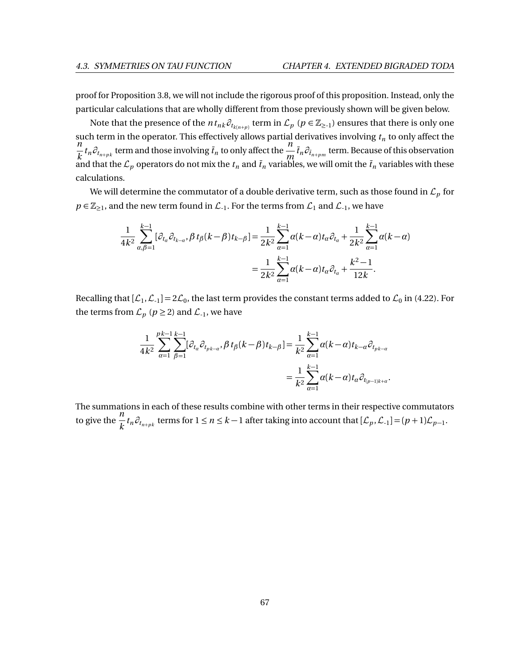proof for Proposition [3.8,](#page-56-0) we will not include the rigorous proof of this proposition. Instead, only the particular calculations that are wholly different from those previously shown will be given below.

Note that the presence of the  $n t_{nk} \partial_{t_{k(n+p)}}$  term in  $\mathcal{L}_p$   $(p \in \mathbb{Z}_{\ge -1})$  ensures that there is only one such term in the operator. This effectively allows partial derivatives involving *t<sup>n</sup>* to only affect the *n*  $\frac{n}{k}$  *t*<sub>n</sub>  $\partial_{t_{n+pk}}$  term and those involving  $\bar{t}_n$  to only affect the  $\frac{n}{m}$  $\frac{n}{m}$   $\bar{t}_n \partial_{\bar{t}_{n+pm}}$  term. Because of this observation and that the  ${\cal L}_p$  operators do not mix the  $t_n$  and  $\bar t_n$  variables, we will omit the  $\bar t_n$  variables with these calculations.

We will determine the commutator of a double derivative term, such as those found in  $\mathcal{L}_p$  for  $p \in \mathbb{Z}_{\geq 1}$ , and the new term found in  $\mathcal{L}_{-1}$ . For the terms from  $\mathcal{L}_1$  and  $\mathcal{L}_{-1}$ , we have

$$
\frac{1}{4k^2} \sum_{\alpha,\beta=1}^{k-1} [\partial_{t_\alpha} \partial_{t_{k-\alpha}}, \beta t_\beta (k-\beta) t_{k-\beta}] = \frac{1}{2k^2} \sum_{\alpha=1}^{k-1} \alpha(k-\alpha) t_\alpha \partial_{t_\alpha} + \frac{1}{2k^2} \sum_{\alpha=1}^{k-1} \alpha(k-\alpha) = \frac{1}{2k^2} \sum_{\alpha=1}^{k-1} \alpha(k-\alpha) t_\alpha \partial_{t_\alpha} + \frac{k^2-1}{12k}.
$$

Recalling that  $[\mathcal{L}_1, \mathcal{L}_{-1}] = 2\mathcal{L}_0$ , the last term provides the constant terms added to  $\mathcal{L}_0$  in [\(4.22\)](#page-71-0). For the terms from  $\mathcal{L}_p$  ( $p \ge 2$ ) and  $\mathcal{L}_{-1}$ , we have

$$
\frac{1}{4k^2} \sum_{\alpha=1}^{pk-1} \sum_{\beta=1}^{k-1} [\partial_{t_{\alpha}} \partial_{t_{pk-\alpha}}, \beta t_{\beta}(k-\beta)t_{k-\beta}] = \frac{1}{k^2} \sum_{\alpha=1}^{k-1} \alpha(k-\alpha)t_{k-\alpha} \partial_{t_{pk-\alpha}} \n= \frac{1}{k^2} \sum_{\alpha=1}^{k-1} \alpha(k-\alpha)t_{\alpha} \partial_{t_{(p-1)k+\alpha}}.
$$

The summations in each of these results combine with other terms in their respective commutators to give the  $\frac{n}{1}$  $\frac{h}{k}$ *t*<sub>n</sub> $\partial_{t_{n+pk}}$  terms for  $1 \le n \le k-1$  after taking into account that  $[\mathcal{L}_p, \mathcal{L}_{-1}] = (p+1)\mathcal{L}_{p-1}$ .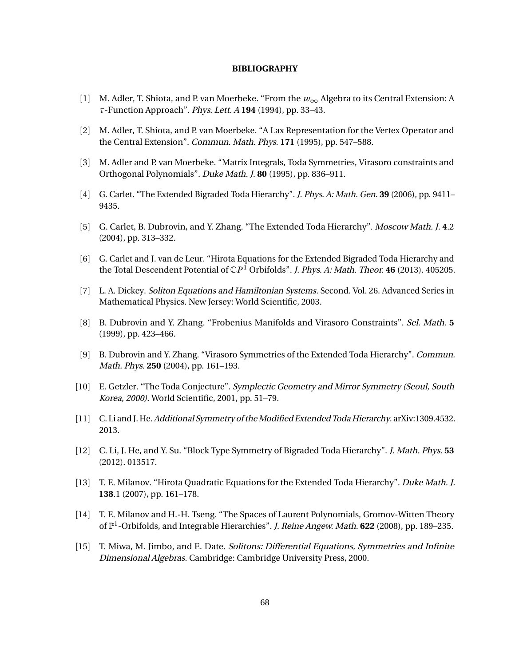## **BIBLIOGRAPHY**

- [1] M. Adler, T. Shiota, and P. van Moerbeke. "From the *w*<sup>∞</sup> Algebra to its Central Extension: A *τ*-Function Approach". Phys. Lett. A **194** (1994), pp. 33–43.
- [2] M. Adler, T. Shiota, and P. van Moerbeke. "A Lax Representation for the Vertex Operator and the Central Extension". Commun. Math. Phys. **171** (1995), pp. 547–588.
- [3] M. Adler and P. van Moerbeke. "Matrix Integrals, Toda Symmetries, Virasoro constraints and Orthogonal Polynomials". Duke Math. J. **80** (1995), pp. 836–911.
- [4] G. Carlet. "The Extended Bigraded Toda Hierarchy". J. Phys. A: Math. Gen. **39** (2006), pp. 9411– 9435.
- [5] G. Carlet, B. Dubrovin, and Y. Zhang. "The Extended Toda Hierarchy". Moscow Math. J. **4**.2 (2004), pp. 313–332.
- [6] G. Carlet and J. van de Leur. "Hirota Equations for the Extended Bigraded Toda Hierarchy and the Total Descendent Potential of C*P* <sup>1</sup> Orbifolds". J. Phys. A: Math. Theor. **46** (2013). 405205.
- [7] L. A. Dickey. Soliton Equations and Hamiltonian Systems. Second. Vol. 26. Advanced Series in Mathematical Physics. New Jersey: World Scientific, 2003.
- [8] B. Dubrovin and Y. Zhang. "Frobenius Manifolds and Virasoro Constraints". Sel. Math. **5** (1999), pp. 423–466.
- [9] B. Dubrovin and Y. Zhang. "Virasoro Symmetries of the Extended Toda Hierarchy". Commun. Math. Phys. **250** (2004), pp. 161–193.
- [10] E. Getzler. "The Toda Conjecture". Symplectic Geometry and Mirror Symmetry (Seoul, South Korea, 2000). World Scientific, 2001, pp. 51–79.
- [11] C. Li and J. He.Additional Symmetry of theModified Extended Toda Hierarchy. arXiv:1309.4532. 2013.
- [12] C. Li, J. He, and Y. Su. "Block Type Symmetry of Bigraded Toda Hierarchy". J. Math. Phys. **53** (2012). 013517.
- [13] T. E. Milanov. "Hirota Quadratic Equations for the Extended Toda Hierarchy". Duke Math. J. **138**.1 (2007), pp. 161–178.
- [14] T. E. Milanov and H.-H. Tseng. "The Spaces of Laurent Polynomials, Gromov-Witten Theory of  $\mathbb{P}^1$ -Orbifolds, and Integrable Hierarchies". J. Reine Angew. Math. **622** (2008), pp. 189-235.
- [15] T. Miwa, M. Jimbo, and E. Date. Solitons: Differential Equations, Symmetries and Infinite Dimensional Algebras. Cambridge: Cambridge University Press, 2000.